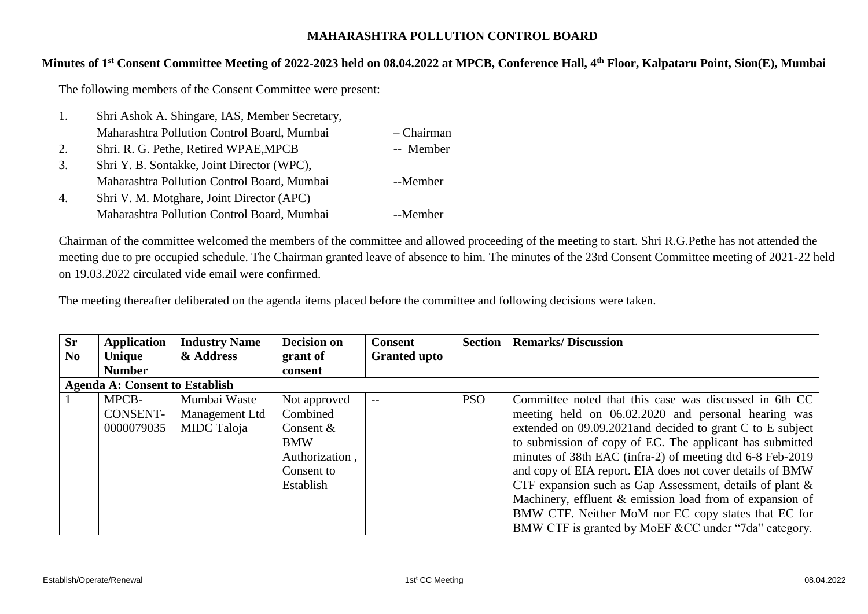## **MAHARASHTRA POLLUTION CONTROL BOARD**

## **Minutes of 1 st Consent Committee Meeting of 2022-2023 held on 08.04.2022 at MPCB, Conference Hall, 4th Floor, Kalpataru Point, Sion(E), Mumbai**

The following members of the Consent Committee were present:

| 1. | Shri Ashok A. Shingare, IAS, Member Secretary, |            |
|----|------------------------------------------------|------------|
|    | Maharashtra Pollution Control Board, Mumbai    | - Chairman |
| 2. | Shri. R. G. Pethe, Retired WPAE, MPCB          | -- Member  |
| 3. | Shri Y. B. Sontakke, Joint Director (WPC),     |            |
|    | Maharashtra Pollution Control Board, Mumbai    | --Member   |
| 4. | Shri V. M. Motghare, Joint Director (APC)      |            |
|    | Maharashtra Pollution Control Board, Mumbai    | --Member   |

Chairman of the committee welcomed the members of the committee and allowed proceeding of the meeting to start. Shri R.G.Pethe has not attended the meeting due to pre occupied schedule. The Chairman granted leave of absence to him. The minutes of the 23rd Consent Committee meeting of 2021-22 held on 19.03.2022 circulated vide email were confirmed.

The meeting thereafter deliberated on the agenda items placed before the committee and following decisions were taken.

| <b>Sr</b>      | Application                           | <b>Industry Name</b> | <b>Decision on</b> | <b>Consent</b>      | <b>Section</b> | <b>Remarks/Discussion</b>                                   |
|----------------|---------------------------------------|----------------------|--------------------|---------------------|----------------|-------------------------------------------------------------|
| N <sub>0</sub> | Unique                                | & Address            | grant of           | <b>Granted upto</b> |                |                                                             |
|                | <b>Number</b>                         |                      | consent            |                     |                |                                                             |
|                | <b>Agenda A: Consent to Establish</b> |                      |                    |                     |                |                                                             |
|                | MPCB-                                 | Mumbai Waste         | Not approved       |                     | <b>PSO</b>     | Committee noted that this case was discussed in 6th CC      |
|                | CONSENT-                              | Management Ltd       | Combined           |                     |                | meeting held on 06.02.2020 and personal hearing was         |
|                | 0000079035                            | MIDC Taloja          | Consent $&$        |                     |                | extended on 09.09.2021 and decided to grant C to E subject  |
|                |                                       |                      | <b>BMW</b>         |                     |                | to submission of copy of EC. The applicant has submitted    |
|                |                                       |                      | Authorization,     |                     |                | minutes of 38th EAC (infra-2) of meeting dtd 6-8 Feb-2019   |
|                |                                       |                      | Consent to         |                     |                | and copy of EIA report. EIA does not cover details of BMW   |
|                |                                       |                      | Establish          |                     |                | CTF expansion such as Gap Assessment, details of plant $\&$ |
|                |                                       |                      |                    |                     |                | Machinery, effluent & emission load from of expansion of    |
|                |                                       |                      |                    |                     |                | BMW CTF. Neither MoM nor EC copy states that EC for         |
|                |                                       |                      |                    |                     |                | BMW CTF is granted by MoEF &CC under "7da" category.        |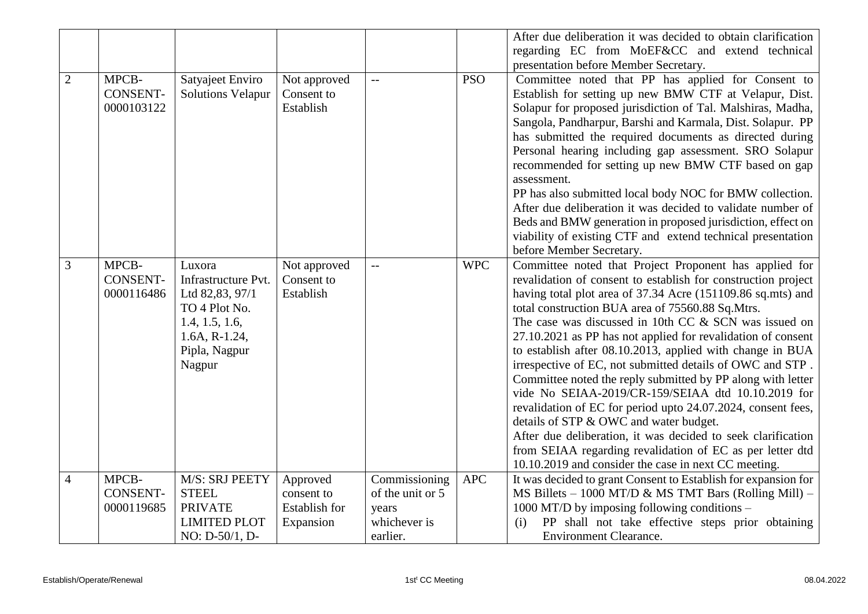|                |                                        |                                                                                                                                   |                                                             |                                                                        |            | After due deliberation it was decided to obtain clarification<br>regarding EC from MoEF&CC and extend technical                                                                                                                                                                                                                                                                                                                                                                                                                                                                                                                                                                                                                                                                                                                                                                                                   |
|----------------|----------------------------------------|-----------------------------------------------------------------------------------------------------------------------------------|-------------------------------------------------------------|------------------------------------------------------------------------|------------|-------------------------------------------------------------------------------------------------------------------------------------------------------------------------------------------------------------------------------------------------------------------------------------------------------------------------------------------------------------------------------------------------------------------------------------------------------------------------------------------------------------------------------------------------------------------------------------------------------------------------------------------------------------------------------------------------------------------------------------------------------------------------------------------------------------------------------------------------------------------------------------------------------------------|
| $\overline{2}$ | MPCB-<br><b>CONSENT-</b><br>0000103122 | Satyajeet Enviro<br><b>Solutions Velapur</b>                                                                                      | Not approved<br>Consent to<br>Establish                     | $-$                                                                    | <b>PSO</b> | presentation before Member Secretary.<br>Committee noted that PP has applied for Consent to<br>Establish for setting up new BMW CTF at Velapur, Dist.<br>Solapur for proposed jurisdiction of Tal. Malshiras, Madha,<br>Sangola, Pandharpur, Barshi and Karmala, Dist. Solapur. PP<br>has submitted the required documents as directed during<br>Personal hearing including gap assessment. SRO Solapur<br>recommended for setting up new BMW CTF based on gap<br>assessment.<br>PP has also submitted local body NOC for BMW collection.<br>After due deliberation it was decided to validate number of<br>Beds and BMW generation in proposed jurisdiction, effect on<br>viability of existing CTF and extend technical presentation<br>before Member Secretary.                                                                                                                                                |
| 3              | MPCB-<br><b>CONSENT-</b><br>0000116486 | Luxora<br>Infrastructure Pvt.<br>Ltd 82,83, 97/1<br>TO 4 Plot No.<br>1.4, 1.5, 1.6,<br>$1.6A, R-1.24,$<br>Pipla, Nagpur<br>Nagpur | Not approved<br>Consent to<br>Establish                     | $-$                                                                    | <b>WPC</b> | Committee noted that Project Proponent has applied for<br>revalidation of consent to establish for construction project<br>having total plot area of 37.34 Acre (151109.86 sq.mts) and<br>total construction BUA area of 75560.88 Sq.Mtrs.<br>The case was discussed in 10th CC & SCN was issued on<br>27.10.2021 as PP has not applied for revalidation of consent<br>to establish after 08.10.2013, applied with change in BUA<br>irrespective of EC, not submitted details of OWC and STP.<br>Committee noted the reply submitted by PP along with letter<br>vide No SEIAA-2019/CR-159/SEIAA dtd 10.10.2019 for<br>revalidation of EC for period upto 24.07.2024, consent fees,<br>details of STP & OWC and water budget.<br>After due deliberation, it was decided to seek clarification<br>from SEIAA regarding revalidation of EC as per letter dtd<br>10.10.2019 and consider the case in next CC meeting. |
| $\overline{4}$ | MPCB-<br><b>CONSENT-</b><br>0000119685 | M/S: SRJ PEETY<br><b>STEEL</b><br><b>PRIVATE</b><br><b>LIMITED PLOT</b><br>$NO: D-50/1, D-$                                       | Approved<br>consent to<br><b>Establish</b> for<br>Expansion | Commissioning<br>of the unit or 5<br>years<br>whichever is<br>earlier. | <b>APC</b> | It was decided to grant Consent to Establish for expansion for<br>MS Billets $-1000$ MT/D & MS TMT Bars (Rolling Mill) $-$<br>1000 MT/D by imposing following conditions $-$<br>PP shall not take effective steps prior obtaining<br>(i)<br><b>Environment Clearance.</b>                                                                                                                                                                                                                                                                                                                                                                                                                                                                                                                                                                                                                                         |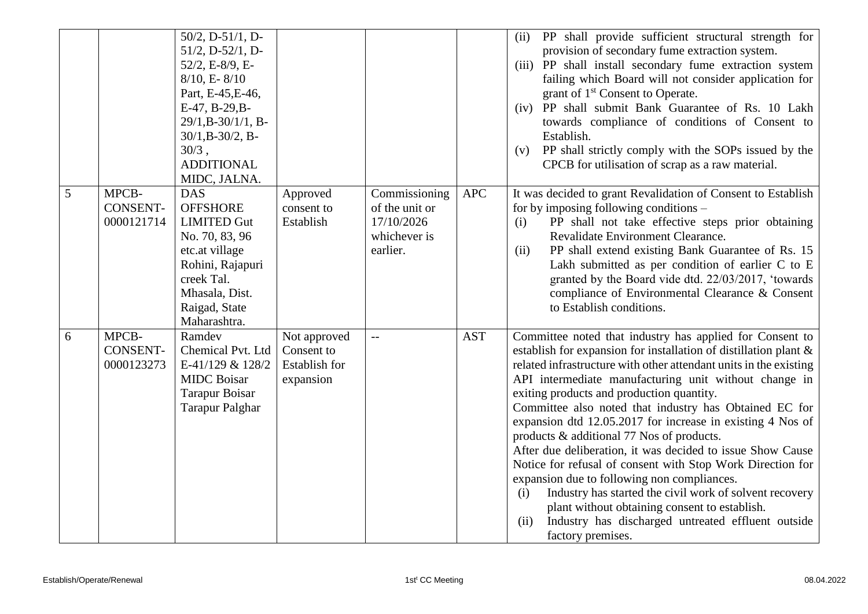|   |                 | 50/2, D-51/1, D-        |               |                |            | PP shall provide sufficient structural strength for<br>(ii)         |
|---|-----------------|-------------------------|---------------|----------------|------------|---------------------------------------------------------------------|
|   |                 | $51/2$ , D- $52/1$ , D- |               |                |            | provision of secondary fume extraction system.                      |
|   |                 | 52/2, E-8/9, E-         |               |                |            | (iii) PP shall install secondary fume extraction system             |
|   |                 | $8/10$ , E- $8/10$      |               |                |            | failing which Board will not consider application for               |
|   |                 | Part, E-45, E-46,       |               |                |            | grant of 1 <sup>st</sup> Consent to Operate.                        |
|   |                 | E-47, B-29, B-          |               |                |            | (iv) PP shall submit Bank Guarantee of Rs. 10 Lakh                  |
|   |                 | $29/1$ , B-30/1/1, B-   |               |                |            | towards compliance of conditions of Consent to                      |
|   |                 | $30/1$ , B- $30/2$ , B- |               |                |            | Establish.                                                          |
|   |                 | $30/3$ ,                |               |                |            | PP shall strictly comply with the SOPs issued by the<br>(v)         |
|   |                 | <b>ADDITIONAL</b>       |               |                |            | CPCB for utilisation of scrap as a raw material.                    |
|   |                 | MIDC, JALNA.            |               |                |            |                                                                     |
| 5 | MPCB-           | <b>DAS</b>              | Approved      | Commissioning  | <b>APC</b> | It was decided to grant Revalidation of Consent to Establish        |
|   | <b>CONSENT-</b> | <b>OFFSHORE</b>         | consent to    | of the unit or |            | for by imposing following conditions –                              |
|   | 0000121714      | <b>LIMITED Gut</b>      | Establish     | 17/10/2026     |            | PP shall not take effective steps prior obtaining<br>(i)            |
|   |                 | No. 70, 83, 96          |               | whichever is   |            | Revalidate Environment Clearance.                                   |
|   |                 | etc.at village          |               | earlier.       |            | PP shall extend existing Bank Guarantee of Rs. 15<br>(ii)           |
|   |                 | Rohini, Rajapuri        |               |                |            | Lakh submitted as per condition of earlier C to E                   |
|   |                 | creek Tal.              |               |                |            | granted by the Board vide dtd. 22/03/2017, 'towards'                |
|   |                 | Mhasala, Dist.          |               |                |            | compliance of Environmental Clearance & Consent                     |
|   |                 | Raigad, State           |               |                |            | to Establish conditions.                                            |
|   |                 | Maharashtra.            |               |                |            |                                                                     |
| 6 | MPCB-           | Ramdev                  | Not approved  |                | <b>AST</b> | Committee noted that industry has applied for Consent to            |
|   | <b>CONSENT-</b> | Chemical Pvt. Ltd       | Consent to    |                |            | establish for expansion for installation of distillation plant $\&$ |
|   | 0000123273      | E-41/129 & 128/2        | Establish for |                |            | related infrastructure with other attendant units in the existing   |
|   |                 | <b>MIDC</b> Boisar      | expansion     |                |            | API intermediate manufacturing unit without change in               |
|   |                 | <b>Tarapur Boisar</b>   |               |                |            | exiting products and production quantity.                           |
|   |                 | <b>Tarapur Palghar</b>  |               |                |            | Committee also noted that industry has Obtained EC for              |
|   |                 |                         |               |                |            | expansion dtd 12.05.2017 for increase in existing 4 Nos of          |
|   |                 |                         |               |                |            | products & additional 77 Nos of products.                           |
|   |                 |                         |               |                |            | After due deliberation, it was decided to issue Show Cause          |
|   |                 |                         |               |                |            | Notice for refusal of consent with Stop Work Direction for          |
|   |                 |                         |               |                |            | expansion due to following non compliances.                         |
|   |                 |                         |               |                |            | Industry has started the civil work of solvent recovery<br>(i)      |
|   |                 |                         |               |                |            | plant without obtaining consent to establish.                       |
|   |                 |                         |               |                |            | Industry has discharged untreated effluent outside<br>(ii)          |
|   |                 |                         |               |                |            | factory premises.                                                   |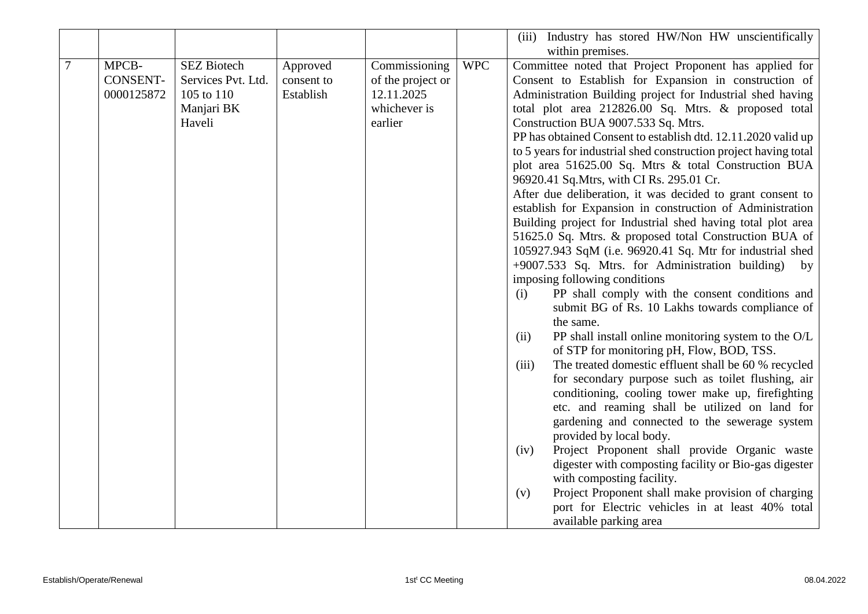|   |                 |                    |            |                   |            | Industry has stored HW/Non HW unscientifically<br>(iii)                                           |
|---|-----------------|--------------------|------------|-------------------|------------|---------------------------------------------------------------------------------------------------|
|   |                 |                    |            |                   |            | within premises.                                                                                  |
| 7 | MPCB-           | <b>SEZ Biotech</b> | Approved   | Commissioning     | <b>WPC</b> | Committee noted that Project Proponent has applied for                                            |
|   | <b>CONSENT-</b> | Services Pvt. Ltd. | consent to | of the project or |            | Consent to Establish for Expansion in construction of                                             |
|   | 0000125872      | 105 to 110         | Establish  | 12.11.2025        |            | Administration Building project for Industrial shed having                                        |
|   |                 | Manjari BK         |            | whichever is      |            | total plot area 212826.00 Sq. Mtrs. & proposed total                                              |
|   |                 | Haveli             |            | earlier           |            | Construction BUA 9007.533 Sq. Mtrs.                                                               |
|   |                 |                    |            |                   |            | PP has obtained Consent to establish dtd. 12.11.2020 valid up                                     |
|   |                 |                    |            |                   |            | to 5 years for industrial shed construction project having total                                  |
|   |                 |                    |            |                   |            | plot area 51625.00 Sq. Mtrs & total Construction BUA                                              |
|   |                 |                    |            |                   |            | 96920.41 Sq. Mtrs, with CI Rs. 295.01 Cr.                                                         |
|   |                 |                    |            |                   |            | After due deliberation, it was decided to grant consent to                                        |
|   |                 |                    |            |                   |            | establish for Expansion in construction of Administration                                         |
|   |                 |                    |            |                   |            | Building project for Industrial shed having total plot area                                       |
|   |                 |                    |            |                   |            | 51625.0 Sq. Mtrs. & proposed total Construction BUA of                                            |
|   |                 |                    |            |                   |            | 105927.943 SqM (i.e. 96920.41 Sq. Mtr for industrial shed                                         |
|   |                 |                    |            |                   |            | +9007.533 Sq. Mtrs. for Administration building)<br>by                                            |
|   |                 |                    |            |                   |            | imposing following conditions                                                                     |
|   |                 |                    |            |                   |            | PP shall comply with the consent conditions and<br>(i)                                            |
|   |                 |                    |            |                   |            | submit BG of Rs. 10 Lakhs towards compliance of                                                   |
|   |                 |                    |            |                   |            | the same.                                                                                         |
|   |                 |                    |            |                   |            | PP shall install online monitoring system to the O/L<br>(ii)                                      |
|   |                 |                    |            |                   |            | of STP for monitoring pH, Flow, BOD, TSS.<br>The treated domestic effluent shall be 60 % recycled |
|   |                 |                    |            |                   |            | (iii)<br>for secondary purpose such as toilet flushing, air                                       |
|   |                 |                    |            |                   |            | conditioning, cooling tower make up, firefighting                                                 |
|   |                 |                    |            |                   |            | etc. and reaming shall be utilized on land for                                                    |
|   |                 |                    |            |                   |            | gardening and connected to the sewerage system                                                    |
|   |                 |                    |            |                   |            | provided by local body.                                                                           |
|   |                 |                    |            |                   |            | Project Proponent shall provide Organic waste<br>(iv)                                             |
|   |                 |                    |            |                   |            | digester with composting facility or Bio-gas digester                                             |
|   |                 |                    |            |                   |            | with composting facility.                                                                         |
|   |                 |                    |            |                   |            | Project Proponent shall make provision of charging<br>(v)                                         |
|   |                 |                    |            |                   |            | port for Electric vehicles in at least 40% total                                                  |
|   |                 |                    |            |                   |            | available parking area                                                                            |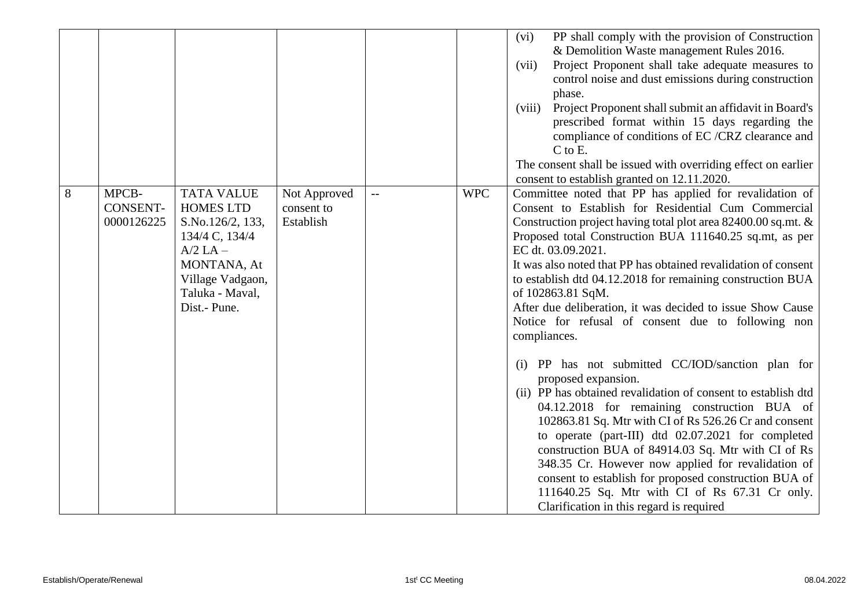|   |                                        |                                                                                                                                                                   |                                         |     |            | PP shall comply with the provision of Construction<br>(vi)<br>& Demolition Waste management Rules 2016.<br>Project Proponent shall take adequate measures to<br>(vii)<br>control noise and dust emissions during construction<br>phase.<br>Project Proponent shall submit an affidavit in Board's<br>(viii)<br>prescribed format within 15 days regarding the<br>compliance of conditions of EC /CRZ clearance and<br>C to E.<br>The consent shall be issued with overriding effect on earlier<br>consent to establish granted on 12.11.2020.                                  |
|---|----------------------------------------|-------------------------------------------------------------------------------------------------------------------------------------------------------------------|-----------------------------------------|-----|------------|--------------------------------------------------------------------------------------------------------------------------------------------------------------------------------------------------------------------------------------------------------------------------------------------------------------------------------------------------------------------------------------------------------------------------------------------------------------------------------------------------------------------------------------------------------------------------------|
| 8 | MPCB-<br><b>CONSENT-</b><br>0000126225 | <b>TATA VALUE</b><br><b>HOMES LTD</b><br>S.No.126/2, 133,<br>134/4 C, 134/4<br>$A/2$ LA $-$<br>MONTANA, At<br>Village Vadgaon,<br>Taluka - Maval,<br>Dist.- Pune. | Not Approved<br>consent to<br>Establish | $-$ | <b>WPC</b> | Committee noted that PP has applied for revalidation of<br>Consent to Establish for Residential Cum Commercial<br>Construction project having total plot area 82400.00 sq.mt. &<br>Proposed total Construction BUA 111640.25 sq.mt, as per<br>EC dt. 03.09.2021.<br>It was also noted that PP has obtained revalidation of consent<br>to establish dtd 04.12.2018 for remaining construction BUA<br>of 102863.81 SqM.<br>After due deliberation, it was decided to issue Show Cause<br>Notice for refusal of consent due to following non<br>compliances.                      |
|   |                                        |                                                                                                                                                                   |                                         |     |            | PP has not submitted CC/IOD/sanction plan for<br>(i)<br>proposed expansion.<br>(ii) PP has obtained revalidation of consent to establish dtd<br>04.12.2018 for remaining construction BUA of<br>102863.81 Sq. Mtr with CI of Rs 526.26 Cr and consent<br>to operate (part-III) dtd 02.07.2021 for completed<br>construction BUA of 84914.03 Sq. Mtr with CI of Rs<br>348.35 Cr. However now applied for revalidation of<br>consent to establish for proposed construction BUA of<br>111640.25 Sq. Mtr with CI of Rs 67.31 Cr only.<br>Clarification in this regard is required |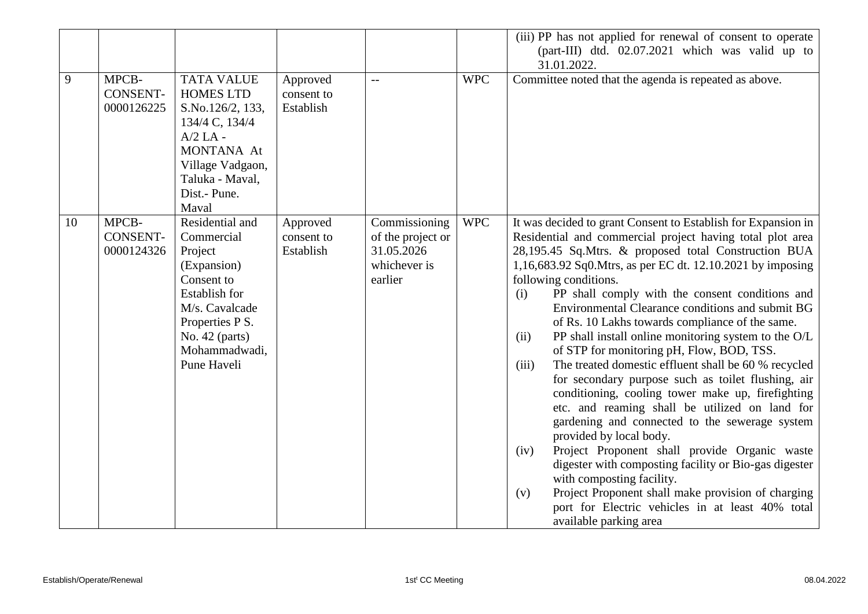|    |                                        |                                                                                                                                                                                      |                                     |                                                                             |            | (iii) PP has not applied for renewal of consent to operate                                                                                                                                                                                                                                                                                                                                                                                                                                                                                                                                                                                                                                                                                                                                                                                                                                                                                                                                                                                                                                                                                                    |
|----|----------------------------------------|--------------------------------------------------------------------------------------------------------------------------------------------------------------------------------------|-------------------------------------|-----------------------------------------------------------------------------|------------|---------------------------------------------------------------------------------------------------------------------------------------------------------------------------------------------------------------------------------------------------------------------------------------------------------------------------------------------------------------------------------------------------------------------------------------------------------------------------------------------------------------------------------------------------------------------------------------------------------------------------------------------------------------------------------------------------------------------------------------------------------------------------------------------------------------------------------------------------------------------------------------------------------------------------------------------------------------------------------------------------------------------------------------------------------------------------------------------------------------------------------------------------------------|
|    |                                        |                                                                                                                                                                                      |                                     |                                                                             |            | (part-III) dtd. 02.07.2021 which was valid up to                                                                                                                                                                                                                                                                                                                                                                                                                                                                                                                                                                                                                                                                                                                                                                                                                                                                                                                                                                                                                                                                                                              |
|    |                                        |                                                                                                                                                                                      |                                     |                                                                             |            | 31.01.2022.                                                                                                                                                                                                                                                                                                                                                                                                                                                                                                                                                                                                                                                                                                                                                                                                                                                                                                                                                                                                                                                                                                                                                   |
| 9  | MPCB-<br><b>CONSENT-</b><br>0000126225 | <b>TATA VALUE</b><br><b>HOMES LTD</b><br>S.No.126/2, 133,<br>134/4 C, 134/4<br>$A/2$ LA -<br><b>MONTANA At</b><br>Village Vadgaon,<br>Taluka - Maval,<br>Dist.- Pune.<br>Maval       | Approved<br>consent to<br>Establish | $-$                                                                         | <b>WPC</b> | Committee noted that the agenda is repeated as above.                                                                                                                                                                                                                                                                                                                                                                                                                                                                                                                                                                                                                                                                                                                                                                                                                                                                                                                                                                                                                                                                                                         |
| 10 | MPCB-<br><b>CONSENT-</b><br>0000124326 | Residential and<br>Commercial<br>Project<br>(Expansion)<br>Consent to<br><b>Establish for</b><br>M/s. Cavalcade<br>Properties P S.<br>No. 42 (parts)<br>Mohammadwadi,<br>Pune Haveli | Approved<br>consent to<br>Establish | Commissioning<br>of the project or<br>31.05.2026<br>whichever is<br>earlier | <b>WPC</b> | It was decided to grant Consent to Establish for Expansion in<br>Residential and commercial project having total plot area<br>28,195.45 Sq.Mtrs. & proposed total Construction BUA<br>1,16,683.92 Sq0. Mtrs, as per EC dt. 12.10.2021 by imposing<br>following conditions.<br>PP shall comply with the consent conditions and<br>(i)<br>Environmental Clearance conditions and submit BG<br>of Rs. 10 Lakhs towards compliance of the same.<br>PP shall install online monitoring system to the O/L<br>(ii)<br>of STP for monitoring pH, Flow, BOD, TSS.<br>The treated domestic effluent shall be 60 % recycled<br>(iii)<br>for secondary purpose such as toilet flushing, air<br>conditioning, cooling tower make up, firefighting<br>etc. and reaming shall be utilized on land for<br>gardening and connected to the sewerage system<br>provided by local body.<br>Project Proponent shall provide Organic waste<br>(iv)<br>digester with composting facility or Bio-gas digester<br>with composting facility.<br>Project Proponent shall make provision of charging<br>(v)<br>port for Electric vehicles in at least 40% total<br>available parking area |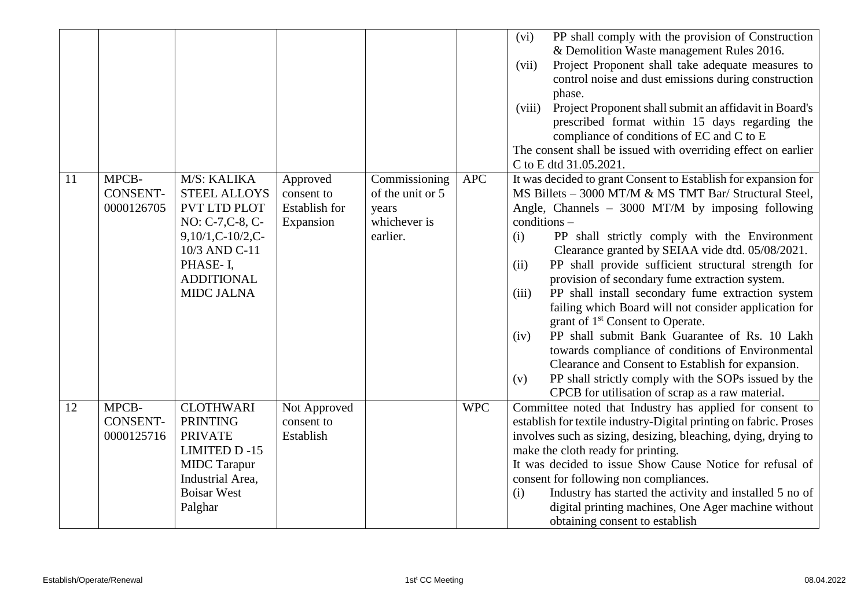|    |                                        |                                                                                                                                                                     |                                                      |                                                                        |            | PP shall comply with the provision of Construction<br>(vi)<br>& Demolition Waste management Rules 2016.<br>Project Proponent shall take adequate measures to<br>(vii)<br>control noise and dust emissions during construction<br>phase.<br>Project Proponent shall submit an affidavit in Board's<br>(viii)<br>prescribed format within 15 days regarding the<br>compliance of conditions of EC and C to E<br>The consent shall be issued with overriding effect on earlier<br>C to E dtd 31.05.2021.                                                                                                                                                                                                                                                                                                                                                                                     |
|----|----------------------------------------|---------------------------------------------------------------------------------------------------------------------------------------------------------------------|------------------------------------------------------|------------------------------------------------------------------------|------------|-------------------------------------------------------------------------------------------------------------------------------------------------------------------------------------------------------------------------------------------------------------------------------------------------------------------------------------------------------------------------------------------------------------------------------------------------------------------------------------------------------------------------------------------------------------------------------------------------------------------------------------------------------------------------------------------------------------------------------------------------------------------------------------------------------------------------------------------------------------------------------------------|
| 11 | MPCB-<br><b>CONSENT-</b><br>0000126705 | M/S: KALIKA<br><b>STEEL ALLOYS</b><br>PVT LTD PLOT<br>NO: C-7, C-8, C-<br>$9,10/1,C-10/2,C-$<br>10/3 AND C-11<br>PHASE-I,<br><b>ADDITIONAL</b><br><b>MIDC JALNA</b> | Approved<br>consent to<br>Establish for<br>Expansion | Commissioning<br>of the unit or 5<br>years<br>whichever is<br>earlier. | <b>APC</b> | It was decided to grant Consent to Establish for expansion for<br>MS Billets - 3000 MT/M & MS TMT Bar/ Structural Steel,<br>Angle, Channels - 3000 MT/M by imposing following<br>$conditions -$<br>PP shall strictly comply with the Environment<br>(i)<br>Clearance granted by SEIAA vide dtd. 05/08/2021.<br>PP shall provide sufficient structural strength for<br>(ii)<br>provision of secondary fume extraction system.<br>PP shall install secondary fume extraction system<br>(iii)<br>failing which Board will not consider application for<br>grant of 1 <sup>st</sup> Consent to Operate.<br>PP shall submit Bank Guarantee of Rs. 10 Lakh<br>(iv)<br>towards compliance of conditions of Environmental<br>Clearance and Consent to Establish for expansion.<br>PP shall strictly comply with the SOPs issued by the<br>(v)<br>CPCB for utilisation of scrap as a raw material. |
| 12 | MPCB-<br><b>CONSENT-</b><br>0000125716 | <b>CLOTHWARI</b><br><b>PRINTING</b><br><b>PRIVATE</b><br><b>LIMITED D-15</b><br><b>MIDC</b> Tarapur<br>Industrial Area,<br><b>Boisar West</b><br>Palghar            | Not Approved<br>consent to<br>Establish              |                                                                        | <b>WPC</b> | Committee noted that Industry has applied for consent to<br>establish for textile industry-Digital printing on fabric. Proses<br>involves such as sizing, desizing, bleaching, dying, drying to<br>make the cloth ready for printing.<br>It was decided to issue Show Cause Notice for refusal of<br>consent for following non compliances.<br>Industry has started the activity and installed 5 no of<br>(i)<br>digital printing machines, One Ager machine without<br>obtaining consent to establish                                                                                                                                                                                                                                                                                                                                                                                    |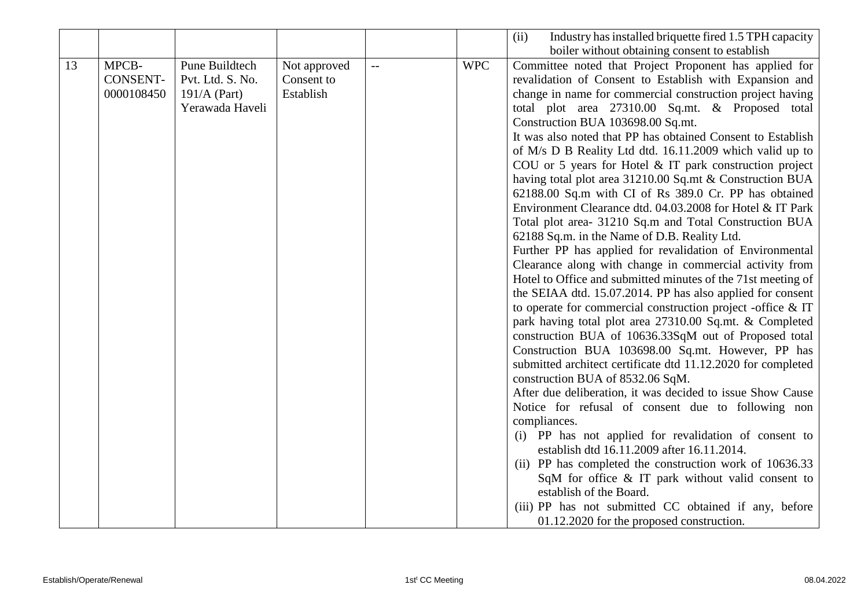|    |                 |                  |              |                |            | Industry has installed briquette fired 1.5 TPH capacity<br>(ii) |
|----|-----------------|------------------|--------------|----------------|------------|-----------------------------------------------------------------|
|    |                 |                  |              |                |            | boiler without obtaining consent to establish                   |
| 13 | MPCB-           | Pune Buildtech   | Not approved | $\overline{a}$ | <b>WPC</b> | Committee noted that Project Proponent has applied for          |
|    | <b>CONSENT-</b> | Pvt. Ltd. S. No. | Consent to   |                |            | revalidation of Consent to Establish with Expansion and         |
|    | 0000108450      | $191/A$ (Part)   | Establish    |                |            | change in name for commercial construction project having       |
|    |                 | Yerawada Haveli  |              |                |            | total plot area 27310.00 Sq.mt. & Proposed total                |
|    |                 |                  |              |                |            | Construction BUA 103698.00 Sq.mt.                               |
|    |                 |                  |              |                |            | It was also noted that PP has obtained Consent to Establish     |
|    |                 |                  |              |                |            | of M/s D B Reality Ltd dtd. 16.11.2009 which valid up to        |
|    |                 |                  |              |                |            | COU or 5 years for Hotel $&IT$ park construction project        |
|    |                 |                  |              |                |            | having total plot area 31210.00 Sq.mt & Construction BUA        |
|    |                 |                  |              |                |            | 62188.00 Sq.m with CI of Rs 389.0 Cr. PP has obtained           |
|    |                 |                  |              |                |            | Environment Clearance dtd. 04.03.2008 for Hotel & IT Park       |
|    |                 |                  |              |                |            | Total plot area- 31210 Sq.m and Total Construction BUA          |
|    |                 |                  |              |                |            | 62188 Sq.m. in the Name of D.B. Reality Ltd.                    |
|    |                 |                  |              |                |            | Further PP has applied for revalidation of Environmental        |
|    |                 |                  |              |                |            | Clearance along with change in commercial activity from         |
|    |                 |                  |              |                |            | Hotel to Office and submitted minutes of the 71st meeting of    |
|    |                 |                  |              |                |            | the SEIAA dtd. 15.07.2014. PP has also applied for consent      |
|    |                 |                  |              |                |            | to operate for commercial construction project -office $\&$ IT  |
|    |                 |                  |              |                |            | park having total plot area 27310.00 Sq.mt. & Completed         |
|    |                 |                  |              |                |            | construction BUA of 10636.33SqM out of Proposed total           |
|    |                 |                  |              |                |            | Construction BUA 103698.00 Sq.mt. However, PP has               |
|    |                 |                  |              |                |            | submitted architect certificate dtd 11.12.2020 for completed    |
|    |                 |                  |              |                |            | construction BUA of 8532.06 SqM.                                |
|    |                 |                  |              |                |            | After due deliberation, it was decided to issue Show Cause      |
|    |                 |                  |              |                |            | Notice for refusal of consent due to following non              |
|    |                 |                  |              |                |            | compliances.                                                    |
|    |                 |                  |              |                |            | (i) PP has not applied for revalidation of consent to           |
|    |                 |                  |              |                |            | establish dtd 16.11.2009 after 16.11.2014.                      |
|    |                 |                  |              |                |            | (ii) PP has completed the construction work of 10636.33         |
|    |                 |                  |              |                |            | SqM for office & IT park without valid consent to               |
|    |                 |                  |              |                |            | establish of the Board.                                         |
|    |                 |                  |              |                |            | (iii) PP has not submitted CC obtained if any, before           |
|    |                 |                  |              |                |            | 01.12.2020 for the proposed construction.                       |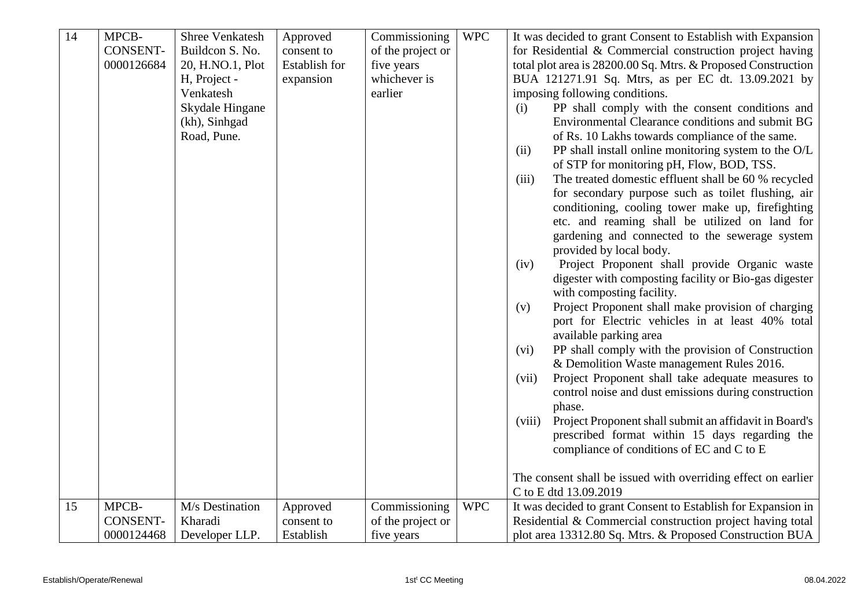| 14 | MPCB-           | <b>Shree Venkatesh</b> | Approved      | Commissioning     | <b>WPC</b> | It was decided to grant Consent to Establish with Expansion                                                   |
|----|-----------------|------------------------|---------------|-------------------|------------|---------------------------------------------------------------------------------------------------------------|
|    | <b>CONSENT-</b> | Buildcon S. No.        | consent to    | of the project or |            | for Residential & Commercial construction project having                                                      |
|    | 0000126684      | 20, H.NO.1, Plot       | Establish for | five years        |            | total plot area is 28200.00 Sq. Mtrs. & Proposed Construction                                                 |
|    |                 | H, Project -           | expansion     | whichever is      |            | BUA 121271.91 Sq. Mtrs, as per EC dt. 13.09.2021 by                                                           |
|    |                 | Venkatesh              |               | earlier           |            | imposing following conditions.                                                                                |
|    |                 | Skydale Hingane        |               |                   |            | PP shall comply with the consent conditions and<br>(i)                                                        |
|    |                 | (kh), Sinhgad          |               |                   |            | Environmental Clearance conditions and submit BG                                                              |
|    |                 | Road, Pune.            |               |                   |            | of Rs. 10 Lakhs towards compliance of the same.                                                               |
|    |                 |                        |               |                   |            | PP shall install online monitoring system to the O/L<br>(ii)<br>of STP for monitoring pH, Flow, BOD, TSS.     |
|    |                 |                        |               |                   |            | The treated domestic effluent shall be 60 % recycled<br>(iii)                                                 |
|    |                 |                        |               |                   |            | for secondary purpose such as toilet flushing, air                                                            |
|    |                 |                        |               |                   |            | conditioning, cooling tower make up, firefighting                                                             |
|    |                 |                        |               |                   |            | etc. and reaming shall be utilized on land for                                                                |
|    |                 |                        |               |                   |            | gardening and connected to the sewerage system                                                                |
|    |                 |                        |               |                   |            | provided by local body.                                                                                       |
|    |                 |                        |               |                   |            | Project Proponent shall provide Organic waste<br>(iv)                                                         |
|    |                 |                        |               |                   |            | digester with composting facility or Bio-gas digester                                                         |
|    |                 |                        |               |                   |            | with composting facility.                                                                                     |
|    |                 |                        |               |                   |            | Project Proponent shall make provision of charging<br>(v)<br>port for Electric vehicles in at least 40% total |
|    |                 |                        |               |                   |            | available parking area                                                                                        |
|    |                 |                        |               |                   |            | PP shall comply with the provision of Construction<br>(vi)                                                    |
|    |                 |                        |               |                   |            | & Demolition Waste management Rules 2016.                                                                     |
|    |                 |                        |               |                   |            | Project Proponent shall take adequate measures to<br>(vii)                                                    |
|    |                 |                        |               |                   |            | control noise and dust emissions during construction                                                          |
|    |                 |                        |               |                   |            | phase.                                                                                                        |
|    |                 |                        |               |                   |            | Project Proponent shall submit an affidavit in Board's<br>(viii)                                              |
|    |                 |                        |               |                   |            | prescribed format within 15 days regarding the                                                                |
|    |                 |                        |               |                   |            | compliance of conditions of EC and C to E                                                                     |
|    |                 |                        |               |                   |            |                                                                                                               |
|    |                 |                        |               |                   |            | The consent shall be issued with overriding effect on earlier                                                 |
|    |                 |                        |               |                   |            | C to E dtd 13.09.2019                                                                                         |
| 15 | MPCB-           | M/s Destination        | Approved      | Commissioning     | <b>WPC</b> | It was decided to grant Consent to Establish for Expansion in                                                 |
|    | <b>CONSENT-</b> | Kharadi                | consent to    | of the project or |            | Residential & Commercial construction project having total                                                    |
|    | 0000124468      | Developer LLP.         | Establish     | five years        |            | plot area 13312.80 Sq. Mtrs. & Proposed Construction BUA                                                      |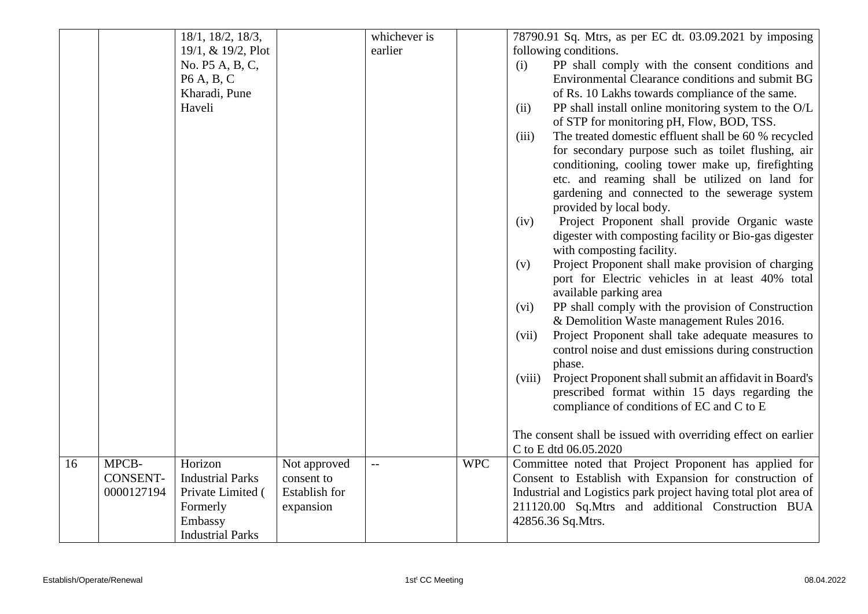|    |                 | 18/1, 18/2, 18/3,       |               | whichever is   |            | 78790.91 Sq. Mtrs, as per EC dt. 03.09.2021 by imposing                                     |
|----|-----------------|-------------------------|---------------|----------------|------------|---------------------------------------------------------------------------------------------|
|    |                 | 19/1, & 19/2, Plot      |               | earlier        |            | following conditions.                                                                       |
|    |                 | No. P5 A, B, C,         |               |                |            | PP shall comply with the consent conditions and<br>(i)                                      |
|    |                 | P6 A, B, C              |               |                |            | Environmental Clearance conditions and submit BG                                            |
|    |                 | Kharadi, Pune           |               |                |            | of Rs. 10 Lakhs towards compliance of the same.                                             |
|    |                 | Haveli                  |               |                |            | PP shall install online monitoring system to the O/L<br>(ii)                                |
|    |                 |                         |               |                |            | of STP for monitoring pH, Flow, BOD, TSS.                                                   |
|    |                 |                         |               |                |            | The treated domestic effluent shall be 60 % recycled<br>(iii)                               |
|    |                 |                         |               |                |            | for secondary purpose such as toilet flushing, air                                          |
|    |                 |                         |               |                |            | conditioning, cooling tower make up, firefighting                                           |
|    |                 |                         |               |                |            | etc. and reaming shall be utilized on land for                                              |
|    |                 |                         |               |                |            | gardening and connected to the sewerage system                                              |
|    |                 |                         |               |                |            | provided by local body.                                                                     |
|    |                 |                         |               |                |            | Project Proponent shall provide Organic waste<br>(iv)                                       |
|    |                 |                         |               |                |            | digester with composting facility or Bio-gas digester                                       |
|    |                 |                         |               |                |            | with composting facility.                                                                   |
|    |                 |                         |               |                |            | Project Proponent shall make provision of charging<br>(v)                                   |
|    |                 |                         |               |                |            | port for Electric vehicles in at least 40% total                                            |
|    |                 |                         |               |                |            | available parking area                                                                      |
|    |                 |                         |               |                |            | PP shall comply with the provision of Construction<br>(vi)                                  |
|    |                 |                         |               |                |            | & Demolition Waste management Rules 2016.                                                   |
|    |                 |                         |               |                |            | Project Proponent shall take adequate measures to<br>(vii)                                  |
|    |                 |                         |               |                |            | control noise and dust emissions during construction                                        |
|    |                 |                         |               |                |            | phase.                                                                                      |
|    |                 |                         |               |                |            | Project Proponent shall submit an affidavit in Board's<br>(viii)                            |
|    |                 |                         |               |                |            | prescribed format within 15 days regarding the<br>compliance of conditions of EC and C to E |
|    |                 |                         |               |                |            |                                                                                             |
|    |                 |                         |               |                |            | The consent shall be issued with overriding effect on earlier                               |
|    |                 |                         |               |                |            | C to E dtd 06.05.2020                                                                       |
| 16 | MPCB-           | Horizon                 | Not approved  | $\overline{a}$ | <b>WPC</b> | Committee noted that Project Proponent has applied for                                      |
|    | <b>CONSENT-</b> | <b>Industrial Parks</b> | consent to    |                |            | Consent to Establish with Expansion for construction of                                     |
|    | 0000127194      | Private Limited (       | Establish for |                |            | Industrial and Logistics park project having total plot area of                             |
|    |                 | Formerly                | expansion     |                |            | 211120.00 Sq.Mtrs and additional Construction BUA                                           |
|    |                 | Embassy                 |               |                |            | 42856.36 Sq.Mtrs.                                                                           |
|    |                 | <b>Industrial Parks</b> |               |                |            |                                                                                             |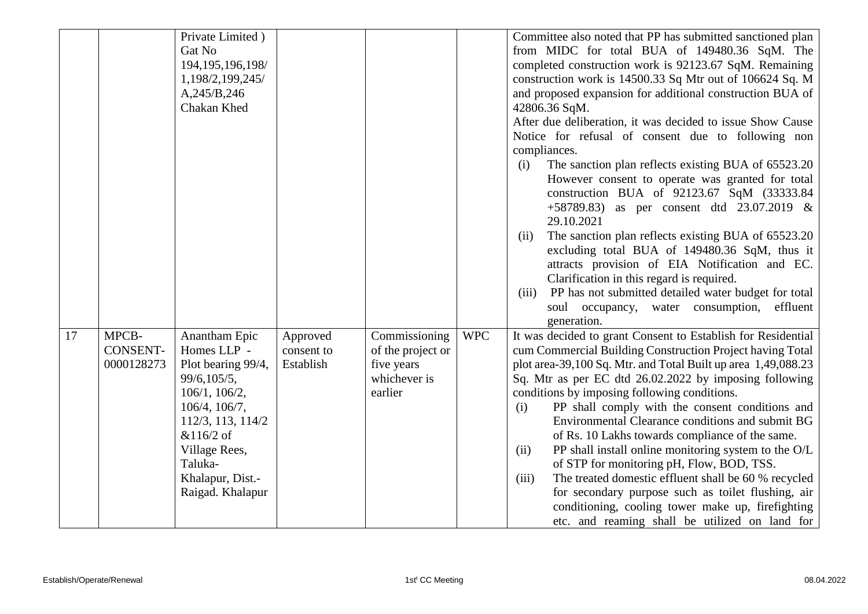|    |                                        | Private Limited)<br>Gat No<br>194, 195, 196, 198/<br>1,198/2,199,245/<br>A,245/B,246                                                                                                                      |                                     |                                                                             |            | Committee also noted that PP has submitted sanctioned plan<br>from MIDC for total BUA of 149480.36 SqM. The<br>completed construction work is 92123.67 SqM. Remaining<br>construction work is 14500.33 Sq Mtr out of 106624 Sq. M<br>and proposed expansion for additional construction BUA of                                                                                                                                                                                                                                                                                                                                                                                                                                                                                                                   |
|----|----------------------------------------|-----------------------------------------------------------------------------------------------------------------------------------------------------------------------------------------------------------|-------------------------------------|-----------------------------------------------------------------------------|------------|------------------------------------------------------------------------------------------------------------------------------------------------------------------------------------------------------------------------------------------------------------------------------------------------------------------------------------------------------------------------------------------------------------------------------------------------------------------------------------------------------------------------------------------------------------------------------------------------------------------------------------------------------------------------------------------------------------------------------------------------------------------------------------------------------------------|
|    |                                        | Chakan Khed                                                                                                                                                                                               |                                     |                                                                             |            | 42806.36 SqM.<br>After due deliberation, it was decided to issue Show Cause<br>Notice for refusal of consent due to following non<br>compliances.<br>The sanction plan reflects existing BUA of 65523.20<br>(i)<br>However consent to operate was granted for total<br>construction BUA of 92123.67 SqM (33333.84)<br>+58789.83) as per consent dtd $23.07.2019$ &<br>29.10.2021<br>The sanction plan reflects existing BUA of 65523.20<br>(ii)<br>excluding total BUA of 149480.36 SqM, thus it<br>attracts provision of EIA Notification and EC.<br>Clarification in this regard is required.<br>PP has not submitted detailed water budget for total<br>(iii)<br>soul occupancy, water consumption, effluent<br>generation.                                                                                   |
| 17 | MPCB-<br><b>CONSENT-</b><br>0000128273 | Anantham Epic<br>Homes LLP -<br>Plot bearing 99/4,<br>99/6,105/5,<br>106/1, 106/2,<br>106/4, 106/7,<br>112/3, 113, 114/2<br>&116/2 of<br>Village Rees,<br>Taluka-<br>Khalapur, Dist.-<br>Raigad. Khalapur | Approved<br>consent to<br>Establish | Commissioning<br>of the project or<br>five years<br>whichever is<br>earlier | <b>WPC</b> | It was decided to grant Consent to Establish for Residential<br>cum Commercial Building Construction Project having Total<br>plot area-39,100 Sq. Mtr. and Total Built up area 1,49,088.23<br>Sq. Mtr as per EC dtd 26.02.2022 by imposing following<br>conditions by imposing following conditions.<br>PP shall comply with the consent conditions and<br>(i)<br>Environmental Clearance conditions and submit BG<br>of Rs. 10 Lakhs towards compliance of the same.<br>PP shall install online monitoring system to the O/L<br>(ii)<br>of STP for monitoring pH, Flow, BOD, TSS.<br>The treated domestic effluent shall be 60 % recycled<br>(iii)<br>for secondary purpose such as toilet flushing, air<br>conditioning, cooling tower make up, firefighting<br>etc. and reaming shall be utilized on land for |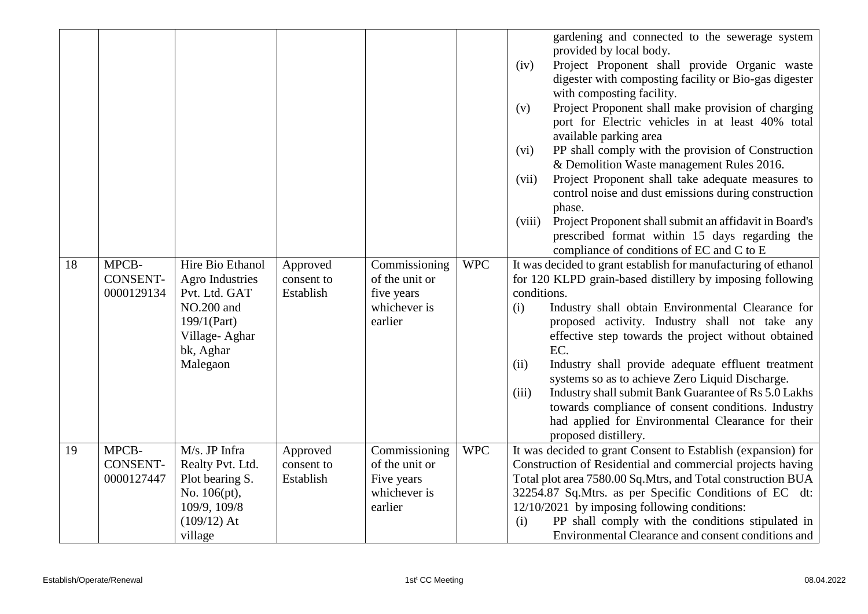| 18 | MPCB-<br><b>CONSENT-</b><br>0000129134 | Hire Bio Ethanol<br>Agro Industries<br>Pvt. Ltd. GAT<br>NO.200 and<br>$199/1$ (Part)<br>Village-Aghar<br>bk, Aghar | Approved<br>consent to<br>Establish | Commissioning<br>of the unit or<br>five years<br>whichever is<br>earlier | <b>WPC</b> | gardening and connected to the sewerage system<br>provided by local body.<br>Project Proponent shall provide Organic waste<br>(iv)<br>digester with composting facility or Bio-gas digester<br>with composting facility.<br>Project Proponent shall make provision of charging<br>(v)<br>port for Electric vehicles in at least 40% total<br>available parking area<br>PP shall comply with the provision of Construction<br>(vi)<br>& Demolition Waste management Rules 2016.<br>Project Proponent shall take adequate measures to<br>(vii)<br>control noise and dust emissions during construction<br>phase.<br>Project Proponent shall submit an affidavit in Board's<br>(viii)<br>prescribed format within 15 days regarding the<br>compliance of conditions of EC and C to E<br>It was decided to grant establish for manufacturing of ethanol<br>for 120 KLPD grain-based distillery by imposing following<br>conditions.<br>Industry shall obtain Environmental Clearance for<br>(i)<br>proposed activity. Industry shall not take any<br>effective step towards the project without obtained<br>EC. |
|----|----------------------------------------|--------------------------------------------------------------------------------------------------------------------|-------------------------------------|--------------------------------------------------------------------------|------------|-------------------------------------------------------------------------------------------------------------------------------------------------------------------------------------------------------------------------------------------------------------------------------------------------------------------------------------------------------------------------------------------------------------------------------------------------------------------------------------------------------------------------------------------------------------------------------------------------------------------------------------------------------------------------------------------------------------------------------------------------------------------------------------------------------------------------------------------------------------------------------------------------------------------------------------------------------------------------------------------------------------------------------------------------------------------------------------------------------------|
|    |                                        | Malegaon                                                                                                           |                                     |                                                                          |            | (ii)<br>Industry shall provide adequate effluent treatment<br>systems so as to achieve Zero Liquid Discharge.<br>Industry shall submit Bank Guarantee of Rs 5.0 Lakhs<br>(iii)<br>towards compliance of consent conditions. Industry<br>had applied for Environmental Clearance for their<br>proposed distillery.                                                                                                                                                                                                                                                                                                                                                                                                                                                                                                                                                                                                                                                                                                                                                                                           |
| 19 | MPCB-<br><b>CONSENT-</b><br>0000127447 | M/s. JP Infra<br>Realty Pvt. Ltd.<br>Plot bearing S.<br>No. 106(pt),<br>109/9, 109/8<br>$(109/12)$ At<br>village   | Approved<br>consent to<br>Establish | Commissioning<br>of the unit or<br>Five years<br>whichever is<br>earlier | <b>WPC</b> | It was decided to grant Consent to Establish (expansion) for<br>Construction of Residential and commercial projects having<br>Total plot area 7580.00 Sq.Mtrs, and Total construction BUA<br>32254.87 Sq.Mtrs. as per Specific Conditions of EC dt:<br>$12/10/2021$ by imposing following conditions:<br>PP shall comply with the conditions stipulated in<br>(i)<br>Environmental Clearance and consent conditions and                                                                                                                                                                                                                                                                                                                                                                                                                                                                                                                                                                                                                                                                                     |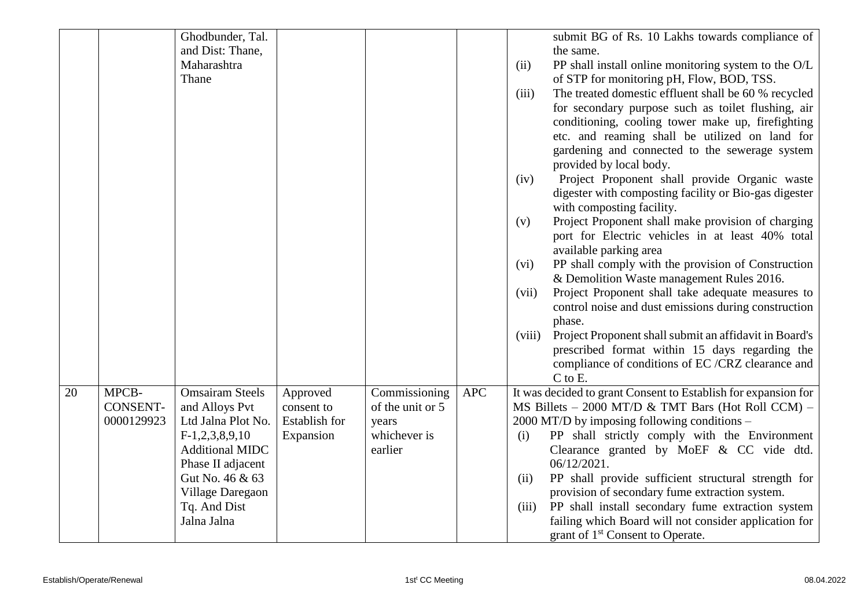|    |                 | Ghodbunder, Tal.       |               |                  |            |        | submit BG of Rs. 10 Lakhs towards compliance of                |
|----|-----------------|------------------------|---------------|------------------|------------|--------|----------------------------------------------------------------|
|    |                 | and Dist: Thane,       |               |                  |            |        | the same.                                                      |
|    |                 | Maharashtra            |               |                  |            | (ii)   | PP shall install online monitoring system to the O/L           |
|    |                 | Thane                  |               |                  |            |        | of STP for monitoring pH, Flow, BOD, TSS.                      |
|    |                 |                        |               |                  |            | (iii)  | The treated domestic effluent shall be 60 % recycled           |
|    |                 |                        |               |                  |            |        | for secondary purpose such as toilet flushing, air             |
|    |                 |                        |               |                  |            |        | conditioning, cooling tower make up, firefighting              |
|    |                 |                        |               |                  |            |        | etc. and reaming shall be utilized on land for                 |
|    |                 |                        |               |                  |            |        | gardening and connected to the sewerage system                 |
|    |                 |                        |               |                  |            |        | provided by local body.                                        |
|    |                 |                        |               |                  |            | (iv)   | Project Proponent shall provide Organic waste                  |
|    |                 |                        |               |                  |            |        | digester with composting facility or Bio-gas digester          |
|    |                 |                        |               |                  |            |        | with composting facility.                                      |
|    |                 |                        |               |                  |            | (v)    | Project Proponent shall make provision of charging             |
|    |                 |                        |               |                  |            |        | port for Electric vehicles in at least 40% total               |
|    |                 |                        |               |                  |            |        | available parking area                                         |
|    |                 |                        |               |                  |            | (vi)   | PP shall comply with the provision of Construction             |
|    |                 |                        |               |                  |            |        | & Demolition Waste management Rules 2016.                      |
|    |                 |                        |               |                  |            | (vii)  | Project Proponent shall take adequate measures to              |
|    |                 |                        |               |                  |            |        | control noise and dust emissions during construction           |
|    |                 |                        |               |                  |            |        | phase.                                                         |
|    |                 |                        |               |                  |            | (viii) | Project Proponent shall submit an affidavit in Board's         |
|    |                 |                        |               |                  |            |        | prescribed format within 15 days regarding the                 |
|    |                 |                        |               |                  |            |        | compliance of conditions of EC /CRZ clearance and              |
|    |                 |                        |               |                  |            |        | C to E.                                                        |
| 20 | MPCB-           | <b>Omsairam Steels</b> | Approved      | Commissioning    | <b>APC</b> |        | It was decided to grant Consent to Establish for expansion for |
|    | <b>CONSENT-</b> | and Alloys Pvt         | consent to    | of the unit or 5 |            |        | MS Billets $-$ 2000 MT/D & TMT Bars (Hot Roll CCM) $-$         |
|    | 0000129923      | Ltd Jalna Plot No.     | Establish for | years            |            |        | 2000 MT/D by imposing following conditions –                   |
|    |                 | $F-1,2,3,8,9,10$       | Expansion     | whichever is     |            | (i)    | PP shall strictly comply with the Environment                  |
|    |                 | <b>Additional MIDC</b> |               | earlier          |            |        | Clearance granted by MoEF $\&$ CC vide dtd.                    |
|    |                 | Phase II adjacent      |               |                  |            |        | 06/12/2021.                                                    |
|    |                 | Gut No. 46 & 63        |               |                  |            | (ii)   | PP shall provide sufficient structural strength for            |
|    |                 | Village Daregaon       |               |                  |            |        | provision of secondary fume extraction system.                 |
|    |                 | Tq. And Dist           |               |                  |            | (iii)  | PP shall install secondary fume extraction system              |
|    |                 | Jalna Jalna            |               |                  |            |        | failing which Board will not consider application for          |
|    |                 |                        |               |                  |            |        | grant of 1 <sup>st</sup> Consent to Operate.                   |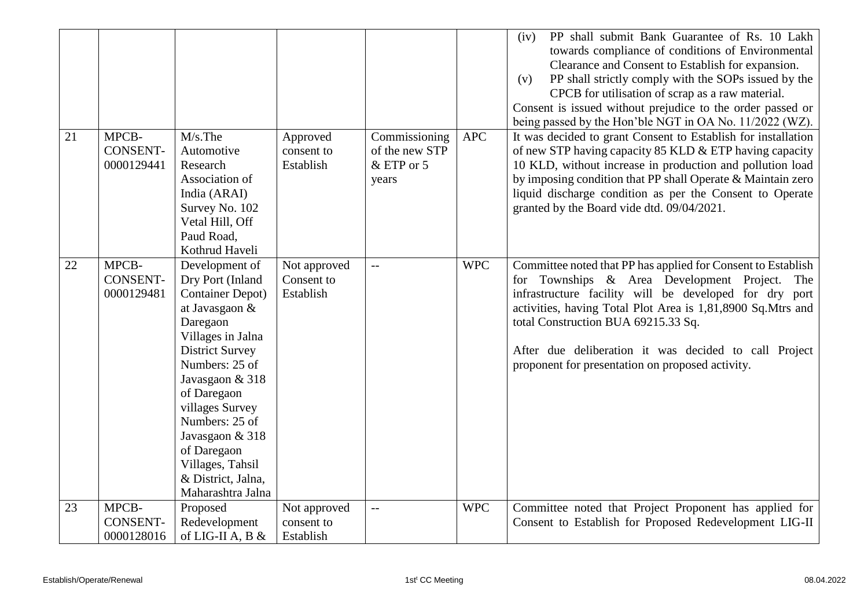|    |                                        |                                                                                                                                                                                                                                                                                                                                       |                                         |                                                        |            | PP shall submit Bank Guarantee of Rs. 10 Lakh<br>(iv)<br>towards compliance of conditions of Environmental<br>Clearance and Consent to Establish for expansion.<br>PP shall strictly comply with the SOPs issued by the<br>(v)<br>CPCB for utilisation of scrap as a raw material.<br>Consent is issued without prejudice to the order passed or<br>being passed by the Hon'ble NGT in OA No. 11/2022 (WZ). |
|----|----------------------------------------|---------------------------------------------------------------------------------------------------------------------------------------------------------------------------------------------------------------------------------------------------------------------------------------------------------------------------------------|-----------------------------------------|--------------------------------------------------------|------------|-------------------------------------------------------------------------------------------------------------------------------------------------------------------------------------------------------------------------------------------------------------------------------------------------------------------------------------------------------------------------------------------------------------|
| 21 | MPCB-<br><b>CONSENT-</b><br>0000129441 | $M/s$ . The<br>Automotive<br>Research<br>Association of<br>India (ARAI)<br>Survey No. 102<br>Vetal Hill, Off<br>Paud Road,<br>Kothrud Haveli                                                                                                                                                                                          | Approved<br>consent to<br>Establish     | Commissioning<br>of the new STP<br>& ETP or 5<br>years | <b>APC</b> | It was decided to grant Consent to Establish for installation<br>of new STP having capacity 85 KLD & ETP having capacity<br>10 KLD, without increase in production and pollution load<br>by imposing condition that PP shall Operate & Maintain zero<br>liquid discharge condition as per the Consent to Operate<br>granted by the Board vide dtd. 09/04/2021.                                              |
| 22 | MPCB-<br><b>CONSENT-</b><br>0000129481 | Development of<br>Dry Port (Inland<br><b>Container Depot</b> )<br>at Javasgaon &<br>Daregaon<br>Villages in Jalna<br><b>District Survey</b><br>Numbers: 25 of<br>Javasgaon & 318<br>of Daregaon<br>villages Survey<br>Numbers: 25 of<br>Javasgaon & 318<br>of Daregaon<br>Villages, Tahsil<br>& District, Jalna,<br>Maharashtra Jalna | Not approved<br>Consent to<br>Establish | $\overline{\phantom{m}}$                               | <b>WPC</b> | Committee noted that PP has applied for Consent to Establish<br>Townships & Area Development Project.<br>for<br>The<br>infrastructure facility will be developed for dry port<br>activities, having Total Plot Area is 1,81,8900 Sq.Mtrs and<br>total Construction BUA 69215.33 Sq.<br>After due deliberation it was decided to call Project<br>proponent for presentation on proposed activity.            |
| 23 | MPCB-<br><b>CONSENT-</b><br>0000128016 | Proposed<br>Redevelopment<br>of LIG-II A, B $\&$                                                                                                                                                                                                                                                                                      | Not approved<br>consent to<br>Establish | $-$                                                    | <b>WPC</b> | Committee noted that Project Proponent has applied for<br>Consent to Establish for Proposed Redevelopment LIG-II                                                                                                                                                                                                                                                                                            |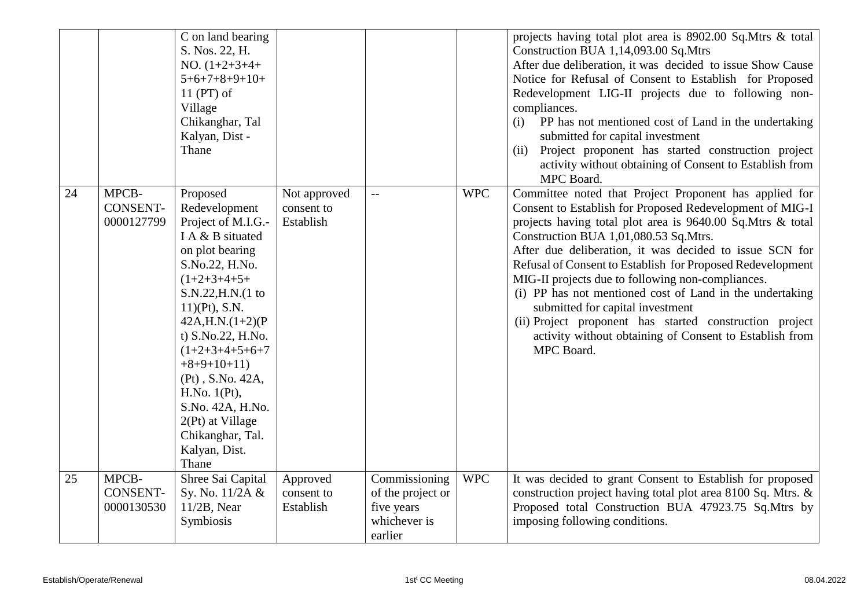|    |                                        | C on land bearing<br>S. Nos. 22, H.<br>NO. $(1+2+3+4+$<br>$5+6+7+8+9+10+$<br>$11$ (PT) of<br>Village<br>Chikanghar, Tal<br>Kalyan, Dist -<br>Thane                                                                                                                                                                                                                                 |                                         |                                                                             |            | projects having total plot area is 8902.00 Sq.Mtrs & total<br>Construction BUA 1,14,093.00 Sq.Mtrs<br>After due deliberation, it was decided to issue Show Cause<br>Notice for Refusal of Consent to Establish for Proposed<br>Redevelopment LIG-II projects due to following non-<br>compliances.<br>PP has not mentioned cost of Land in the undertaking<br>(i)<br>submitted for capital investment<br>Project proponent has started construction project<br>(ii)<br>activity without obtaining of Consent to Establish from<br>MPC Board.                                                                                                |
|----|----------------------------------------|------------------------------------------------------------------------------------------------------------------------------------------------------------------------------------------------------------------------------------------------------------------------------------------------------------------------------------------------------------------------------------|-----------------------------------------|-----------------------------------------------------------------------------|------------|---------------------------------------------------------------------------------------------------------------------------------------------------------------------------------------------------------------------------------------------------------------------------------------------------------------------------------------------------------------------------------------------------------------------------------------------------------------------------------------------------------------------------------------------------------------------------------------------------------------------------------------------|
| 24 | MPCB-<br><b>CONSENT-</b><br>0000127799 | Proposed<br>Redevelopment<br>Project of M.I.G.-<br>I A & B situated<br>on plot bearing<br>S.No.22, H.No.<br>$(1+2+3+4+5+$<br>S.N.22, H.N. (1 to<br>$11)$ (Pt), S.N.<br>$42A, H.N. (1+2)(P)$<br>t) S.No.22, H.No.<br>$(1+2+3+4+5+6+7)$<br>$+8+9+10+11$<br>(Pt), S.No. 42A,<br>H.No. $1(Pt)$ ,<br>S.No. 42A, H.No.<br>2(Pt) at Village<br>Chikanghar, Tal.<br>Kalyan, Dist.<br>Thane | Not approved<br>consent to<br>Establish |                                                                             | <b>WPC</b> | Committee noted that Project Proponent has applied for<br>Consent to Establish for Proposed Redevelopment of MIG-I<br>projects having total plot area is 9640.00 Sq.Mtrs & total<br>Construction BUA 1,01,080.53 Sq.Mtrs.<br>After due deliberation, it was decided to issue SCN for<br>Refusal of Consent to Establish for Proposed Redevelopment<br>MIG-II projects due to following non-compliances.<br>(i) PP has not mentioned cost of Land in the undertaking<br>submitted for capital investment<br>(ii) Project proponent has started construction project<br>activity without obtaining of Consent to Establish from<br>MPC Board. |
| 25 | MPCB-<br><b>CONSENT-</b><br>0000130530 | Shree Sai Capital<br>Sy. No. 11/2A &<br>$11/2B$ , Near<br>Symbiosis                                                                                                                                                                                                                                                                                                                | Approved<br>consent to<br>Establish     | Commissioning<br>of the project or<br>five years<br>whichever is<br>earlier | <b>WPC</b> | It was decided to grant Consent to Establish for proposed<br>construction project having total plot area 8100 Sq. Mtrs. &<br>Proposed total Construction BUA 47923.75 Sq.Mtrs by<br>imposing following conditions.                                                                                                                                                                                                                                                                                                                                                                                                                          |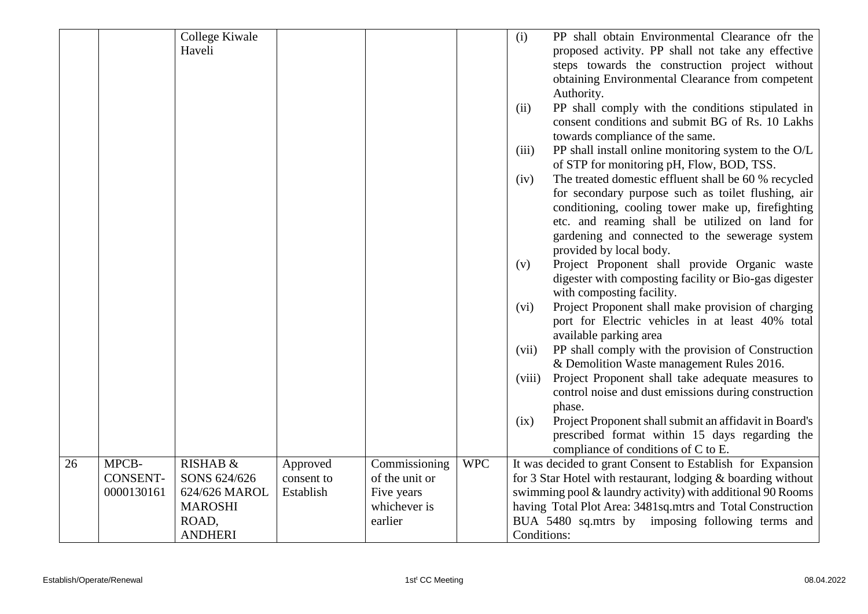|    |                 | College Kiwale |            |                |            | (i)         | PP shall obtain Environmental Clearance of the               |
|----|-----------------|----------------|------------|----------------|------------|-------------|--------------------------------------------------------------|
|    |                 | Haveli         |            |                |            |             | proposed activity. PP shall not take any effective           |
|    |                 |                |            |                |            |             | steps towards the construction project without               |
|    |                 |                |            |                |            |             | obtaining Environmental Clearance from competent             |
|    |                 |                |            |                |            |             | Authority.                                                   |
|    |                 |                |            |                |            | (ii)        | PP shall comply with the conditions stipulated in            |
|    |                 |                |            |                |            |             | consent conditions and submit BG of Rs. 10 Lakhs             |
|    |                 |                |            |                |            |             | towards compliance of the same.                              |
|    |                 |                |            |                |            | (iii)       | PP shall install online monitoring system to the O/L         |
|    |                 |                |            |                |            |             | of STP for monitoring pH, Flow, BOD, TSS.                    |
|    |                 |                |            |                |            | (iv)        | The treated domestic effluent shall be 60 % recycled         |
|    |                 |                |            |                |            |             | for secondary purpose such as toilet flushing, air           |
|    |                 |                |            |                |            |             | conditioning, cooling tower make up, firefighting            |
|    |                 |                |            |                |            |             | etc. and reaming shall be utilized on land for               |
|    |                 |                |            |                |            |             | gardening and connected to the sewerage system               |
|    |                 |                |            |                |            |             | provided by local body.                                      |
|    |                 |                |            |                |            | (v)         | Project Proponent shall provide Organic waste                |
|    |                 |                |            |                |            |             | digester with composting facility or Bio-gas digester        |
|    |                 |                |            |                |            |             | with composting facility.                                    |
|    |                 |                |            |                |            | (vi)        | Project Proponent shall make provision of charging           |
|    |                 |                |            |                |            |             | port for Electric vehicles in at least 40% total             |
|    |                 |                |            |                |            |             | available parking area                                       |
|    |                 |                |            |                |            | (vii)       | PP shall comply with the provision of Construction           |
|    |                 |                |            |                |            |             | & Demolition Waste management Rules 2016.                    |
|    |                 |                |            |                |            | (viii)      | Project Proponent shall take adequate measures to            |
|    |                 |                |            |                |            |             | control noise and dust emissions during construction         |
|    |                 |                |            |                |            |             | phase.                                                       |
|    |                 |                |            |                |            | (ix)        | Project Proponent shall submit an affidavit in Board's       |
|    |                 |                |            |                |            |             | prescribed format within 15 days regarding the               |
|    |                 |                |            |                |            |             | compliance of conditions of C to E.                          |
| 26 | MPCB-           | RISHAB &       | Approved   | Commissioning  | <b>WPC</b> |             | It was decided to grant Consent to Establish for Expansion   |
|    | <b>CONSENT-</b> | SONS 624/626   | consent to | of the unit or |            |             | for 3 Star Hotel with restaurant, lodging & boarding without |
|    | 0000130161      | 624/626 MAROL  | Establish  | Five years     |            |             | swimming pool & laundry activity) with additional 90 Rooms   |
|    |                 | <b>MAROSHI</b> |            | whichever is   |            |             | having Total Plot Area: 3481sq.mtrs and Total Construction   |
|    |                 | ROAD,          |            | earlier        |            |             | BUA 5480 sq.mtrs by imposing following terms and             |
|    |                 | <b>ANDHERI</b> |            |                |            | Conditions: |                                                              |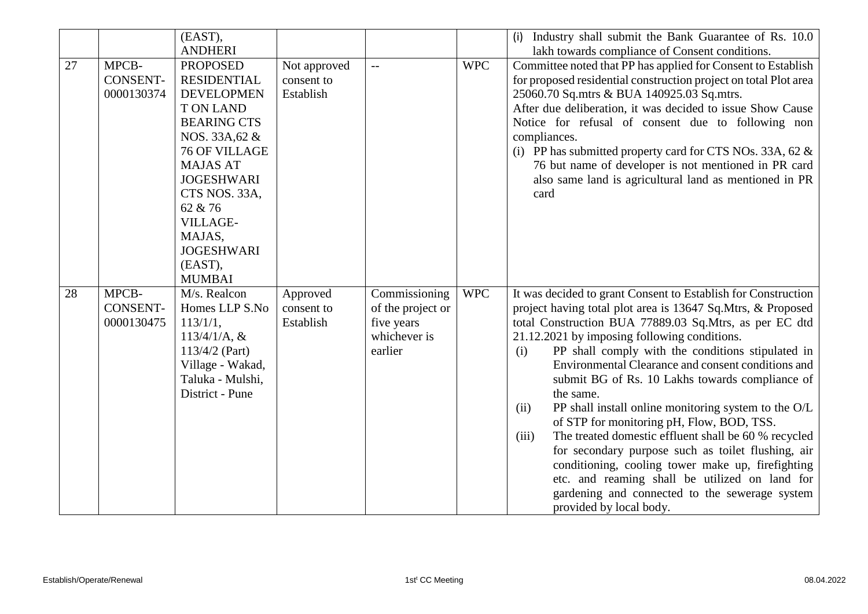|    |                                        | (EAST),<br><b>ANDHERI</b>                                                                                                                                                                                                                                                                       |                                         |                                                                             |            | Industry shall submit the Bank Guarantee of Rs. 10.0<br>(i)<br>lakh towards compliance of Consent conditions.                                                                                                                                                                                                                                                                                                                                                                                                                                                                                                                                                                                                                                                                                                                                    |
|----|----------------------------------------|-------------------------------------------------------------------------------------------------------------------------------------------------------------------------------------------------------------------------------------------------------------------------------------------------|-----------------------------------------|-----------------------------------------------------------------------------|------------|--------------------------------------------------------------------------------------------------------------------------------------------------------------------------------------------------------------------------------------------------------------------------------------------------------------------------------------------------------------------------------------------------------------------------------------------------------------------------------------------------------------------------------------------------------------------------------------------------------------------------------------------------------------------------------------------------------------------------------------------------------------------------------------------------------------------------------------------------|
| 27 | MPCB-<br><b>CONSENT-</b><br>0000130374 | <b>PROPOSED</b><br><b>RESIDENTIAL</b><br><b>DEVELOPMEN</b><br><b>TON LAND</b><br><b>BEARING CTS</b><br>NOS. 33A, 62 &<br><b>76 OF VILLAGE</b><br><b>MAJAS AT</b><br><b>JOGESHWARI</b><br>CTS NOS. 33A,<br>62 & 76<br><b>VILLAGE-</b><br>MAJAS,<br><b>JOGESHWARI</b><br>(EAST),<br><b>MUMBAI</b> | Not approved<br>consent to<br>Establish |                                                                             | <b>WPC</b> | Committee noted that PP has applied for Consent to Establish<br>for proposed residential construction project on total Plot area<br>25060.70 Sq.mtrs & BUA 140925.03 Sq.mtrs.<br>After due deliberation, it was decided to issue Show Cause<br>Notice for refusal of consent due to following non<br>compliances.<br>(i) PP has submitted property card for CTS NOs. 33A, 62 $\&$<br>76 but name of developer is not mentioned in PR card<br>also same land is agricultural land as mentioned in PR<br>card                                                                                                                                                                                                                                                                                                                                      |
| 28 | MPCB-<br><b>CONSENT-</b><br>0000130475 | M/s. Realcon<br>Homes LLP S.No<br>$113/1/1$ ,<br>$113/4/1/A$ , &<br>113/4/2 (Part)<br>Village - Wakad,<br>Taluka - Mulshi,<br>District - Pune                                                                                                                                                   | Approved<br>consent to<br>Establish     | Commissioning<br>of the project or<br>five years<br>whichever is<br>earlier | <b>WPC</b> | It was decided to grant Consent to Establish for Construction<br>project having total plot area is 13647 Sq.Mtrs, & Proposed<br>total Construction BUA 77889.03 Sq.Mtrs, as per EC dtd<br>21.12.2021 by imposing following conditions.<br>PP shall comply with the conditions stipulated in<br>(i)<br>Environmental Clearance and consent conditions and<br>submit BG of Rs. 10 Lakhs towards compliance of<br>the same.<br>PP shall install online monitoring system to the O/L<br>(ii)<br>of STP for monitoring pH, Flow, BOD, TSS.<br>The treated domestic effluent shall be 60 % recycled<br>(iii)<br>for secondary purpose such as toilet flushing, air<br>conditioning, cooling tower make up, firefighting<br>etc. and reaming shall be utilized on land for<br>gardening and connected to the sewerage system<br>provided by local body. |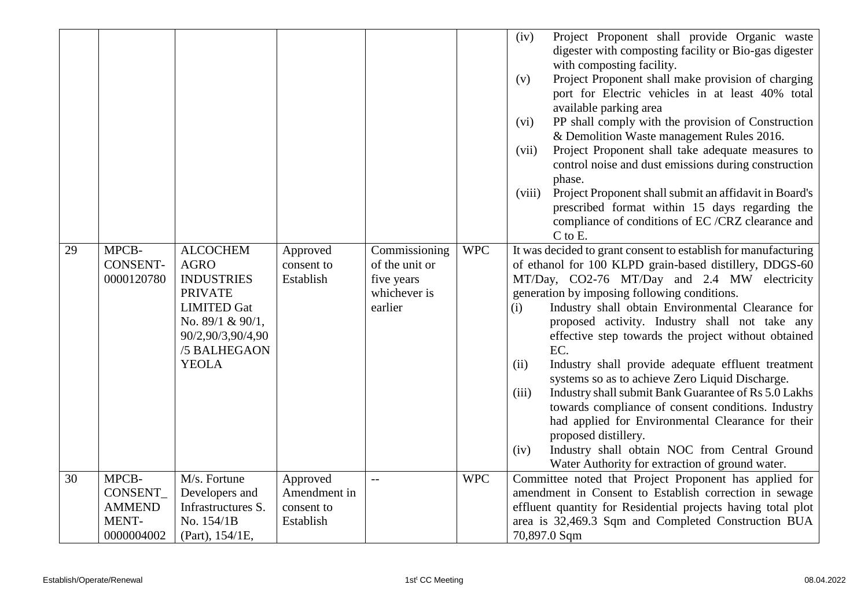| 29<br>30 | MPCB-<br><b>CONSENT-</b><br>0000120780<br>MPCB-  | <b>ALCOCHEM</b><br><b>AGRO</b><br><b>INDUSTRIES</b><br><b>PRIVATE</b><br><b>LIMITED Gat</b><br>No. 89/1 & 90/1,<br>90/2,90/3,90/4,90<br>/5 BALHEGAON<br><b>YEOLA</b><br>M/s. Fortune | Approved<br>consent to<br>Establish<br>Approved | Commissioning<br>of the unit or<br>five years<br>whichever is<br>earlier<br>$-$ | <b>WPC</b><br><b>WPC</b> | Project Proponent shall provide Organic waste<br>(iv)<br>digester with composting facility or Bio-gas digester<br>with composting facility.<br>Project Proponent shall make provision of charging<br>(v)<br>port for Electric vehicles in at least 40% total<br>available parking area<br>PP shall comply with the provision of Construction<br>(vi)<br>& Demolition Waste management Rules 2016.<br>Project Proponent shall take adequate measures to<br>(vii)<br>control noise and dust emissions during construction<br>phase.<br>(viii)<br>Project Proponent shall submit an affidavit in Board's<br>prescribed format within 15 days regarding the<br>compliance of conditions of EC /CRZ clearance and<br>$C$ to $E$ .<br>It was decided to grant consent to establish for manufacturing<br>of ethanol for 100 KLPD grain-based distillery, DDGS-60<br>MT/Day, CO2-76 MT/Day and 2.4 MW electricity<br>generation by imposing following conditions.<br>Industry shall obtain Environmental Clearance for<br>(i)<br>proposed activity. Industry shall not take any<br>effective step towards the project without obtained<br>EC.<br>(ii)<br>Industry shall provide adequate effluent treatment<br>systems so as to achieve Zero Liquid Discharge.<br>Industry shall submit Bank Guarantee of Rs 5.0 Lakhs<br>(iii)<br>towards compliance of consent conditions. Industry<br>had applied for Environmental Clearance for their<br>proposed distillery.<br>Industry shall obtain NOC from Central Ground<br>(iv)<br>Water Authority for extraction of ground water.<br>Committee noted that Project Proponent has applied for |
|----------|--------------------------------------------------|--------------------------------------------------------------------------------------------------------------------------------------------------------------------------------------|-------------------------------------------------|---------------------------------------------------------------------------------|--------------------------|----------------------------------------------------------------------------------------------------------------------------------------------------------------------------------------------------------------------------------------------------------------------------------------------------------------------------------------------------------------------------------------------------------------------------------------------------------------------------------------------------------------------------------------------------------------------------------------------------------------------------------------------------------------------------------------------------------------------------------------------------------------------------------------------------------------------------------------------------------------------------------------------------------------------------------------------------------------------------------------------------------------------------------------------------------------------------------------------------------------------------------------------------------------------------------------------------------------------------------------------------------------------------------------------------------------------------------------------------------------------------------------------------------------------------------------------------------------------------------------------------------------------------------------------------------------------------------------------------------------------------------|
|          | CONSENT_<br><b>AMMEND</b><br>MENT-<br>0000004002 | Developers and<br>Infrastructures S.<br>No. 154/1B<br>(Part), $154/1E$ ,                                                                                                             | Amendment in<br>consent to<br>Establish         |                                                                                 |                          | amendment in Consent to Establish correction in sewage<br>effluent quantity for Residential projects having total plot<br>area is 32,469.3 Sqm and Completed Construction BUA<br>70,897.0 Sqm                                                                                                                                                                                                                                                                                                                                                                                                                                                                                                                                                                                                                                                                                                                                                                                                                                                                                                                                                                                                                                                                                                                                                                                                                                                                                                                                                                                                                                    |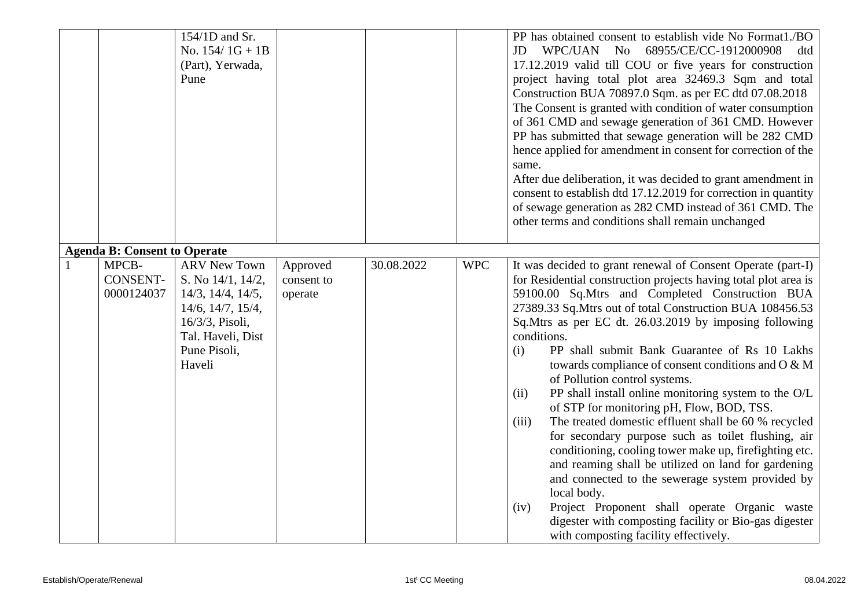|                                        | 154/1D and Sr.<br>No. $154/1G + 1B$<br>(Part), Yerwada,<br>Pune                                                                                                        |                                   |            |            | PP has obtained consent to establish vide No Format1./BO<br>WPC/UAN No 68955/CE/CC-1912000908<br>JD<br>dtd<br>17.12.2019 valid till COU or five years for construction<br>project having total plot area 32469.3 Sqm and total<br>Construction BUA 70897.0 Sqm. as per EC dtd 07.08.2018<br>The Consent is granted with condition of water consumption<br>of 361 CMD and sewage generation of 361 CMD. However<br>PP has submitted that sewage generation will be 282 CMD<br>hence applied for amendment in consent for correction of the<br>same.<br>After due deliberation, it was decided to grant amendment in<br>consent to establish dtd 17.12.2019 for correction in quantity<br>of sewage generation as 282 CMD instead of 361 CMD. The<br>other terms and conditions shall remain unchanged                                                                                                                                                                                                                                                     |
|----------------------------------------|------------------------------------------------------------------------------------------------------------------------------------------------------------------------|-----------------------------------|------------|------------|----------------------------------------------------------------------------------------------------------------------------------------------------------------------------------------------------------------------------------------------------------------------------------------------------------------------------------------------------------------------------------------------------------------------------------------------------------------------------------------------------------------------------------------------------------------------------------------------------------------------------------------------------------------------------------------------------------------------------------------------------------------------------------------------------------------------------------------------------------------------------------------------------------------------------------------------------------------------------------------------------------------------------------------------------------|
| <b>Agenda B: Consent to Operate</b>    |                                                                                                                                                                        |                                   |            |            |                                                                                                                                                                                                                                                                                                                                                                                                                                                                                                                                                                                                                                                                                                                                                                                                                                                                                                                                                                                                                                                          |
| MPCB-<br><b>CONSENT-</b><br>0000124037 | <b>ARV New Town</b><br>S. No 14/1, 14/2,<br>$14/3$ , $14/4$ , $14/5$ ,<br>$14/6$ , $14/7$ , $15/4$ ,<br>16/3/3, Pisoli,<br>Tal. Haveli, Dist<br>Pune Pisoli,<br>Haveli | Approved<br>consent to<br>operate | 30.08.2022 | <b>WPC</b> | It was decided to grant renewal of Consent Operate (part-I)<br>for Residential construction projects having total plot area is<br>59100.00 Sq.Mtrs and Completed Construction BUA<br>27389.33 Sq.Mtrs out of total Construction BUA 108456.53<br>Sq.Mtrs as per EC dt. 26.03.2019 by imposing following<br>conditions.<br>PP shall submit Bank Guarantee of Rs 10 Lakhs<br>(i)<br>towards compliance of consent conditions and O & M<br>of Pollution control systems.<br>PP shall install online monitoring system to the O/L<br>(ii)<br>of STP for monitoring pH, Flow, BOD, TSS.<br>The treated domestic effluent shall be 60 % recycled<br>(iii)<br>for secondary purpose such as toilet flushing, air<br>conditioning, cooling tower make up, firefighting etc.<br>and reaming shall be utilized on land for gardening<br>and connected to the sewerage system provided by<br>local body.<br>Project Proponent shall operate Organic waste<br>(iv)<br>digester with composting facility or Bio-gas digester<br>with composting facility effectively. |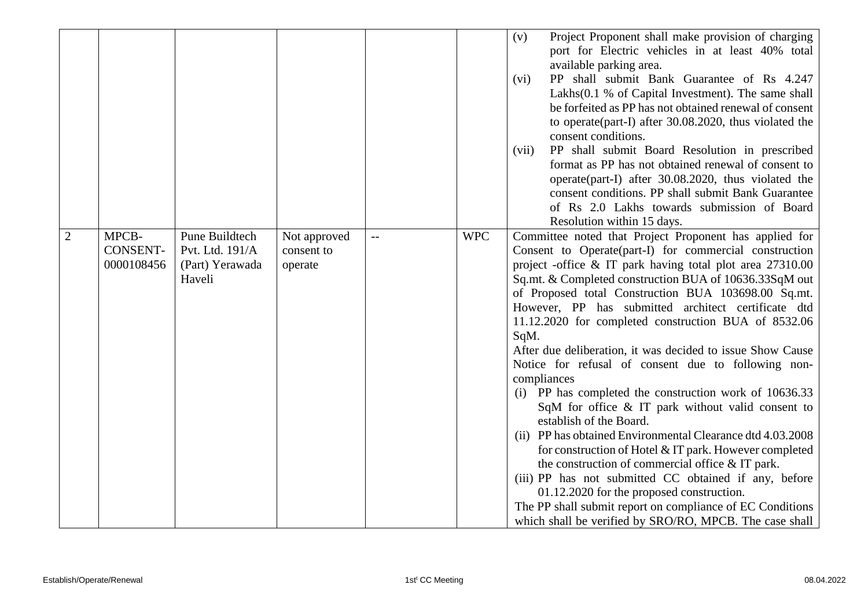| $\overline{2}$ | MPCB-                         | Pune Buildtech                     | Not approved          | -- | <b>WPC</b> | Project Proponent shall make provision of charging<br>(v)<br>port for Electric vehicles in at least 40% total<br>available parking area.<br>PP shall submit Bank Guarantee of Rs 4.247<br>(vi)<br>Lakhs(0.1 % of Capital Investment). The same shall<br>be forfeited as PP has not obtained renewal of consent<br>to operate(part-I) after 30.08.2020, thus violated the<br>consent conditions.<br>PP shall submit Board Resolution in prescribed<br>(vii)<br>format as PP has not obtained renewal of consent to<br>operate (part-I) after 30.08.2020, thus violated the<br>consent conditions. PP shall submit Bank Guarantee<br>of Rs 2.0 Lakhs towards submission of Board<br>Resolution within 15 days.<br>Committee noted that Project Proponent has applied for                                                                                                                                                           |
|----------------|-------------------------------|------------------------------------|-----------------------|----|------------|----------------------------------------------------------------------------------------------------------------------------------------------------------------------------------------------------------------------------------------------------------------------------------------------------------------------------------------------------------------------------------------------------------------------------------------------------------------------------------------------------------------------------------------------------------------------------------------------------------------------------------------------------------------------------------------------------------------------------------------------------------------------------------------------------------------------------------------------------------------------------------------------------------------------------------|
|                | <b>CONSENT-</b><br>0000108456 | Pvt. Ltd. 191/A<br>(Part) Yerawada | consent to<br>operate |    |            | Consent to Operate(part-I) for commercial construction<br>project -office & IT park having total plot area 27310.00                                                                                                                                                                                                                                                                                                                                                                                                                                                                                                                                                                                                                                                                                                                                                                                                              |
|                |                               | Haveli                             |                       |    |            | Sq.mt. & Completed construction BUA of 10636.33SqM out<br>of Proposed total Construction BUA 103698.00 Sq.mt.<br>However, PP has submitted architect certificate dtd<br>11.12.2020 for completed construction BUA of 8532.06<br>SqM.<br>After due deliberation, it was decided to issue Show Cause<br>Notice for refusal of consent due to following non-<br>compliances<br>(i) PP has completed the construction work of 10636.33<br>SqM for office $\&$ IT park without valid consent to<br>establish of the Board.<br>(ii) PP has obtained Environmental Clearance dtd 4.03.2008<br>for construction of Hotel & IT park. However completed<br>the construction of commercial office $&IT$ park.<br>(iii) PP has not submitted CC obtained if any, before<br>01.12.2020 for the proposed construction.<br>The PP shall submit report on compliance of EC Conditions<br>which shall be verified by SRO/RO, MPCB. The case shall |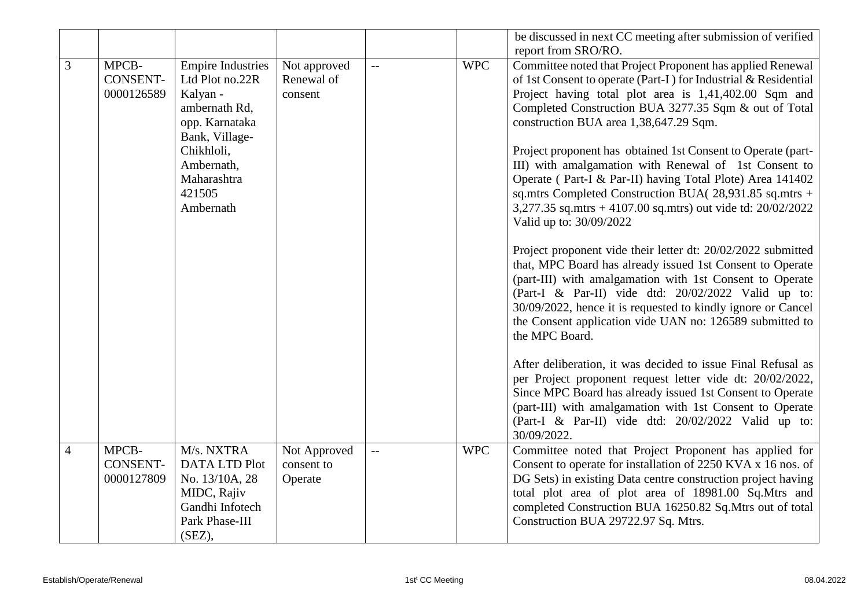|                |                 |                                  |              |                                               |            | be discussed in next CC meeting after submission of verified    |
|----------------|-----------------|----------------------------------|--------------|-----------------------------------------------|------------|-----------------------------------------------------------------|
|                |                 |                                  |              |                                               |            | report from SRO/RO.                                             |
| $\overline{3}$ | MPCB-           | <b>Empire Industries</b>         | Not approved | $\mathbf{L}$                                  | <b>WPC</b> | Committee noted that Project Proponent has applied Renewal      |
|                | <b>CONSENT-</b> | Ltd Plot no.22R                  | Renewal of   |                                               |            | of 1st Consent to operate (Part-I) for Industrial & Residential |
|                | 0000126589      | Kalyan -                         | consent      |                                               |            | Project having total plot area is 1,41,402.00 Sqm and           |
|                |                 | ambernath Rd,                    |              |                                               |            | Completed Construction BUA 3277.35 Sqm & out of Total           |
|                |                 | opp. Karnataka<br>Bank, Village- |              |                                               |            | construction BUA area 1,38,647.29 Sqm.                          |
|                |                 | Chikhloli,                       |              |                                               |            | Project proponent has obtained 1st Consent to Operate (part-    |
|                |                 | Ambernath,                       |              |                                               |            | III) with amalgamation with Renewal of 1st Consent to           |
|                |                 | Maharashtra                      |              |                                               |            | Operate (Part-I & Par-II) having Total Plote) Area 141402       |
|                |                 | 421505                           |              |                                               |            | sq.mtrs Completed Construction BUA(28,931.85 sq.mtrs +          |
|                |                 | Ambernath                        |              |                                               |            | 3,277.35 sq.mtrs + 4107.00 sq.mtrs) out vide td: 20/02/2022     |
|                |                 |                                  |              |                                               |            | Valid up to: 30/09/2022                                         |
|                |                 |                                  |              |                                               |            | Project proponent vide their letter dt: 20/02/2022 submitted    |
|                |                 |                                  |              |                                               |            | that, MPC Board has already issued 1st Consent to Operate       |
|                |                 |                                  |              |                                               |            | (part-III) with amalgamation with 1st Consent to Operate        |
|                |                 |                                  |              |                                               |            | (Part-I & Par-II) vide dtd: 20/02/2022 Valid up to:             |
|                |                 |                                  |              |                                               |            | 30/09/2022, hence it is requested to kindly ignore or Cancel    |
|                |                 |                                  |              |                                               |            | the Consent application vide UAN no: 126589 submitted to        |
|                |                 |                                  |              |                                               |            | the MPC Board.                                                  |
|                |                 |                                  |              |                                               |            | After deliberation, it was decided to issue Final Refusal as    |
|                |                 |                                  |              |                                               |            | per Project proponent request letter vide dt: 20/02/2022,       |
|                |                 |                                  |              |                                               |            | Since MPC Board has already issued 1st Consent to Operate       |
|                |                 |                                  |              |                                               |            | (part-III) with amalgamation with 1st Consent to Operate        |
|                |                 |                                  |              |                                               |            | (Part-I & Par-II) vide dtd: 20/02/2022 Valid up to:             |
|                |                 |                                  |              |                                               |            | 30/09/2022.                                                     |
| $\overline{4}$ | MPCB-           | M/s. NXTRA                       | Not Approved | $\mathord{\hspace{1pt}\text{--}\hspace{1pt}}$ | <b>WPC</b> | Committee noted that Project Proponent has applied for          |
|                | <b>CONSENT-</b> | DATA LTD Plot                    | consent to   |                                               |            | Consent to operate for installation of 2250 KVA x 16 nos. of    |
|                | 0000127809      | No. 13/10A, 28                   | Operate      |                                               |            | DG Sets) in existing Data centre construction project having    |
|                |                 | MIDC, Rajiv                      |              |                                               |            | total plot area of plot area of 18981.00 Sq.Mtrs and            |
|                |                 | Gandhi Infotech                  |              |                                               |            | completed Construction BUA 16250.82 Sq.Mtrs out of total        |
|                |                 | Park Phase-III                   |              |                                               |            | Construction BUA 29722.97 Sq. Mtrs.                             |
|                |                 | (SEZ),                           |              |                                               |            |                                                                 |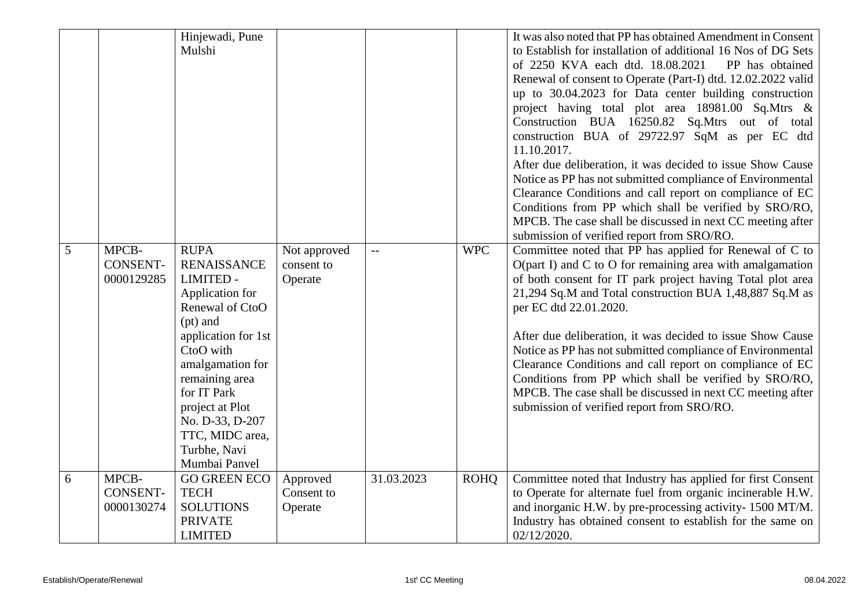|   |                                        | Hinjewadi, Pune<br>Mulshi                                                                                                                                                                                                                                                                    |                                       |                          |             | It was also noted that PP has obtained Amendment in Consent<br>to Establish for installation of additional 16 Nos of DG Sets<br>of 2250 KVA each dtd. 18.08.2021<br>PP has obtained<br>Renewal of consent to Operate (Part-I) dtd. 12.02.2022 valid<br>up to 30.04.2023 for Data center building construction<br>project having total plot area 18981.00 Sq.Mtrs &<br>Construction BUA 16250.82 Sq.Mtrs out of total                                                                                                                                                                                                                    |
|---|----------------------------------------|----------------------------------------------------------------------------------------------------------------------------------------------------------------------------------------------------------------------------------------------------------------------------------------------|---------------------------------------|--------------------------|-------------|-----------------------------------------------------------------------------------------------------------------------------------------------------------------------------------------------------------------------------------------------------------------------------------------------------------------------------------------------------------------------------------------------------------------------------------------------------------------------------------------------------------------------------------------------------------------------------------------------------------------------------------------|
|   |                                        |                                                                                                                                                                                                                                                                                              |                                       |                          |             | construction BUA of 29722.97 SqM as per EC dtd<br>11.10.2017.<br>After due deliberation, it was decided to issue Show Cause<br>Notice as PP has not submitted compliance of Environmental<br>Clearance Conditions and call report on compliance of EC<br>Conditions from PP which shall be verified by SRO/RO,<br>MPCB. The case shall be discussed in next CC meeting after<br>submission of verified report from SRO/RO.                                                                                                                                                                                                              |
| 5 | MPCB-<br><b>CONSENT-</b><br>0000129285 | <b>RUPA</b><br><b>RENAISSANCE</b><br><b>LIMITED -</b><br>Application for<br>Renewal of CtoO<br>$(pt)$ and<br>application for 1st<br>CtoO with<br>amalgamation for<br>remaining area<br>for IT Park<br>project at Plot<br>No. D-33, D-207<br>TTC, MIDC area,<br>Turbhe, Navi<br>Mumbai Panvel | Not approved<br>consent to<br>Operate | $\overline{\phantom{m}}$ | <b>WPC</b>  | Committee noted that PP has applied for Renewal of C to<br>$O$ (part I) and C to O for remaining area with amalgamation<br>of both consent for IT park project having Total plot area<br>21,294 Sq.M and Total construction BUA 1,48,887 Sq.M as<br>per EC dtd 22.01.2020.<br>After due deliberation, it was decided to issue Show Cause<br>Notice as PP has not submitted compliance of Environmental<br>Clearance Conditions and call report on compliance of EC<br>Conditions from PP which shall be verified by SRO/RO,<br>MPCB. The case shall be discussed in next CC meeting after<br>submission of verified report from SRO/RO. |
| 6 | MPCB-<br><b>CONSENT-</b><br>0000130274 | <b>GO GREEN ECO</b><br><b>TECH</b><br><b>SOLUTIONS</b><br><b>PRIVATE</b><br><b>LIMITED</b>                                                                                                                                                                                                   | Approved<br>Consent to<br>Operate     | 31.03.2023               | <b>ROHQ</b> | Committee noted that Industry has applied for first Consent<br>to Operate for alternate fuel from organic incinerable H.W.<br>and inorganic H.W. by pre-processing activity- 1500 MT/M.<br>Industry has obtained consent to establish for the same on<br>02/12/2020.                                                                                                                                                                                                                                                                                                                                                                    |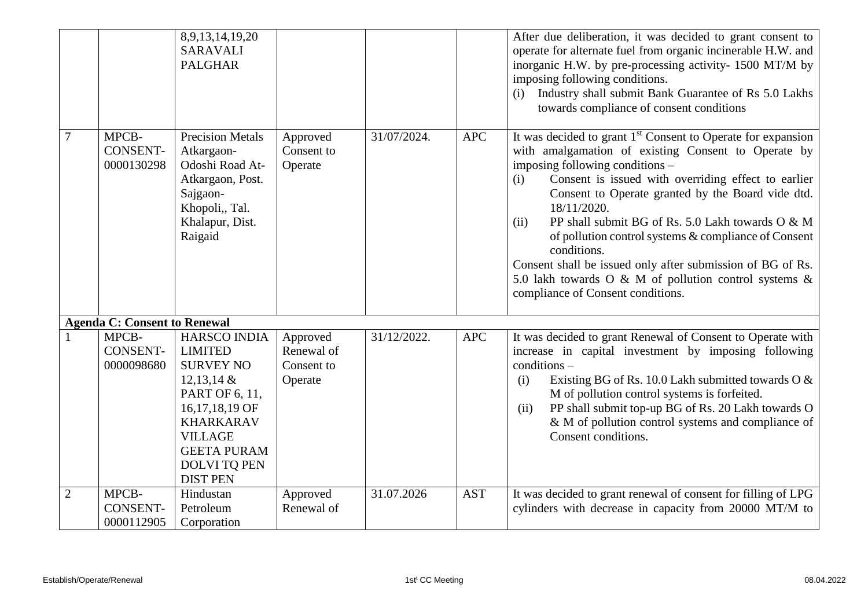|                |                                        | 8,9,13,14,19,20<br><b>SARAVALI</b><br><b>PALGHAR</b>                                                                                                                                                         |                                                 |             |            | After due deliberation, it was decided to grant consent to<br>operate for alternate fuel from organic incinerable H.W. and<br>inorganic H.W. by pre-processing activity- 1500 MT/M by<br>imposing following conditions.<br>Industry shall submit Bank Guarantee of Rs 5.0 Lakhs<br>(i)<br>towards compliance of consent conditions                                                                                                                                                                                                                                                                  |
|----------------|----------------------------------------|--------------------------------------------------------------------------------------------------------------------------------------------------------------------------------------------------------------|-------------------------------------------------|-------------|------------|-----------------------------------------------------------------------------------------------------------------------------------------------------------------------------------------------------------------------------------------------------------------------------------------------------------------------------------------------------------------------------------------------------------------------------------------------------------------------------------------------------------------------------------------------------------------------------------------------------|
|                | MPCB-<br><b>CONSENT-</b><br>0000130298 | <b>Precision Metals</b><br>Atkargaon-<br>Odoshi Road At-<br>Atkargaon, Post.<br>Sajgaon-<br>Khopoli,, Tal.<br>Khalapur, Dist.<br>Raigaid                                                                     | Approved<br>Consent to<br>Operate               | 31/07/2024. | <b>APC</b> | It was decided to grant 1 <sup>st</sup> Consent to Operate for expansion<br>with amalgamation of existing Consent to Operate by<br>imposing following conditions -<br>Consent is issued with overriding effect to earlier<br>(i)<br>Consent to Operate granted by the Board vide dtd.<br>18/11/2020.<br>PP shall submit BG of Rs. 5.0 Lakh towards O & M<br>(ii)<br>of pollution control systems & compliance of Consent<br>conditions.<br>Consent shall be issued only after submission of BG of Rs.<br>5.0 lakh towards O & M of pollution control systems &<br>compliance of Consent conditions. |
|                | <b>Agenda C: Consent to Renewal</b>    |                                                                                                                                                                                                              |                                                 |             |            |                                                                                                                                                                                                                                                                                                                                                                                                                                                                                                                                                                                                     |
|                | MPCB-<br><b>CONSENT-</b><br>0000098680 | HARSCO INDIA<br><b>LIMITED</b><br><b>SURVEY NO</b><br>$12,13,14 \&$<br>PART OF 6, 11,<br>16,17,18,19 OF<br><b>KHARKARAV</b><br><b>VILLAGE</b><br><b>GEETA PURAM</b><br><b>DOLVITQ PEN</b><br><b>DIST PEN</b> | Approved<br>Renewal of<br>Consent to<br>Operate | 31/12/2022. | <b>APC</b> | It was decided to grant Renewal of Consent to Operate with<br>increase in capital investment by imposing following<br>$conditions -$<br>Existing BG of Rs. 10.0 Lakh submitted towards O &<br>(i)<br>M of pollution control systems is forfeited.<br>PP shall submit top-up BG of Rs. 20 Lakh towards O<br>(ii)<br>& M of pollution control systems and compliance of<br>Consent conditions.                                                                                                                                                                                                        |
| $\overline{2}$ | MPCB-<br><b>CONSENT-</b><br>0000112905 | Hindustan<br>Petroleum<br>Corporation                                                                                                                                                                        | Approved<br>Renewal of                          | 31.07.2026  | <b>AST</b> | It was decided to grant renewal of consent for filling of LPG<br>cylinders with decrease in capacity from 20000 MT/M to                                                                                                                                                                                                                                                                                                                                                                                                                                                                             |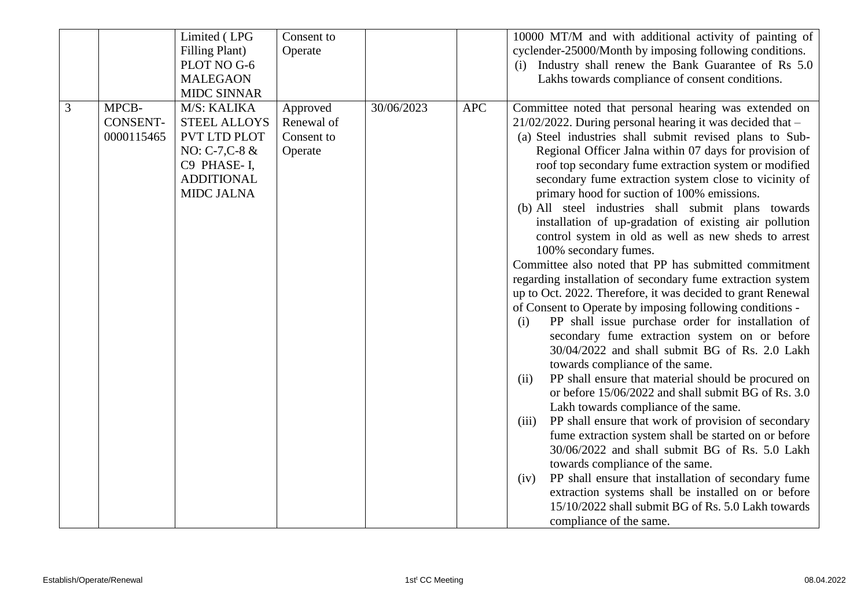|   |                                        | Limited (LPG                                                                                                                           | Consent to                                      |            |            | 10000 MT/M and with additional activity of painting of                                                                                                                                                                                                                                                                                                                                                                                                                                                                                                                                                                                                                                                                                                                                                                                                                                                                                                                                                                                                                                                                                                                                                                                                                                                                                                                                                                                                                                                                                                                                                                                             |
|---|----------------------------------------|----------------------------------------------------------------------------------------------------------------------------------------|-------------------------------------------------|------------|------------|----------------------------------------------------------------------------------------------------------------------------------------------------------------------------------------------------------------------------------------------------------------------------------------------------------------------------------------------------------------------------------------------------------------------------------------------------------------------------------------------------------------------------------------------------------------------------------------------------------------------------------------------------------------------------------------------------------------------------------------------------------------------------------------------------------------------------------------------------------------------------------------------------------------------------------------------------------------------------------------------------------------------------------------------------------------------------------------------------------------------------------------------------------------------------------------------------------------------------------------------------------------------------------------------------------------------------------------------------------------------------------------------------------------------------------------------------------------------------------------------------------------------------------------------------------------------------------------------------------------------------------------------------|
|   |                                        | Filling Plant)                                                                                                                         | Operate                                         |            |            | cyclender-25000/Month by imposing following conditions.                                                                                                                                                                                                                                                                                                                                                                                                                                                                                                                                                                                                                                                                                                                                                                                                                                                                                                                                                                                                                                                                                                                                                                                                                                                                                                                                                                                                                                                                                                                                                                                            |
|   |                                        | PLOT NO G-6                                                                                                                            |                                                 |            |            | (i) Industry shall renew the Bank Guarantee of Rs 5.0                                                                                                                                                                                                                                                                                                                                                                                                                                                                                                                                                                                                                                                                                                                                                                                                                                                                                                                                                                                                                                                                                                                                                                                                                                                                                                                                                                                                                                                                                                                                                                                              |
|   |                                        | <b>MALEGAON</b>                                                                                                                        |                                                 |            |            | Lakhs towards compliance of consent conditions.                                                                                                                                                                                                                                                                                                                                                                                                                                                                                                                                                                                                                                                                                                                                                                                                                                                                                                                                                                                                                                                                                                                                                                                                                                                                                                                                                                                                                                                                                                                                                                                                    |
|   |                                        | <b>MIDC SINNAR</b>                                                                                                                     |                                                 |            |            |                                                                                                                                                                                                                                                                                                                                                                                                                                                                                                                                                                                                                                                                                                                                                                                                                                                                                                                                                                                                                                                                                                                                                                                                                                                                                                                                                                                                                                                                                                                                                                                                                                                    |
| 3 | MPCB-<br><b>CONSENT-</b><br>0000115465 | M/S: KALIKA<br><b>STEEL ALLOYS</b><br><b>PVT LTD PLOT</b><br>NO: $C-7, C-8$ &<br>C9 PHASE-I,<br><b>ADDITIONAL</b><br><b>MIDC JALNA</b> | Approved<br>Renewal of<br>Consent to<br>Operate | 30/06/2023 | <b>APC</b> | Committee noted that personal hearing was extended on<br>$21/02/2022$ . During personal hearing it was decided that -<br>(a) Steel industries shall submit revised plans to Sub-<br>Regional Officer Jalna within 07 days for provision of<br>roof top secondary fume extraction system or modified<br>secondary fume extraction system close to vicinity of<br>primary hood for suction of 100% emissions.<br>(b) All steel industries shall submit plans towards<br>installation of up-gradation of existing air pollution<br>control system in old as well as new sheds to arrest<br>100% secondary fumes.<br>Committee also noted that PP has submitted commitment<br>regarding installation of secondary fume extraction system<br>up to Oct. 2022. Therefore, it was decided to grant Renewal<br>of Consent to Operate by imposing following conditions -<br>PP shall issue purchase order for installation of<br>(i)<br>secondary fume extraction system on or before<br>30/04/2022 and shall submit BG of Rs. 2.0 Lakh<br>towards compliance of the same.<br>PP shall ensure that material should be procured on<br>(ii)<br>or before 15/06/2022 and shall submit BG of Rs. 3.0<br>Lakh towards compliance of the same.<br>PP shall ensure that work of provision of secondary<br>(iii)<br>fume extraction system shall be started on or before<br>30/06/2022 and shall submit BG of Rs. 5.0 Lakh<br>towards compliance of the same.<br>PP shall ensure that installation of secondary fume<br>(iv)<br>extraction systems shall be installed on or before<br>15/10/2022 shall submit BG of Rs. 5.0 Lakh towards<br>compliance of the same. |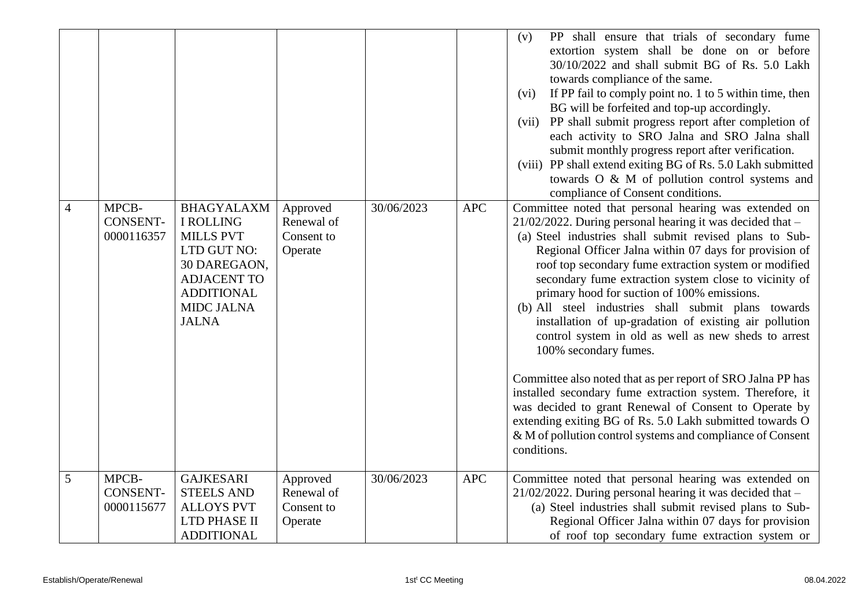| $\overline{4}$ | MPCB-<br><b>CONSENT-</b><br>0000116357 | <b>BHAGYALAXM</b><br><b>I ROLLING</b><br><b>MILLS PVT</b><br>LTD GUT NO:<br>30 DAREGAON,<br><b>ADJACENT TO</b><br><b>ADDITIONAL</b><br><b>MIDC JALNA</b><br><b>JALNA</b> | Approved<br>Renewal of<br>Consent to<br>Operate | 30/06/2023 | <b>APC</b> | PP shall ensure that trials of secondary fume<br>(v)<br>extortion system shall be done on or before<br>30/10/2022 and shall submit BG of Rs. 5.0 Lakh<br>towards compliance of the same.<br>If PP fail to comply point no. 1 to 5 within time, then<br>(vi)<br>BG will be forfeited and top-up accordingly.<br>(vii) PP shall submit progress report after completion of<br>each activity to SRO Jalna and SRO Jalna shall<br>submit monthly progress report after verification.<br>(viii) PP shall extend exiting BG of Rs. 5.0 Lakh submitted<br>towards O & M of pollution control systems and<br>compliance of Consent conditions.<br>Committee noted that personal hearing was extended on<br>$21/02/2022$ . During personal hearing it was decided that $-$<br>(a) Steel industries shall submit revised plans to Sub-<br>Regional Officer Jalna within 07 days for provision of<br>roof top secondary fume extraction system or modified<br>secondary fume extraction system close to vicinity of<br>primary hood for suction of 100% emissions.<br>(b) All steel industries shall submit plans towards<br>installation of up-gradation of existing air pollution<br>control system in old as well as new sheds to arrest<br>100% secondary fumes.<br>Committee also noted that as per report of SRO Jalna PP has<br>installed secondary fume extraction system. Therefore, it<br>was decided to grant Renewal of Consent to Operate by<br>extending exiting BG of Rs. 5.0 Lakh submitted towards O<br>& M of pollution control systems and compliance of Consent<br>conditions. |
|----------------|----------------------------------------|--------------------------------------------------------------------------------------------------------------------------------------------------------------------------|-------------------------------------------------|------------|------------|-----------------------------------------------------------------------------------------------------------------------------------------------------------------------------------------------------------------------------------------------------------------------------------------------------------------------------------------------------------------------------------------------------------------------------------------------------------------------------------------------------------------------------------------------------------------------------------------------------------------------------------------------------------------------------------------------------------------------------------------------------------------------------------------------------------------------------------------------------------------------------------------------------------------------------------------------------------------------------------------------------------------------------------------------------------------------------------------------------------------------------------------------------------------------------------------------------------------------------------------------------------------------------------------------------------------------------------------------------------------------------------------------------------------------------------------------------------------------------------------------------------------------------------------------------------------------------------------|
| $\overline{5}$ | MPCB-<br><b>CONSENT-</b><br>0000115677 | <b>GAJKESARI</b><br><b>STEELS AND</b><br><b>ALLOYS PVT</b><br>LTD PHASE II<br><b>ADDITIONAL</b>                                                                          | Approved<br>Renewal of<br>Consent to<br>Operate | 30/06/2023 | <b>APC</b> | Committee noted that personal hearing was extended on<br>$21/02/2022$ . During personal hearing it was decided that -<br>(a) Steel industries shall submit revised plans to Sub-<br>Regional Officer Jalna within 07 days for provision<br>of roof top secondary fume extraction system or                                                                                                                                                                                                                                                                                                                                                                                                                                                                                                                                                                                                                                                                                                                                                                                                                                                                                                                                                                                                                                                                                                                                                                                                                                                                                              |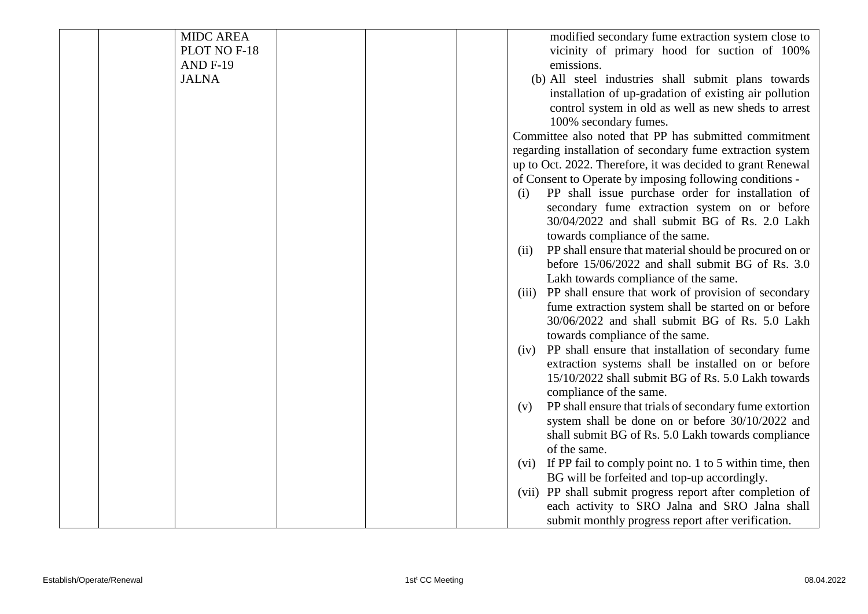| <b>MIDC AREA</b> |  | modified secondary fume extraction system close to              |
|------------------|--|-----------------------------------------------------------------|
| PLOT NO F-18     |  | vicinity of primary hood for suction of 100%                    |
| <b>AND F-19</b>  |  | emissions.                                                      |
| <b>JALNA</b>     |  | (b) All steel industries shall submit plans towards             |
|                  |  | installation of up-gradation of existing air pollution          |
|                  |  | control system in old as well as new sheds to arrest            |
|                  |  | 100% secondary fumes.                                           |
|                  |  | Committee also noted that PP has submitted commitment           |
|                  |  | regarding installation of secondary fume extraction system      |
|                  |  | up to Oct. 2022. Therefore, it was decided to grant Renewal     |
|                  |  | of Consent to Operate by imposing following conditions -        |
|                  |  | PP shall issue purchase order for installation of<br>(i)        |
|                  |  | secondary fume extraction system on or before                   |
|                  |  | 30/04/2022 and shall submit BG of Rs. 2.0 Lakh                  |
|                  |  | towards compliance of the same.                                 |
|                  |  | PP shall ensure that material should be procured on or<br>(ii)  |
|                  |  | before 15/06/2022 and shall submit BG of Rs. 3.0                |
|                  |  | Lakh towards compliance of the same.                            |
|                  |  | PP shall ensure that work of provision of secondary<br>(iii)    |
|                  |  | fume extraction system shall be started on or before            |
|                  |  | 30/06/2022 and shall submit BG of Rs. 5.0 Lakh                  |
|                  |  | towards compliance of the same.                                 |
|                  |  | PP shall ensure that installation of secondary fume<br>(iv)     |
|                  |  | extraction systems shall be installed on or before              |
|                  |  | 15/10/2022 shall submit BG of Rs. 5.0 Lakh towards              |
|                  |  | compliance of the same.                                         |
|                  |  | PP shall ensure that trials of secondary fume extortion<br>(v)  |
|                  |  | system shall be done on or before 30/10/2022 and                |
|                  |  | shall submit BG of Rs. 5.0 Lakh towards compliance              |
|                  |  | of the same.                                                    |
|                  |  | If PP fail to comply point no. 1 to 5 within time, then<br>(vi) |
|                  |  | BG will be forfeited and top-up accordingly.                    |
|                  |  | (vii) PP shall submit progress report after completion of       |
|                  |  | each activity to SRO Jalna and SRO Jalna shall                  |
|                  |  | submit monthly progress report after verification.              |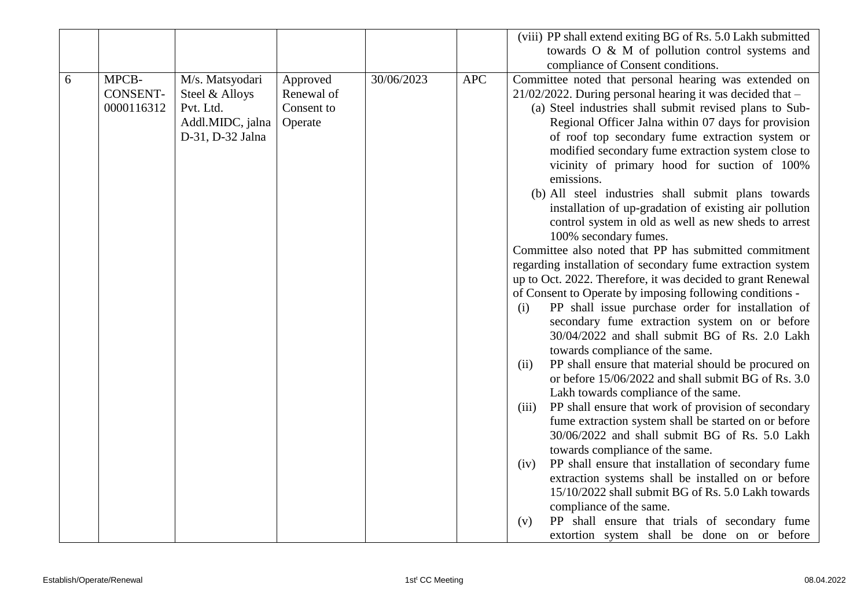|   |                 |                  |            |            |            | (viii) PP shall extend exiting BG of Rs. 5.0 Lakh submitted                                                        |
|---|-----------------|------------------|------------|------------|------------|--------------------------------------------------------------------------------------------------------------------|
|   |                 |                  |            |            |            | towards O & M of pollution control systems and                                                                     |
|   |                 |                  |            |            |            | compliance of Consent conditions.                                                                                  |
| 6 | MPCB-           | M/s. Matsyodari  | Approved   | 30/06/2023 | <b>APC</b> | Committee noted that personal hearing was extended on                                                              |
|   | <b>CONSENT-</b> | Steel & Alloys   | Renewal of |            |            | $21/02/2022$ . During personal hearing it was decided that $-$                                                     |
|   | 0000116312      | Pvt. Ltd.        | Consent to |            |            | (a) Steel industries shall submit revised plans to Sub-                                                            |
|   |                 | Addl.MIDC, jalna | Operate    |            |            | Regional Officer Jalna within 07 days for provision                                                                |
|   |                 | D-31, D-32 Jalna |            |            |            | of roof top secondary fume extraction system or                                                                    |
|   |                 |                  |            |            |            | modified secondary fume extraction system close to                                                                 |
|   |                 |                  |            |            |            | vicinity of primary hood for suction of 100%                                                                       |
|   |                 |                  |            |            |            | emissions.                                                                                                         |
|   |                 |                  |            |            |            | (b) All steel industries shall submit plans towards                                                                |
|   |                 |                  |            |            |            | installation of up-gradation of existing air pollution                                                             |
|   |                 |                  |            |            |            | control system in old as well as new sheds to arrest                                                               |
|   |                 |                  |            |            |            | 100% secondary fumes.                                                                                              |
|   |                 |                  |            |            |            | Committee also noted that PP has submitted commitment                                                              |
|   |                 |                  |            |            |            | regarding installation of secondary fume extraction system                                                         |
|   |                 |                  |            |            |            | up to Oct. 2022. Therefore, it was decided to grant Renewal                                                        |
|   |                 |                  |            |            |            | of Consent to Operate by imposing following conditions -                                                           |
|   |                 |                  |            |            |            | PP shall issue purchase order for installation of<br>(i)                                                           |
|   |                 |                  |            |            |            | secondary fume extraction system on or before                                                                      |
|   |                 |                  |            |            |            | 30/04/2022 and shall submit BG of Rs. 2.0 Lakh                                                                     |
|   |                 |                  |            |            |            | towards compliance of the same.                                                                                    |
|   |                 |                  |            |            |            | PP shall ensure that material should be procured on<br>(ii)<br>or before 15/06/2022 and shall submit BG of Rs. 3.0 |
|   |                 |                  |            |            |            | Lakh towards compliance of the same.                                                                               |
|   |                 |                  |            |            |            | PP shall ensure that work of provision of secondary<br>(iii)                                                       |
|   |                 |                  |            |            |            | fume extraction system shall be started on or before                                                               |
|   |                 |                  |            |            |            | 30/06/2022 and shall submit BG of Rs. 5.0 Lakh                                                                     |
|   |                 |                  |            |            |            | towards compliance of the same.                                                                                    |
|   |                 |                  |            |            |            | PP shall ensure that installation of secondary fume<br>(iv)                                                        |
|   |                 |                  |            |            |            | extraction systems shall be installed on or before                                                                 |
|   |                 |                  |            |            |            | 15/10/2022 shall submit BG of Rs. 5.0 Lakh towards                                                                 |
|   |                 |                  |            |            |            | compliance of the same.                                                                                            |
|   |                 |                  |            |            |            | PP shall ensure that trials of secondary fume<br>(v)                                                               |
|   |                 |                  |            |            |            | extortion system shall be done on or before                                                                        |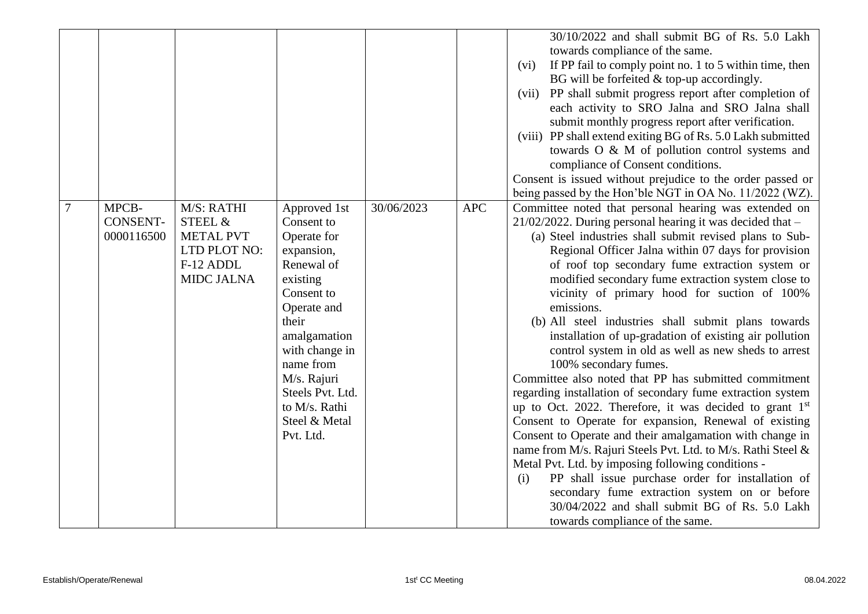|                                        |                                                                                             |                                                                                                                                                                                                                                                          |            |            | 30/10/2022 and shall submit BG of Rs. 5.0 Lakh<br>towards compliance of the same.<br>If PP fail to comply point no. 1 to 5 within time, then<br>(vi)<br>BG will be forfeited $&$ top-up accordingly.<br>(vii) PP shall submit progress report after completion of<br>each activity to SRO Jalna and SRO Jalna shall<br>submit monthly progress report after verification.<br>(viii) PP shall extend exiting BG of Rs. 5.0 Lakh submitted<br>towards O & M of pollution control systems and<br>compliance of Consent conditions.<br>Consent is issued without prejudice to the order passed or<br>being passed by the Hon'ble NGT in OA No. 11/2022 (WZ).                                                                                                                                                                                                                                                                                                                                                                                                                                                                                                                                                                                          |
|----------------------------------------|---------------------------------------------------------------------------------------------|----------------------------------------------------------------------------------------------------------------------------------------------------------------------------------------------------------------------------------------------------------|------------|------------|---------------------------------------------------------------------------------------------------------------------------------------------------------------------------------------------------------------------------------------------------------------------------------------------------------------------------------------------------------------------------------------------------------------------------------------------------------------------------------------------------------------------------------------------------------------------------------------------------------------------------------------------------------------------------------------------------------------------------------------------------------------------------------------------------------------------------------------------------------------------------------------------------------------------------------------------------------------------------------------------------------------------------------------------------------------------------------------------------------------------------------------------------------------------------------------------------------------------------------------------------|
| MPCB-<br><b>CONSENT-</b><br>0000116500 | M/S: RATHI<br>STEEL &<br><b>METAL PVT</b><br>LTD PLOT NO:<br>F-12 ADDL<br><b>MIDC JALNA</b> | Approved 1st<br>Consent to<br>Operate for<br>expansion,<br>Renewal of<br>existing<br>Consent to<br>Operate and<br>their<br>amalgamation<br>with change in<br>name from<br>M/s. Rajuri<br>Steels Pvt. Ltd.<br>to M/s. Rathi<br>Steel & Metal<br>Pvt. Ltd. | 30/06/2023 | <b>APC</b> | Committee noted that personal hearing was extended on<br>$21/02/2022$ . During personal hearing it was decided that -<br>(a) Steel industries shall submit revised plans to Sub-<br>Regional Officer Jalna within 07 days for provision<br>of roof top secondary fume extraction system or<br>modified secondary fume extraction system close to<br>vicinity of primary hood for suction of 100%<br>emissions.<br>(b) All steel industries shall submit plans towards<br>installation of up-gradation of existing air pollution<br>control system in old as well as new sheds to arrest<br>100% secondary fumes.<br>Committee also noted that PP has submitted commitment<br>regarding installation of secondary fume extraction system<br>up to Oct. 2022. Therefore, it was decided to grant $1st$<br>Consent to Operate for expansion, Renewal of existing<br>Consent to Operate and their amalgamation with change in<br>name from M/s. Rajuri Steels Pvt. Ltd. to M/s. Rathi Steel &<br>Metal Pvt. Ltd. by imposing following conditions -<br>PP shall issue purchase order for installation of<br>(i)<br>secondary fume extraction system on or before<br>30/04/2022 and shall submit BG of Rs. 5.0 Lakh<br>towards compliance of the same. |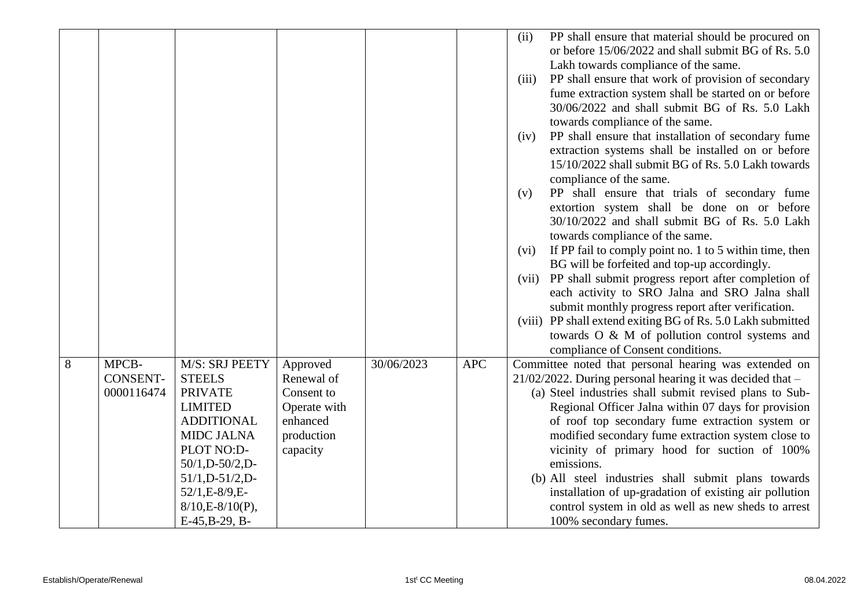|   |                                        |                                                                                                                                                                                                                                               |                                                                                            |            |            | PP shall ensure that material should be procured on<br>(ii)<br>or before 15/06/2022 and shall submit BG of Rs. 5.0<br>Lakh towards compliance of the same.<br>PP shall ensure that work of provision of secondary<br>(iii)<br>fume extraction system shall be started on or before<br>30/06/2022 and shall submit BG of Rs. 5.0 Lakh<br>towards compliance of the same.<br>PP shall ensure that installation of secondary fume<br>(iv)<br>extraction systems shall be installed on or before<br>15/10/2022 shall submit BG of Rs. 5.0 Lakh towards<br>compliance of the same.<br>PP shall ensure that trials of secondary fume<br>(v)<br>extortion system shall be done on or before<br>30/10/2022 and shall submit BG of Rs. 5.0 Lakh<br>towards compliance of the same.<br>If PP fail to comply point no. 1 to 5 within time, then<br>(vi)<br>BG will be forfeited and top-up accordingly.<br>PP shall submit progress report after completion of<br>(vii)<br>each activity to SRO Jalna and SRO Jalna shall<br>submit monthly progress report after verification.<br>(viii) PP shall extend exiting BG of Rs. 5.0 Lakh submitted<br>towards O & M of pollution control systems and<br>compliance of Consent conditions. |
|---|----------------------------------------|-----------------------------------------------------------------------------------------------------------------------------------------------------------------------------------------------------------------------------------------------|--------------------------------------------------------------------------------------------|------------|------------|----------------------------------------------------------------------------------------------------------------------------------------------------------------------------------------------------------------------------------------------------------------------------------------------------------------------------------------------------------------------------------------------------------------------------------------------------------------------------------------------------------------------------------------------------------------------------------------------------------------------------------------------------------------------------------------------------------------------------------------------------------------------------------------------------------------------------------------------------------------------------------------------------------------------------------------------------------------------------------------------------------------------------------------------------------------------------------------------------------------------------------------------------------------------------------------------------------------------------|
| 8 | MPCB-<br><b>CONSENT-</b><br>0000116474 | M/S: SRJ PEETY<br><b>STEELS</b><br><b>PRIVATE</b><br><b>LIMITED</b><br><b>ADDITIONAL</b><br><b>MIDC JALNA</b><br>PLOT NO:D-<br>$50/1$ , D- $50/2$ , D-<br>$51/1$ , D- $51/2$ , D-<br>52/1, E-8/9, E-<br>$8/10,E-8/10(P)$ ,<br>$E-45,B-29, B-$ | Approved<br>Renewal of<br>Consent to<br>Operate with<br>enhanced<br>production<br>capacity | 30/06/2023 | <b>APC</b> | Committee noted that personal hearing was extended on<br>$21/02/2022$ . During personal hearing it was decided that $-$<br>(a) Steel industries shall submit revised plans to Sub-<br>Regional Officer Jalna within 07 days for provision<br>of roof top secondary fume extraction system or<br>modified secondary fume extraction system close to<br>vicinity of primary hood for suction of 100%<br>emissions.<br>(b) All steel industries shall submit plans towards<br>installation of up-gradation of existing air pollution<br>control system in old as well as new sheds to arrest<br>100% secondary fumes.                                                                                                                                                                                                                                                                                                                                                                                                                                                                                                                                                                                                         |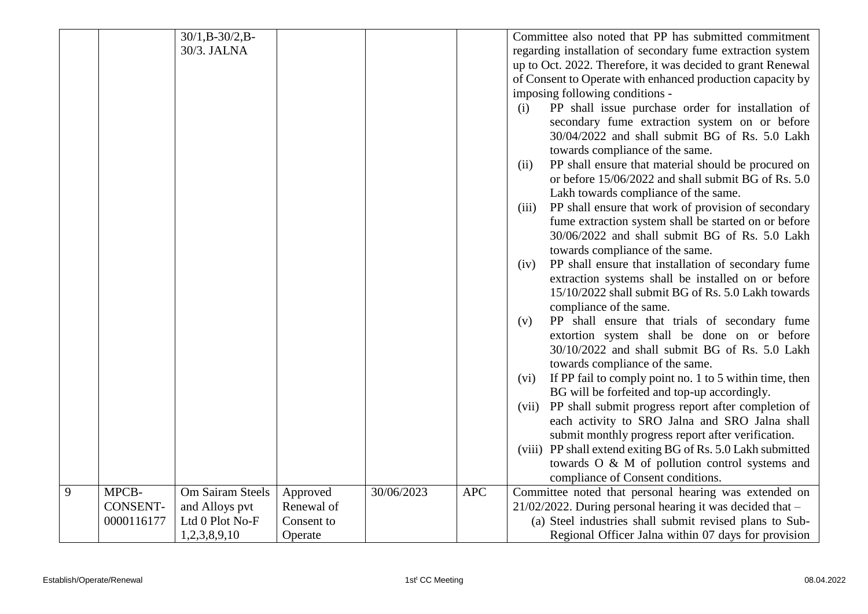|   |                 | $30/1$ , B- $30/2$ , B- |            |            |            | Committee also noted that PP has submitted commitment           |
|---|-----------------|-------------------------|------------|------------|------------|-----------------------------------------------------------------|
|   |                 | 30/3. JALNA             |            |            |            | regarding installation of secondary fume extraction system      |
|   |                 |                         |            |            |            | up to Oct. 2022. Therefore, it was decided to grant Renewal     |
|   |                 |                         |            |            |            | of Consent to Operate with enhanced production capacity by      |
|   |                 |                         |            |            |            | imposing following conditions -                                 |
|   |                 |                         |            |            |            | PP shall issue purchase order for installation of<br>(i)        |
|   |                 |                         |            |            |            | secondary fume extraction system on or before                   |
|   |                 |                         |            |            |            | 30/04/2022 and shall submit BG of Rs. 5.0 Lakh                  |
|   |                 |                         |            |            |            | towards compliance of the same.                                 |
|   |                 |                         |            |            |            | PP shall ensure that material should be procured on<br>(ii)     |
|   |                 |                         |            |            |            | or before 15/06/2022 and shall submit BG of Rs. 5.0             |
|   |                 |                         |            |            |            | Lakh towards compliance of the same.                            |
|   |                 |                         |            |            |            | PP shall ensure that work of provision of secondary<br>(iii)    |
|   |                 |                         |            |            |            | fume extraction system shall be started on or before            |
|   |                 |                         |            |            |            | 30/06/2022 and shall submit BG of Rs. 5.0 Lakh                  |
|   |                 |                         |            |            |            | towards compliance of the same.                                 |
|   |                 |                         |            |            |            | PP shall ensure that installation of secondary fume<br>(iv)     |
|   |                 |                         |            |            |            | extraction systems shall be installed on or before              |
|   |                 |                         |            |            |            | 15/10/2022 shall submit BG of Rs. 5.0 Lakh towards              |
|   |                 |                         |            |            |            | compliance of the same.                                         |
|   |                 |                         |            |            |            | PP shall ensure that trials of secondary fume<br>(v)            |
|   |                 |                         |            |            |            | extortion system shall be done on or before                     |
|   |                 |                         |            |            |            | 30/10/2022 and shall submit BG of Rs. 5.0 Lakh                  |
|   |                 |                         |            |            |            | towards compliance of the same.                                 |
|   |                 |                         |            |            |            | If PP fail to comply point no. 1 to 5 within time, then<br>(vi) |
|   |                 |                         |            |            |            | BG will be forfeited and top-up accordingly.                    |
|   |                 |                         |            |            |            | PP shall submit progress report after completion of<br>(vii)    |
|   |                 |                         |            |            |            | each activity to SRO Jalna and SRO Jalna shall                  |
|   |                 |                         |            |            |            | submit monthly progress report after verification.              |
|   |                 |                         |            |            |            | (viii) PP shall extend exiting BG of Rs. 5.0 Lakh submitted     |
|   |                 |                         |            |            |            | towards O & M of pollution control systems and                  |
|   |                 |                         |            |            |            | compliance of Consent conditions.                               |
| 9 | MPCB-           | Om Sairam Steels        | Approved   | 30/06/2023 | <b>APC</b> | Committee noted that personal hearing was extended on           |
|   | <b>CONSENT-</b> | and Alloys pvt          | Renewal of |            |            | 21/02/2022. During personal hearing it was decided that -       |
|   | 0000116177      | Ltd 0 Plot No-F         | Consent to |            |            | (a) Steel industries shall submit revised plans to Sub-         |
|   |                 | 1,2,3,8,9,10            | Operate    |            |            | Regional Officer Jalna within 07 days for provision             |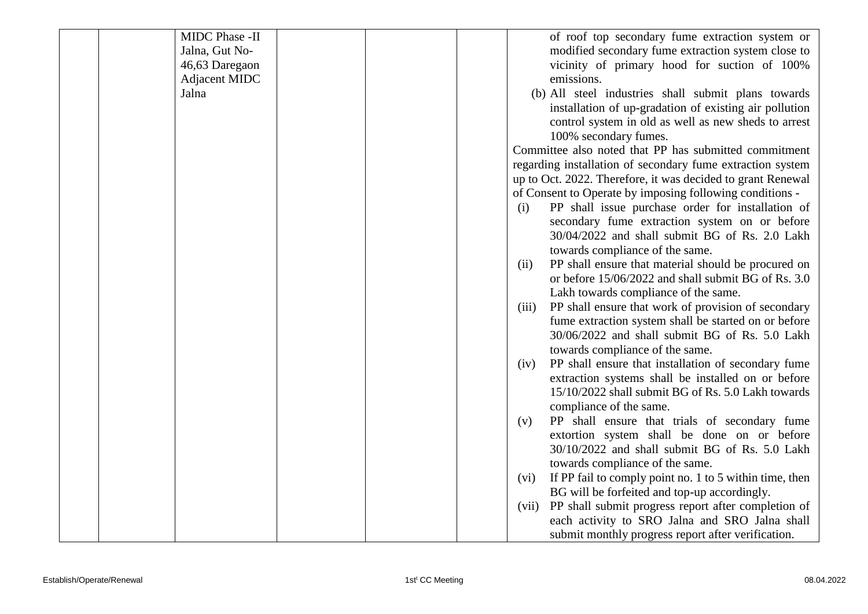| MIDC Phase -II |  | of roof top secondary fume extraction system or                 |
|----------------|--|-----------------------------------------------------------------|
| Jalna, Gut No- |  | modified secondary fume extraction system close to              |
| 46,63 Daregaon |  | vicinity of primary hood for suction of 100%                    |
| Adjacent MIDC  |  | emissions.                                                      |
| Jalna          |  | (b) All steel industries shall submit plans towards             |
|                |  | installation of up-gradation of existing air pollution          |
|                |  | control system in old as well as new sheds to arrest            |
|                |  | 100% secondary fumes.                                           |
|                |  | Committee also noted that PP has submitted commitment           |
|                |  | regarding installation of secondary fume extraction system      |
|                |  | up to Oct. 2022. Therefore, it was decided to grant Renewal     |
|                |  | of Consent to Operate by imposing following conditions -        |
|                |  | PP shall issue purchase order for installation of<br>(i)        |
|                |  | secondary fume extraction system on or before                   |
|                |  | 30/04/2022 and shall submit BG of Rs. 2.0 Lakh                  |
|                |  | towards compliance of the same.                                 |
|                |  | PP shall ensure that material should be procured on<br>(ii)     |
|                |  | or before 15/06/2022 and shall submit BG of Rs. 3.0             |
|                |  | Lakh towards compliance of the same.                            |
|                |  | PP shall ensure that work of provision of secondary<br>(iii)    |
|                |  | fume extraction system shall be started on or before            |
|                |  | 30/06/2022 and shall submit BG of Rs. 5.0 Lakh                  |
|                |  | towards compliance of the same.                                 |
|                |  | PP shall ensure that installation of secondary fume<br>(iv)     |
|                |  | extraction systems shall be installed on or before              |
|                |  | 15/10/2022 shall submit BG of Rs. 5.0 Lakh towards              |
|                |  | compliance of the same.                                         |
|                |  | PP shall ensure that trials of secondary fume<br>(v)            |
|                |  | extortion system shall be done on or before                     |
|                |  | 30/10/2022 and shall submit BG of Rs. 5.0 Lakh                  |
|                |  | towards compliance of the same.                                 |
|                |  | If PP fail to comply point no. 1 to 5 within time, then<br>(vi) |
|                |  | BG will be forfeited and top-up accordingly.                    |
|                |  | PP shall submit progress report after completion of<br>(vii)    |
|                |  | each activity to SRO Jalna and SRO Jalna shall                  |
|                |  | submit monthly progress report after verification.              |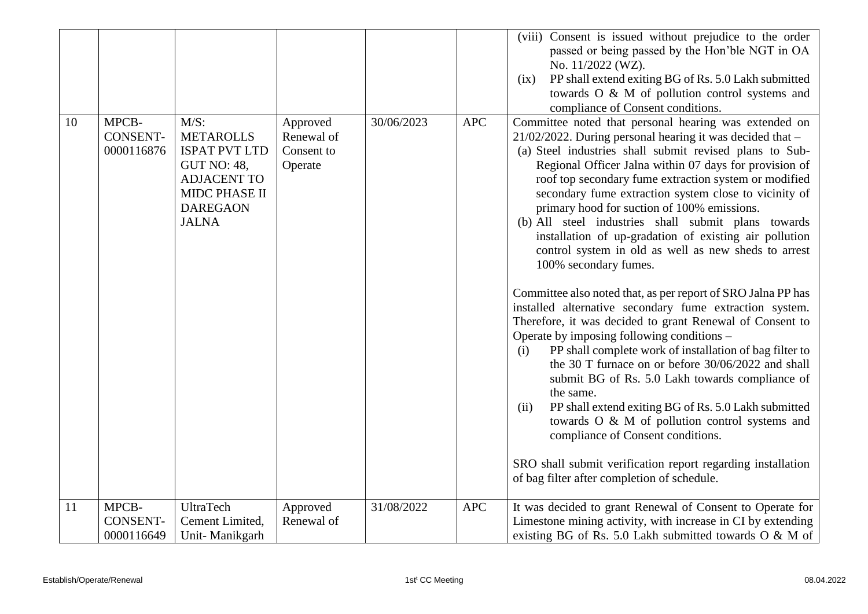|    |                                        |                                                                                                                                                     |                                                 |            |            | (viii) Consent is issued without prejudice to the order<br>passed or being passed by the Hon'ble NGT in OA<br>No. 11/2022 (WZ).<br>PP shall extend exiting BG of Rs. 5.0 Lakh submitted<br>(ix)<br>towards O & M of pollution control systems and<br>compliance of Consent conditions.                                                                                                                                                                                                                                                                                                                                                                                                                                                                                                                                                                                                                                                                                                                                                                                                                                                                                                                                                                                                                          |
|----|----------------------------------------|-----------------------------------------------------------------------------------------------------------------------------------------------------|-------------------------------------------------|------------|------------|-----------------------------------------------------------------------------------------------------------------------------------------------------------------------------------------------------------------------------------------------------------------------------------------------------------------------------------------------------------------------------------------------------------------------------------------------------------------------------------------------------------------------------------------------------------------------------------------------------------------------------------------------------------------------------------------------------------------------------------------------------------------------------------------------------------------------------------------------------------------------------------------------------------------------------------------------------------------------------------------------------------------------------------------------------------------------------------------------------------------------------------------------------------------------------------------------------------------------------------------------------------------------------------------------------------------|
| 10 | MPCB-<br><b>CONSENT-</b><br>0000116876 | $M/S$ :<br><b>METAROLLS</b><br><b>ISPAT PVT LTD</b><br><b>GUT NO: 48,</b><br><b>ADJACENT TO</b><br>MIDC PHASE II<br><b>DAREGAON</b><br><b>JALNA</b> | Approved<br>Renewal of<br>Consent to<br>Operate | 30/06/2023 | <b>APC</b> | Committee noted that personal hearing was extended on<br>$21/02/2022$ . During personal hearing it was decided that -<br>(a) Steel industries shall submit revised plans to Sub-<br>Regional Officer Jalna within 07 days for provision of<br>roof top secondary fume extraction system or modified<br>secondary fume extraction system close to vicinity of<br>primary hood for suction of 100% emissions.<br>(b) All steel industries shall submit plans towards<br>installation of up-gradation of existing air pollution<br>control system in old as well as new sheds to arrest<br>100% secondary fumes.<br>Committee also noted that, as per report of SRO Jalna PP has<br>installed alternative secondary fume extraction system.<br>Therefore, it was decided to grant Renewal of Consent to<br>Operate by imposing following conditions -<br>PP shall complete work of installation of bag filter to<br>(i)<br>the 30 T furnace on or before 30/06/2022 and shall<br>submit BG of Rs. 5.0 Lakh towards compliance of<br>the same.<br>PP shall extend exiting BG of Rs. 5.0 Lakh submitted<br>(ii)<br>towards O & M of pollution control systems and<br>compliance of Consent conditions.<br>SRO shall submit verification report regarding installation<br>of bag filter after completion of schedule. |
| 11 | MPCB-<br><b>CONSENT-</b><br>0000116649 | <b>UltraTech</b><br>Cement Limited,<br>Unit-Manikgarh                                                                                               | Approved<br>Renewal of                          | 31/08/2022 | <b>APC</b> | It was decided to grant Renewal of Consent to Operate for<br>Limestone mining activity, with increase in CI by extending<br>existing BG of Rs. 5.0 Lakh submitted towards O & M of                                                                                                                                                                                                                                                                                                                                                                                                                                                                                                                                                                                                                                                                                                                                                                                                                                                                                                                                                                                                                                                                                                                              |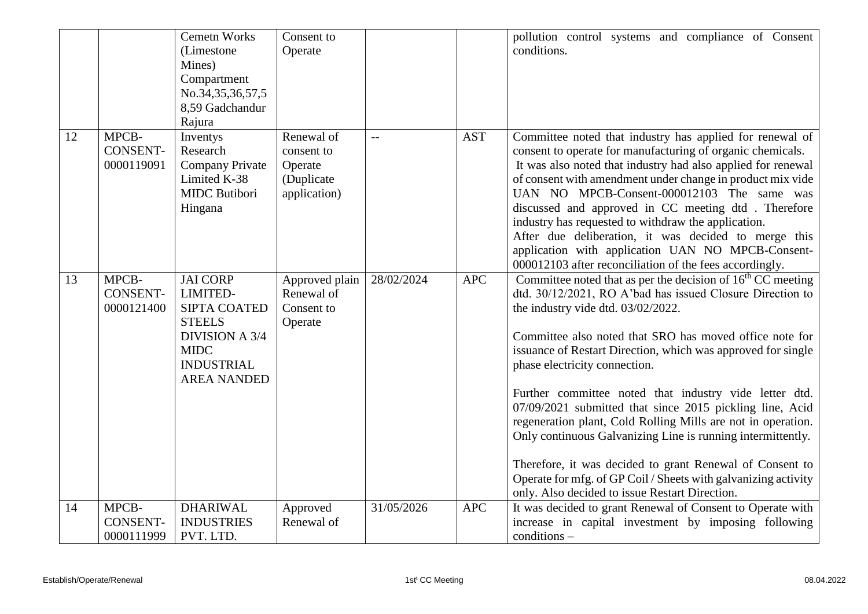|    |                                        | <b>Cemetn Works</b><br>(Limestone<br>Mines)<br>Compartment<br>No.34,35,36,57,5<br>8,59 Gadchandur<br>Rajura                                     | Consent to<br>Operate                                             |                |            | pollution control systems and compliance of Consent<br>conditions.                                                                                                                                                                                                                                                                                                                                                                                                                                                                                                                                                                                                                                                                                                |
|----|----------------------------------------|-------------------------------------------------------------------------------------------------------------------------------------------------|-------------------------------------------------------------------|----------------|------------|-------------------------------------------------------------------------------------------------------------------------------------------------------------------------------------------------------------------------------------------------------------------------------------------------------------------------------------------------------------------------------------------------------------------------------------------------------------------------------------------------------------------------------------------------------------------------------------------------------------------------------------------------------------------------------------------------------------------------------------------------------------------|
| 12 | MPCB-<br><b>CONSENT-</b><br>0000119091 | Inventys<br>Research<br>Company Private<br>Limited K-38<br><b>MIDC</b> Butibori<br>Hingana                                                      | Renewal of<br>consent to<br>Operate<br>(Duplicate<br>application) | $\overline{a}$ | <b>AST</b> | Committee noted that industry has applied for renewal of<br>consent to operate for manufacturing of organic chemicals.<br>It was also noted that industry had also applied for renewal<br>of consent with amendment under change in product mix vide<br>UAN NO MPCB-Consent-000012103 The same was<br>discussed and approved in CC meeting dtd. Therefore<br>industry has requested to withdraw the application.<br>After due deliberation, it was decided to merge this<br>application with application UAN NO MPCB-Consent-<br>000012103 after reconciliation of the fees accordingly.                                                                                                                                                                          |
| 13 | MPCB-<br><b>CONSENT-</b><br>0000121400 | <b>JAI CORP</b><br>LIMITED-<br>SIPTA COATED<br><b>STEELS</b><br><b>DIVISION A 3/4</b><br><b>MIDC</b><br><b>INDUSTRIAL</b><br><b>AREA NANDED</b> | Approved plain<br>Renewal of<br>Consent to<br>Operate             | 28/02/2024     | <b>APC</b> | Committee noted that as per the decision of $16th$ CC meeting<br>dtd. 30/12/2021, RO A'bad has issued Closure Direction to<br>the industry vide dtd. 03/02/2022.<br>Committee also noted that SRO has moved office note for<br>issuance of Restart Direction, which was approved for single<br>phase electricity connection.<br>Further committee noted that industry vide letter dtd.<br>07/09/2021 submitted that since 2015 pickling line, Acid<br>regeneration plant, Cold Rolling Mills are not in operation.<br>Only continuous Galvanizing Line is running intermittently.<br>Therefore, it was decided to grant Renewal of Consent to<br>Operate for mfg. of GP Coil / Sheets with galvanizing activity<br>only. Also decided to issue Restart Direction. |
| 14 | MPCB-<br><b>CONSENT-</b><br>0000111999 | <b>DHARIWAL</b><br><b>INDUSTRIES</b><br>PVT. LTD.                                                                                               | Approved<br>Renewal of                                            | 31/05/2026     | <b>APC</b> | It was decided to grant Renewal of Consent to Operate with<br>increase in capital investment by imposing following<br>conditions-                                                                                                                                                                                                                                                                                                                                                                                                                                                                                                                                                                                                                                 |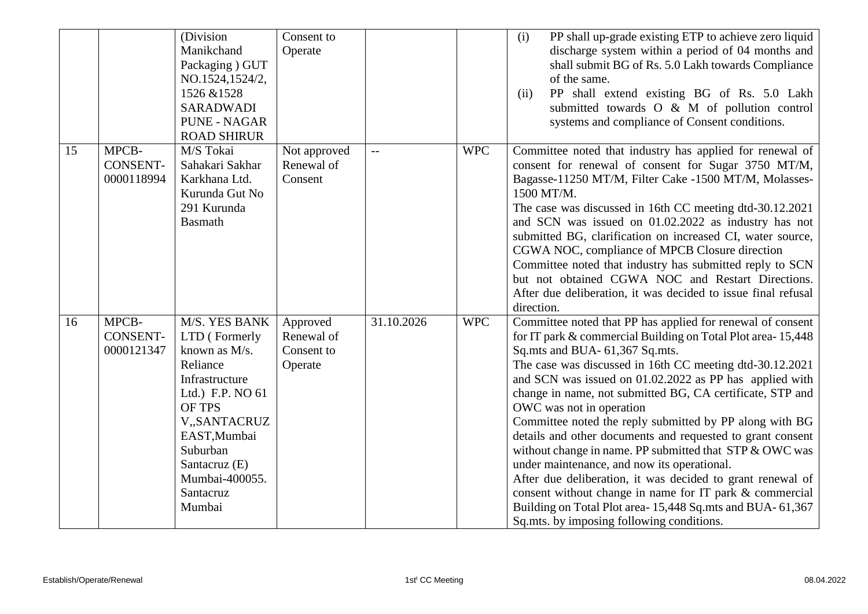|    |                                        | (Division<br>Manikchand<br>Packaging ) GUT<br>NO.1524,1524/2,<br>1526 & 1528<br><b>SARADWADI</b><br>PUNE - NAGAR                                                                                                         | Consent to<br>Operate                           |            |            | PP shall up-grade existing ETP to achieve zero liquid<br>(i)<br>discharge system within a period of 04 months and<br>shall submit BG of Rs. 5.0 Lakh towards Compliance<br>of the same.<br>PP shall extend existing BG of Rs. 5.0 Lakh<br>(ii)<br>submitted towards O & M of pollution control<br>systems and compliance of Consent conditions.                                                                                                                                                                                                                                                                                                                                                                                                                                                                                                  |
|----|----------------------------------------|--------------------------------------------------------------------------------------------------------------------------------------------------------------------------------------------------------------------------|-------------------------------------------------|------------|------------|--------------------------------------------------------------------------------------------------------------------------------------------------------------------------------------------------------------------------------------------------------------------------------------------------------------------------------------------------------------------------------------------------------------------------------------------------------------------------------------------------------------------------------------------------------------------------------------------------------------------------------------------------------------------------------------------------------------------------------------------------------------------------------------------------------------------------------------------------|
| 15 | MPCB-<br><b>CONSENT-</b><br>0000118994 | <b>ROAD SHIRUR</b><br>M/S Tokai<br>Sahakari Sakhar<br>Karkhana Ltd.<br>Kurunda Gut No<br>291 Kurunda<br><b>Basmath</b>                                                                                                   | Not approved<br>Renewal of<br>Consent           | $-$        | <b>WPC</b> | Committee noted that industry has applied for renewal of<br>consent for renewal of consent for Sugar 3750 MT/M,<br>Bagasse-11250 MT/M, Filter Cake -1500 MT/M, Molasses-<br>1500 MT/M.<br>The case was discussed in 16th CC meeting dtd-30.12.2021<br>and SCN was issued on 01.02.2022 as industry has not<br>submitted BG, clarification on increased CI, water source,<br>CGWA NOC, compliance of MPCB Closure direction<br>Committee noted that industry has submitted reply to SCN<br>but not obtained CGWA NOC and Restart Directions.<br>After due deliberation, it was decided to issue final refusal<br>direction.                                                                                                                                                                                                                       |
| 16 | MPCB-<br><b>CONSENT-</b><br>0000121347 | M/S. YES BANK<br>LTD (Formerly<br>known as M/s.<br>Reliance<br>Infrastructure<br>Ltd.) F.P. NO 61<br><b>OF TPS</b><br>V,,SANTACRUZ<br>EAST, Mumbai<br>Suburban<br>Santacruz (E)<br>Mumbai-400055.<br>Santacruz<br>Mumbai | Approved<br>Renewal of<br>Consent to<br>Operate | 31.10.2026 | <b>WPC</b> | Committee noted that PP has applied for renewal of consent<br>for IT park & commercial Building on Total Plot area-15,448<br>Sq.mts and BUA- 61,367 Sq.mts.<br>The case was discussed in 16th CC meeting dtd-30.12.2021<br>and SCN was issued on 01.02.2022 as PP has applied with<br>change in name, not submitted BG, CA certificate, STP and<br>OWC was not in operation<br>Committee noted the reply submitted by PP along with BG<br>details and other documents and requested to grant consent<br>without change in name. PP submitted that STP & OWC was<br>under maintenance, and now its operational.<br>After due deliberation, it was decided to grant renewal of<br>consent without change in name for IT park & commercial<br>Building on Total Plot area-15,448 Sq.mts and BUA-61,367<br>Sq.mts. by imposing following conditions. |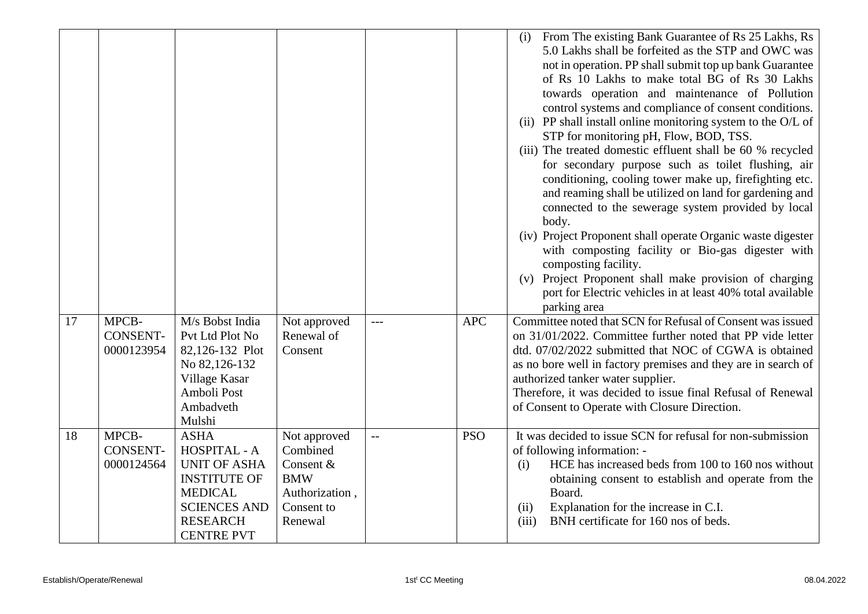|    |                                        |                                                                                                                                                            |                                                                                                |                          |            | From The existing Bank Guarantee of Rs 25 Lakhs, Rs<br>(i)<br>5.0 Lakhs shall be forfeited as the STP and OWC was<br>not in operation. PP shall submit top up bank Guarantee<br>of Rs 10 Lakhs to make total BG of Rs 30 Lakhs<br>towards operation and maintenance of Pollution<br>control systems and compliance of consent conditions.<br>(ii) PP shall install online monitoring system to the O/L of<br>STP for monitoring pH, Flow, BOD, TSS.<br>(iii) The treated domestic effluent shall be 60 % recycled<br>for secondary purpose such as toilet flushing, air<br>conditioning, cooling tower make up, firefighting etc.<br>and reaming shall be utilized on land for gardening and<br>connected to the sewerage system provided by local<br>body.<br>(iv) Project Proponent shall operate Organic waste digester<br>with composting facility or Bio-gas digester with<br>composting facility.<br>Project Proponent shall make provision of charging<br>(v)<br>port for Electric vehicles in at least 40% total available<br>parking area |
|----|----------------------------------------|------------------------------------------------------------------------------------------------------------------------------------------------------------|------------------------------------------------------------------------------------------------|--------------------------|------------|----------------------------------------------------------------------------------------------------------------------------------------------------------------------------------------------------------------------------------------------------------------------------------------------------------------------------------------------------------------------------------------------------------------------------------------------------------------------------------------------------------------------------------------------------------------------------------------------------------------------------------------------------------------------------------------------------------------------------------------------------------------------------------------------------------------------------------------------------------------------------------------------------------------------------------------------------------------------------------------------------------------------------------------------------|
| 17 | MPCB-<br><b>CONSENT-</b><br>0000123954 | M/s Bobst India<br>Pvt Ltd Plot No<br>82,126-132 Plot<br>No 82,126-132<br>Village Kasar<br>Amboli Post<br>Ambadveth<br>Mulshi                              | Not approved<br>Renewal of<br>Consent                                                          | $---$                    | <b>APC</b> | Committee noted that SCN for Refusal of Consent was issued<br>on 31/01/2022. Committee further noted that PP vide letter<br>dtd. 07/02/2022 submitted that NOC of CGWA is obtained<br>as no bore well in factory premises and they are in search of<br>authorized tanker water supplier.<br>Therefore, it was decided to issue final Refusal of Renewal<br>of Consent to Operate with Closure Direction.                                                                                                                                                                                                                                                                                                                                                                                                                                                                                                                                                                                                                                           |
| 18 | MPCB-<br><b>CONSENT-</b><br>0000124564 | <b>ASHA</b><br>HOSPITAL - A<br><b>UNIT OF ASHA</b><br><b>INSTITUTE OF</b><br><b>MEDICAL</b><br><b>SCIENCES AND</b><br><b>RESEARCH</b><br><b>CENTRE PVT</b> | Not approved<br>Combined<br>Consent &<br><b>BMW</b><br>Authorization,<br>Consent to<br>Renewal | $\overline{\phantom{m}}$ | <b>PSO</b> | It was decided to issue SCN for refusal for non-submission<br>of following information: -<br>HCE has increased beds from 100 to 160 nos without<br>(i)<br>obtaining consent to establish and operate from the<br>Board.<br>(ii)<br>Explanation for the increase in C.I.<br>(iii)<br>BNH certificate for 160 nos of beds.                                                                                                                                                                                                                                                                                                                                                                                                                                                                                                                                                                                                                                                                                                                           |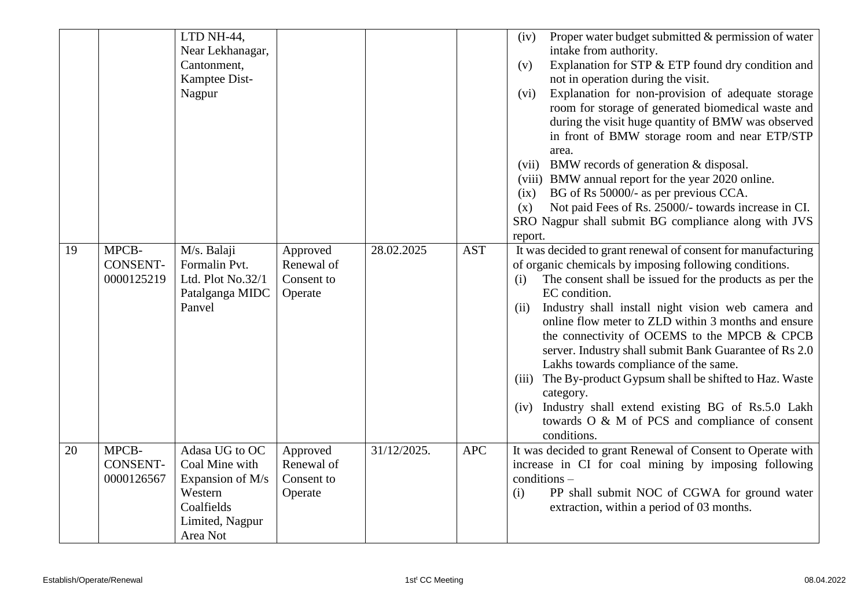|    |                 | LTD NH-44,        |            |             |            | Proper water budget submitted & permission of water<br>(iv)    |
|----|-----------------|-------------------|------------|-------------|------------|----------------------------------------------------------------|
|    |                 | Near Lekhanagar,  |            |             |            | intake from authority.                                         |
|    |                 | Cantonment,       |            |             |            | Explanation for STP & ETP found dry condition and<br>(v)       |
|    |                 | Kamptee Dist-     |            |             |            | not in operation during the visit.                             |
|    |                 | Nagpur            |            |             |            | Explanation for non-provision of adequate storage<br>(vi)      |
|    |                 |                   |            |             |            | room for storage of generated biomedical waste and             |
|    |                 |                   |            |             |            | during the visit huge quantity of BMW was observed             |
|    |                 |                   |            |             |            | in front of BMW storage room and near ETP/STP                  |
|    |                 |                   |            |             |            | area.                                                          |
|    |                 |                   |            |             |            | (vii) BMW records of generation $&$ disposal.                  |
|    |                 |                   |            |             |            | (viii) BMW annual report for the year 2020 online.             |
|    |                 |                   |            |             |            | BG of Rs 50000/- as per previous CCA.<br>(ix)                  |
|    |                 |                   |            |             |            | Not paid Fees of Rs. 25000/- towards increase in CI.<br>(x)    |
|    |                 |                   |            |             |            | SRO Nagpur shall submit BG compliance along with JVS           |
|    |                 |                   |            |             |            | report.                                                        |
| 19 | MPCB-           | M/s. Balaji       | Approved   | 28.02.2025  | <b>AST</b> | It was decided to grant renewal of consent for manufacturing   |
|    | <b>CONSENT-</b> | Formalin Pvt.     | Renewal of |             |            | of organic chemicals by imposing following conditions.         |
|    | 0000125219      | Ltd. Plot No.32/1 | Consent to |             |            | The consent shall be issued for the products as per the<br>(i) |
|    |                 | Patalganga MIDC   | Operate    |             |            | EC condition.                                                  |
|    |                 | Panvel            |            |             |            | Industry shall install night vision web camera and<br>(ii)     |
|    |                 |                   |            |             |            | online flow meter to ZLD within 3 months and ensure            |
|    |                 |                   |            |             |            | the connectivity of OCEMS to the MPCB & CPCB                   |
|    |                 |                   |            |             |            | server. Industry shall submit Bank Guarantee of Rs 2.0         |
|    |                 |                   |            |             |            | Lakhs towards compliance of the same.                          |
|    |                 |                   |            |             |            | (iii) The By-product Gypsum shall be shifted to Haz. Waste     |
|    |                 |                   |            |             |            | category.                                                      |
|    |                 |                   |            |             |            | Industry shall extend existing BG of Rs.5.0 Lakh<br>(iv)       |
|    |                 |                   |            |             |            | towards O & M of PCS and compliance of consent                 |
|    |                 |                   |            |             |            | conditions.                                                    |
| 20 | MPCB-           | Adasa UG to OC    | Approved   | 31/12/2025. | <b>APC</b> | It was decided to grant Renewal of Consent to Operate with     |
|    | <b>CONSENT-</b> | Coal Mine with    | Renewal of |             |            | increase in CI for coal mining by imposing following           |
|    | 0000126567      | Expansion of M/s  | Consent to |             |            | $conditions -$                                                 |
|    |                 | Western           | Operate    |             |            | PP shall submit NOC of CGWA for ground water<br>(i)            |
|    |                 | Coalfields        |            |             |            | extraction, within a period of 03 months.                      |
|    |                 | Limited, Nagpur   |            |             |            |                                                                |
|    |                 | Area Not          |            |             |            |                                                                |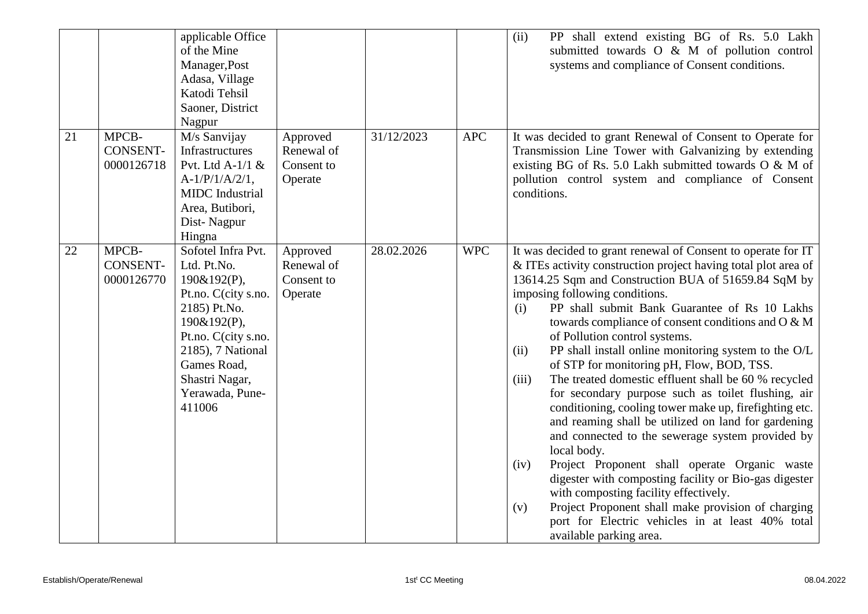|    |                                        | applicable Office<br>of the Mine<br>Manager, Post<br>Adasa, Village<br>Katodi Tehsil<br>Saoner, District<br>Nagpur                                                                                               |                                                 |            |            | PP shall extend existing BG of Rs. 5.0 Lakh<br>(ii)<br>submitted towards O & M of pollution control<br>systems and compliance of Consent conditions.                                                                                                                                                                                                                                                                                                                                                                                                                                                                                                                                                                                                                                                                                                                                                                                                                                                                                                                                                   |
|----|----------------------------------------|------------------------------------------------------------------------------------------------------------------------------------------------------------------------------------------------------------------|-------------------------------------------------|------------|------------|--------------------------------------------------------------------------------------------------------------------------------------------------------------------------------------------------------------------------------------------------------------------------------------------------------------------------------------------------------------------------------------------------------------------------------------------------------------------------------------------------------------------------------------------------------------------------------------------------------------------------------------------------------------------------------------------------------------------------------------------------------------------------------------------------------------------------------------------------------------------------------------------------------------------------------------------------------------------------------------------------------------------------------------------------------------------------------------------------------|
| 21 | MPCB-<br><b>CONSENT-</b><br>0000126718 | M/s Sanvijay<br>Infrastructures<br>Pvt. Ltd A-1/1 $\&$<br>$A-1/P/1/A/2/1$ ,<br><b>MIDC</b> Industrial<br>Area, Butibori,<br>Dist-Nagpur<br>Hingna                                                                | Approved<br>Renewal of<br>Consent to<br>Operate | 31/12/2023 | <b>APC</b> | It was decided to grant Renewal of Consent to Operate for<br>Transmission Line Tower with Galvanizing by extending<br>existing BG of Rs. 5.0 Lakh submitted towards O & M of<br>pollution control system and compliance of Consent<br>conditions.                                                                                                                                                                                                                                                                                                                                                                                                                                                                                                                                                                                                                                                                                                                                                                                                                                                      |
| 22 | MPCB-<br><b>CONSENT-</b><br>0000126770 | Sofotel Infra Pvt.<br>Ltd. Pt.No.<br>190&192(P),<br>Pt.no. C(city s.no.<br>2185) Pt.No.<br>190&192(P),<br>Pt.no. C(city s.no.<br>2185), 7 National<br>Games Road,<br>Shastri Nagar,<br>Yerawada, Pune-<br>411006 | Approved<br>Renewal of<br>Consent to<br>Operate | 28.02.2026 | <b>WPC</b> | It was decided to grant renewal of Consent to operate for IT<br>& ITEs activity construction project having total plot area of<br>13614.25 Sqm and Construction BUA of 51659.84 SqM by<br>imposing following conditions.<br>PP shall submit Bank Guarantee of Rs 10 Lakhs<br>(i)<br>towards compliance of consent conditions and O & M<br>of Pollution control systems.<br>PP shall install online monitoring system to the O/L<br>(ii)<br>of STP for monitoring pH, Flow, BOD, TSS.<br>The treated domestic effluent shall be 60 % recycled<br>(iii)<br>for secondary purpose such as toilet flushing, air<br>conditioning, cooling tower make up, firefighting etc.<br>and reaming shall be utilized on land for gardening<br>and connected to the sewerage system provided by<br>local body.<br>Project Proponent shall operate Organic waste<br>(iv)<br>digester with composting facility or Bio-gas digester<br>with composting facility effectively.<br>Project Proponent shall make provision of charging<br>(v)<br>port for Electric vehicles in at least 40% total<br>available parking area. |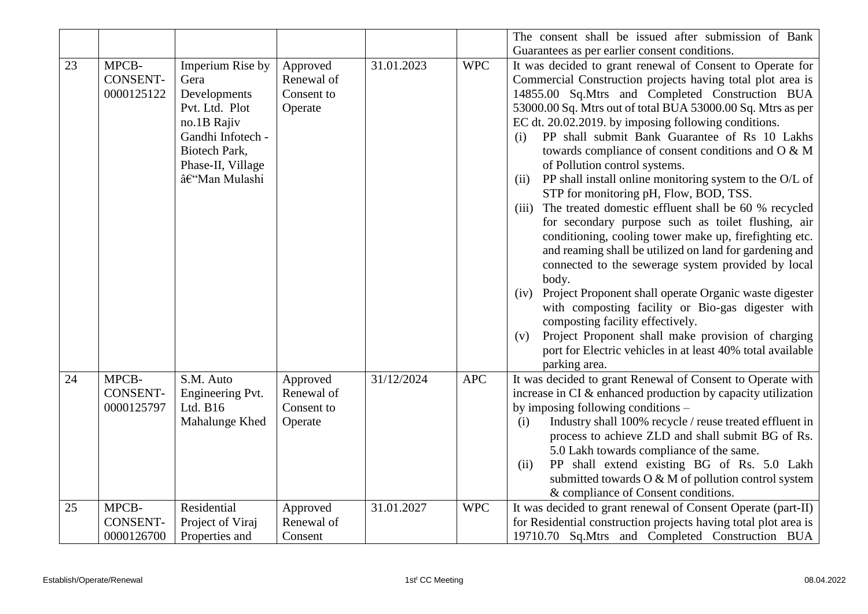|    |                                        |                                                                                                                                                      |                                                 |            |            | The consent shall be issued after submission of Bank                                                                                                                                                                                                                                                                                                                                                                                                                                                                                                                                                                                                                                                                                                                                                                                                                                                                                                                                                                                                                                                                                                                         |
|----|----------------------------------------|------------------------------------------------------------------------------------------------------------------------------------------------------|-------------------------------------------------|------------|------------|------------------------------------------------------------------------------------------------------------------------------------------------------------------------------------------------------------------------------------------------------------------------------------------------------------------------------------------------------------------------------------------------------------------------------------------------------------------------------------------------------------------------------------------------------------------------------------------------------------------------------------------------------------------------------------------------------------------------------------------------------------------------------------------------------------------------------------------------------------------------------------------------------------------------------------------------------------------------------------------------------------------------------------------------------------------------------------------------------------------------------------------------------------------------------|
|    |                                        |                                                                                                                                                      |                                                 |            |            | Guarantees as per earlier consent conditions.                                                                                                                                                                                                                                                                                                                                                                                                                                                                                                                                                                                                                                                                                                                                                                                                                                                                                                                                                                                                                                                                                                                                |
| 23 | MPCB-<br><b>CONSENT-</b><br>0000125122 | Imperium Rise by<br>Gera<br>Developments<br>Pvt. Ltd. Plot<br>no.1B Rajiv<br>Gandhi Infotech -<br>Biotech Park,<br>Phase-II, Village<br>–Man Mulashi | Approved<br>Renewal of<br>Consent to<br>Operate | 31.01.2023 | <b>WPC</b> | It was decided to grant renewal of Consent to Operate for<br>Commercial Construction projects having total plot area is<br>14855.00 Sq.Mtrs and Completed Construction BUA<br>53000.00 Sq. Mtrs out of total BUA 53000.00 Sq. Mtrs as per<br>EC dt. 20.02.2019. by imposing following conditions.<br>PP shall submit Bank Guarantee of Rs 10 Lakhs<br>(i)<br>towards compliance of consent conditions and O & M<br>of Pollution control systems.<br>PP shall install online monitoring system to the O/L of<br>(ii)<br>STP for monitoring pH, Flow, BOD, TSS.<br>(iii) The treated domestic effluent shall be 60 % recycled<br>for secondary purpose such as toilet flushing, air<br>conditioning, cooling tower make up, firefighting etc.<br>and reaming shall be utilized on land for gardening and<br>connected to the sewerage system provided by local<br>body.<br>Project Proponent shall operate Organic waste digester<br>(iv)<br>with composting facility or Bio-gas digester with<br>composting facility effectively.<br>Project Proponent shall make provision of charging<br>(v)<br>port for Electric vehicles in at least 40% total available<br>parking area. |
| 24 | MPCB-<br><b>CONSENT-</b><br>0000125797 | S.M. Auto<br>Engineering Pvt.<br>Ltd. $B16$<br>Mahalunge Khed                                                                                        | Approved<br>Renewal of<br>Consent to<br>Operate | 31/12/2024 | <b>APC</b> | It was decided to grant Renewal of Consent to Operate with<br>increase in CI & enhanced production by capacity utilization<br>by imposing following conditions –<br>Industry shall 100% recycle / reuse treated effluent in<br>(i)<br>process to achieve ZLD and shall submit BG of Rs.<br>5.0 Lakh towards compliance of the same.<br>PP shall extend existing BG of Rs. 5.0 Lakh<br>(ii)<br>submitted towards O & M of pollution control system<br>& compliance of Consent conditions.                                                                                                                                                                                                                                                                                                                                                                                                                                                                                                                                                                                                                                                                                     |
| 25 | MPCB-<br><b>CONSENT-</b><br>0000126700 | Residential<br>Project of Viraj<br>Properties and                                                                                                    | Approved<br>Renewal of<br>Consent               | 31.01.2027 | <b>WPC</b> | It was decided to grant renewal of Consent Operate (part-II)<br>for Residential construction projects having total plot area is<br>19710.70 Sq.Mtrs and Completed Construction BUA                                                                                                                                                                                                                                                                                                                                                                                                                                                                                                                                                                                                                                                                                                                                                                                                                                                                                                                                                                                           |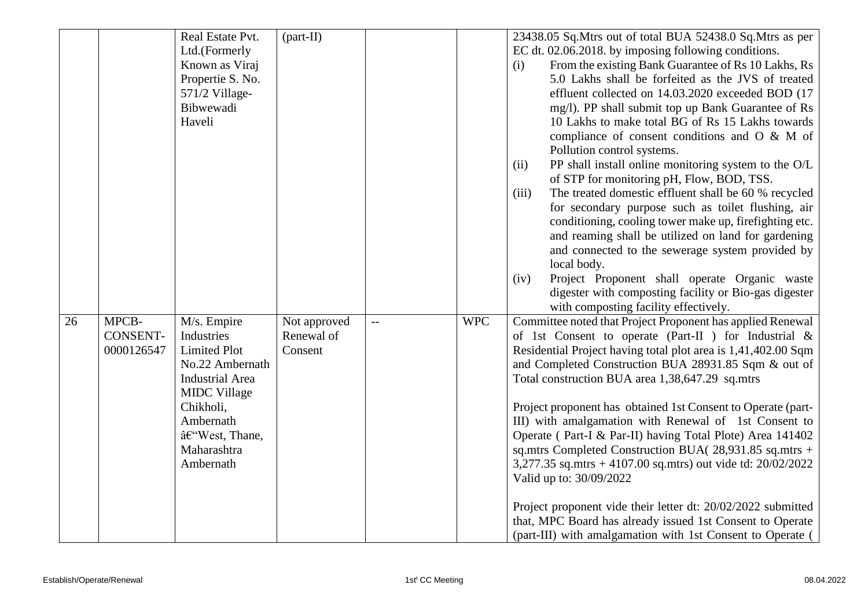|    |                                        | Real Estate Pvt.<br>Ltd.(Formerly<br>Known as Viraj<br>Propertie S. No.<br>571/2 Village-<br>Bibwewadi<br>Haveli                                                                            | $(part-II)$                           |     |            | 23438.05 Sq. Mtrs out of total BUA 52438.0 Sq. Mtrs as per<br>EC dt. 02.06.2018. by imposing following conditions.<br>From the existing Bank Guarantee of Rs 10 Lakhs, Rs<br>(i)<br>5.0 Lakhs shall be forfeited as the JVS of treated<br>effluent collected on 14.03.2020 exceeded BOD (17<br>mg/l). PP shall submit top up Bank Guarantee of Rs<br>10 Lakhs to make total BG of Rs 15 Lakhs towards<br>compliance of consent conditions and O & M of                                                                                                                                                                                                                                                                                                                                                                               |
|----|----------------------------------------|---------------------------------------------------------------------------------------------------------------------------------------------------------------------------------------------|---------------------------------------|-----|------------|--------------------------------------------------------------------------------------------------------------------------------------------------------------------------------------------------------------------------------------------------------------------------------------------------------------------------------------------------------------------------------------------------------------------------------------------------------------------------------------------------------------------------------------------------------------------------------------------------------------------------------------------------------------------------------------------------------------------------------------------------------------------------------------------------------------------------------------|
|    |                                        |                                                                                                                                                                                             |                                       |     |            | Pollution control systems.<br>PP shall install online monitoring system to the O/L<br>(ii)<br>of STP for monitoring pH, Flow, BOD, TSS.<br>The treated domestic effluent shall be 60 % recycled<br>(iii)<br>for secondary purpose such as toilet flushing, air<br>conditioning, cooling tower make up, firefighting etc.<br>and reaming shall be utilized on land for gardening<br>and connected to the sewerage system provided by<br>local body.<br>Project Proponent shall operate Organic waste<br>(iv)<br>digester with composting facility or Bio-gas digester<br>with composting facility effectively.                                                                                                                                                                                                                        |
| 26 | MPCB-<br><b>CONSENT-</b><br>0000126547 | M/s. Empire<br>Industries<br><b>Limited Plot</b><br>No.22 Ambernath<br><b>Industrial Area</b><br><b>MIDC</b> Village<br>Chikholi,<br>Ambernath<br>–West, Thane,<br>Maharashtra<br>Ambernath | Not approved<br>Renewal of<br>Consent | $-$ | <b>WPC</b> | Committee noted that Project Proponent has applied Renewal<br>of 1st Consent to operate (Part-II ) for Industrial &<br>Residential Project having total plot area is 1,41,402.00 Sqm<br>and Completed Construction BUA 28931.85 Sqm & out of<br>Total construction BUA area 1,38,647.29 sq.mtrs<br>Project proponent has obtained 1st Consent to Operate (part-<br>III) with amalgamation with Renewal of 1st Consent to<br>Operate (Part-I & Par-II) having Total Plote) Area 141402<br>sq.mtrs Completed Construction BUA(28,931.85 sq.mtrs +<br>3,277.35 sq.mtrs + 4107.00 sq.mtrs) out vide td: 20/02/2022<br>Valid up to: 30/09/2022<br>Project proponent vide their letter dt: 20/02/2022 submitted<br>that, MPC Board has already issued 1st Consent to Operate<br>(part-III) with amalgamation with 1st Consent to Operate ( |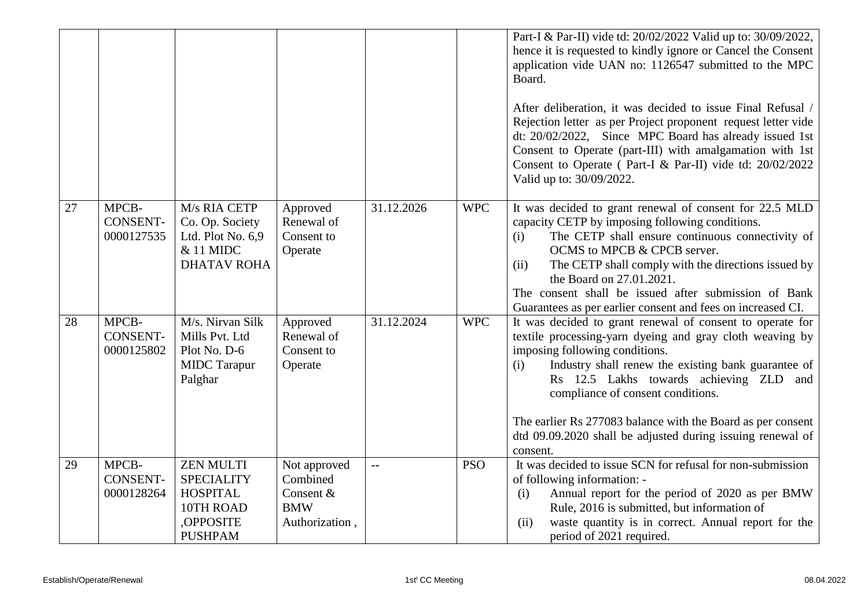|    |                                        |                                                                                                      |                                                                       |            |            | Part-I & Par-II) vide td: 20/02/2022 Valid up to: 30/09/2022,<br>hence it is requested to kindly ignore or Cancel the Consent<br>application vide UAN no: 1126547 submitted to the MPC<br>Board.<br>After deliberation, it was decided to issue Final Refusal /<br>Rejection letter as per Project proponent request letter vide<br>dt: 20/02/2022, Since MPC Board has already issued 1st<br>Consent to Operate (part-III) with amalgamation with 1st<br>Consent to Operate (Part-I & Par-II) vide td: 20/02/2022<br>Valid up to: 30/09/2022. |
|----|----------------------------------------|------------------------------------------------------------------------------------------------------|-----------------------------------------------------------------------|------------|------------|------------------------------------------------------------------------------------------------------------------------------------------------------------------------------------------------------------------------------------------------------------------------------------------------------------------------------------------------------------------------------------------------------------------------------------------------------------------------------------------------------------------------------------------------|
| 27 | MPCB-<br><b>CONSENT-</b><br>0000127535 | M/s RIA CETP<br>Co. Op. Society<br>Ltd. Plot No. 6,9<br>& 11 MIDC<br><b>DHATAV ROHA</b>              | Approved<br>Renewal of<br>Consent to<br>Operate                       | 31.12.2026 | <b>WPC</b> | It was decided to grant renewal of consent for 22.5 MLD<br>capacity CETP by imposing following conditions.<br>The CETP shall ensure continuous connectivity of<br>(i)<br>OCMS to MPCB & CPCB server.<br>The CETP shall comply with the directions issued by<br>(ii)<br>the Board on 27.01.2021.<br>The consent shall be issued after submission of Bank<br>Guarantees as per earlier consent and fees on increased CI.                                                                                                                         |
| 28 | MPCB-<br><b>CONSENT-</b><br>0000125802 | M/s. Nirvan Silk<br>Mills Pvt. Ltd<br>Plot No. D-6<br><b>MIDC</b> Tarapur<br>Palghar                 | Approved<br>Renewal of<br>Consent to<br>Operate                       | 31.12.2024 | <b>WPC</b> | It was decided to grant renewal of consent to operate for<br>textile processing-yarn dyeing and gray cloth weaving by<br>imposing following conditions.<br>Industry shall renew the existing bank guarantee of<br>(i)<br>Rs 12.5 Lakhs towards achieving ZLD and<br>compliance of consent conditions.<br>The earlier Rs 277083 balance with the Board as per consent<br>dtd 09.09.2020 shall be adjusted during issuing renewal of<br>consent.                                                                                                 |
| 29 | MPCB-<br><b>CONSENT-</b><br>0000128264 | <b>ZEN MULTI</b><br><b>SPECIALITY</b><br><b>HOSPITAL</b><br>10TH ROAD<br>,OPPOSITE<br><b>PUSHPAM</b> | Not approved<br>Combined<br>Consent &<br><b>BMW</b><br>Authorization, | $-$        | <b>PSO</b> | It was decided to issue SCN for refusal for non-submission<br>of following information: -<br>Annual report for the period of 2020 as per BMW<br>(i)<br>Rule, 2016 is submitted, but information of<br>waste quantity is in correct. Annual report for the<br>(ii)<br>period of 2021 required.                                                                                                                                                                                                                                                  |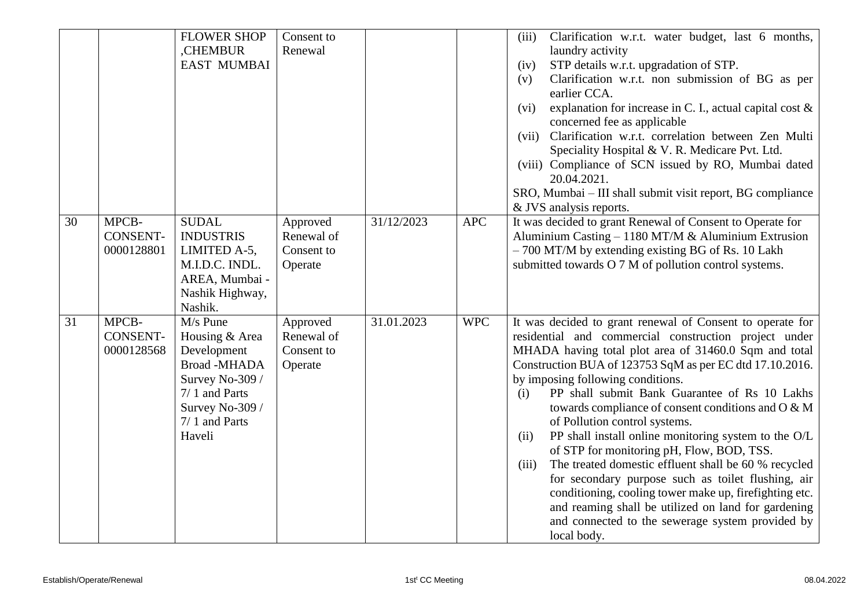|    |                 | <b>FLOWER SHOP</b>               | Consent to |            |            | Clarification w.r.t. water budget, last 6 months,<br>(iii)                                                          |
|----|-----------------|----------------------------------|------------|------------|------------|---------------------------------------------------------------------------------------------------------------------|
|    |                 | ,CHEMBUR                         | Renewal    |            |            | laundry activity                                                                                                    |
|    |                 | <b>EAST MUMBAI</b>               |            |            |            | STP details w.r.t. upgradation of STP.<br>(iv)                                                                      |
|    |                 |                                  |            |            |            | Clarification w.r.t. non submission of BG as per<br>(v)                                                             |
|    |                 |                                  |            |            |            | earlier CCA.                                                                                                        |
|    |                 |                                  |            |            |            | explanation for increase in C. I., actual capital cost $\&$<br>(vi)                                                 |
|    |                 |                                  |            |            |            | concerned fee as applicable<br>Clarification w.r.t. correlation between Zen Multi<br>(vii)                          |
|    |                 |                                  |            |            |            | Speciality Hospital & V. R. Medicare Pvt. Ltd.                                                                      |
|    |                 |                                  |            |            |            | (viii) Compliance of SCN issued by RO, Mumbai dated                                                                 |
|    |                 |                                  |            |            |            | 20.04.2021.                                                                                                         |
|    |                 |                                  |            |            |            | SRO, Mumbai – III shall submit visit report, BG compliance                                                          |
|    |                 |                                  |            |            |            | & JVS analysis reports.                                                                                             |
| 30 | MPCB-           | <b>SUDAL</b>                     | Approved   | 31/12/2023 | <b>APC</b> | It was decided to grant Renewal of Consent to Operate for                                                           |
|    | <b>CONSENT-</b> | <b>INDUSTRIS</b>                 | Renewal of |            |            | Aluminium Casting – 1180 MT/M & Aluminium Extrusion                                                                 |
|    | 0000128801      | LIMITED A-5,                     | Consent to |            |            | $-700$ MT/M by extending existing BG of Rs. 10 Lakh                                                                 |
|    |                 | M.I.D.C. INDL.                   | Operate    |            |            | submitted towards O 7 M of pollution control systems.                                                               |
|    |                 | AREA, Mumbai -                   |            |            |            |                                                                                                                     |
|    |                 | Nashik Highway,                  |            |            |            |                                                                                                                     |
|    |                 | Nashik.                          |            |            |            |                                                                                                                     |
| 31 | MPCB-           | M/s Pune                         | Approved   | 31.01.2023 | <b>WPC</b> | It was decided to grant renewal of Consent to operate for                                                           |
|    | <b>CONSENT-</b> | Housing & Area                   | Renewal of |            |            | residential and commercial construction project under                                                               |
|    | 0000128568      | Development                      | Consent to |            |            | MHADA having total plot area of 31460.0 Sqm and total                                                               |
|    |                 | <b>Broad-MHADA</b>               | Operate    |            |            | Construction BUA of 123753 SqM as per EC dtd 17.10.2016.                                                            |
|    |                 | Survey No-309 /                  |            |            |            | by imposing following conditions.                                                                                   |
|    |                 | 7/1 and Parts                    |            |            |            | PP shall submit Bank Guarantee of Rs 10 Lakhs<br>(i)                                                                |
|    |                 | Survey No-309 /<br>7/1 and Parts |            |            |            | towards compliance of consent conditions and O & M                                                                  |
|    |                 |                                  |            |            |            | of Pollution control systems.                                                                                       |
|    |                 | Haveli                           |            |            |            | PP shall install online monitoring system to the O/L<br>(ii)<br>of STP for monitoring pH, Flow, BOD, TSS.           |
|    |                 |                                  |            |            |            |                                                                                                                     |
|    |                 |                                  |            |            |            | The treated domestic effluent shall be 60 % recycled<br>(iii)<br>for secondary purpose such as toilet flushing, air |
|    |                 |                                  |            |            |            | conditioning, cooling tower make up, firefighting etc.                                                              |
|    |                 |                                  |            |            |            | and reaming shall be utilized on land for gardening                                                                 |
|    |                 |                                  |            |            |            | and connected to the sewerage system provided by                                                                    |
|    |                 |                                  |            |            |            | local body.                                                                                                         |
|    |                 |                                  |            |            |            |                                                                                                                     |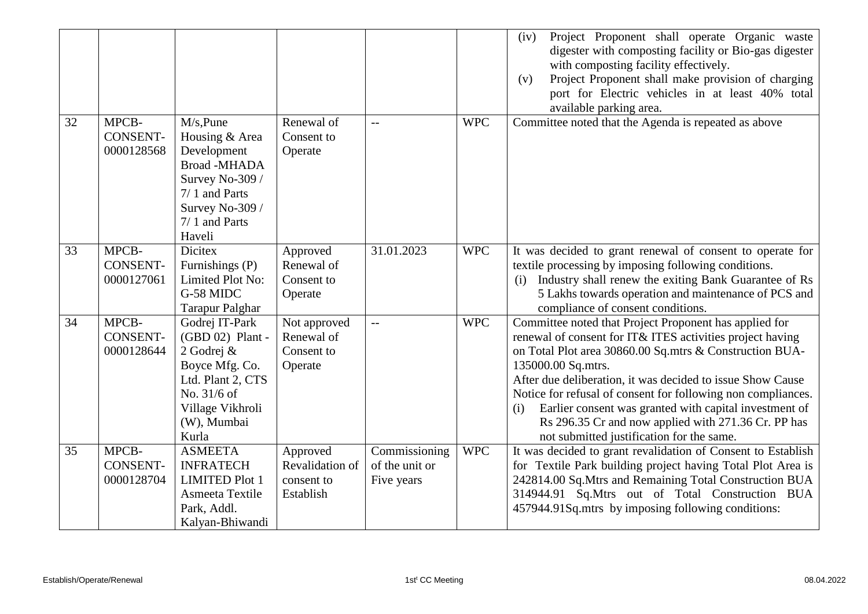|    |                                        |                                                                                                                                                    |                                                        |                                               |            | Project Proponent shall operate Organic waste<br>(iv)<br>digester with composting facility or Bio-gas digester<br>with composting facility effectively.<br>Project Proponent shall make provision of charging<br>(v)<br>port for Electric vehicles in at least 40% total<br>available parking area.                                                                                                                                                                                                     |
|----|----------------------------------------|----------------------------------------------------------------------------------------------------------------------------------------------------|--------------------------------------------------------|-----------------------------------------------|------------|---------------------------------------------------------------------------------------------------------------------------------------------------------------------------------------------------------------------------------------------------------------------------------------------------------------------------------------------------------------------------------------------------------------------------------------------------------------------------------------------------------|
| 32 | MPCB-<br>CONSENT-<br>0000128568        | M/s, Pune<br>Housing & Area<br>Development<br><b>Broad-MHADA</b><br>Survey No-309 /<br>7/1 and Parts<br>Survey No-309 /<br>7/1 and Parts<br>Haveli | Renewal of<br>Consent to<br>Operate                    | $-$                                           | <b>WPC</b> | Committee noted that the Agenda is repeated as above                                                                                                                                                                                                                                                                                                                                                                                                                                                    |
| 33 | MPCB-<br><b>CONSENT-</b><br>0000127061 | <b>Dicitex</b><br>Furnishings (P)<br>Limited Plot No:<br>G-58 MIDC<br><b>Tarapur Palghar</b>                                                       | Approved<br>Renewal of<br>Consent to<br>Operate        | 31.01.2023                                    | <b>WPC</b> | It was decided to grant renewal of consent to operate for<br>textile processing by imposing following conditions.<br>(i) Industry shall renew the exiting Bank Guarantee of Rs<br>5 Lakhs towards operation and maintenance of PCS and<br>compliance of consent conditions.                                                                                                                                                                                                                             |
| 34 | MPCB-<br><b>CONSENT-</b><br>0000128644 | Godrej IT-Park<br>(GBD 02) Plant -<br>2 Godrej &<br>Boyce Mfg. Co.<br>Ltd. Plant 2, CTS<br>No. 31/6 of<br>Village Vikhroli<br>(W), Mumbai<br>Kurla | Not approved<br>Renewal of<br>Consent to<br>Operate    | $\overline{\phantom{a}}$                      | <b>WPC</b> | Committee noted that Project Proponent has applied for<br>renewal of consent for IT& ITES activities project having<br>on Total Plot area 30860.00 Sq.mtrs & Construction BUA-<br>135000.00 Sq.mtrs.<br>After due deliberation, it was decided to issue Show Cause<br>Notice for refusal of consent for following non compliances.<br>Earlier consent was granted with capital investment of<br>(i)<br>Rs 296.35 Cr and now applied with 271.36 Cr. PP has<br>not submitted justification for the same. |
| 35 | MPCB-<br>CONSENT-<br>0000128704        | <b>ASMEETA</b><br><b>INFRATECH</b><br><b>LIMITED Plot 1</b><br>Asmeeta Textile<br>Park, Addl.<br>Kalyan-Bhiwandi                                   | Approved<br>Revalidation of<br>consent to<br>Establish | Commissioning<br>of the unit or<br>Five years | <b>WPC</b> | It was decided to grant revalidation of Consent to Establish<br>for Textile Park building project having Total Plot Area is<br>242814.00 Sq.Mtrs and Remaining Total Construction BUA<br>314944.91 Sq.Mtrs out of Total Construction BUA<br>457944.91Sq.mtrs by imposing following conditions:                                                                                                                                                                                                          |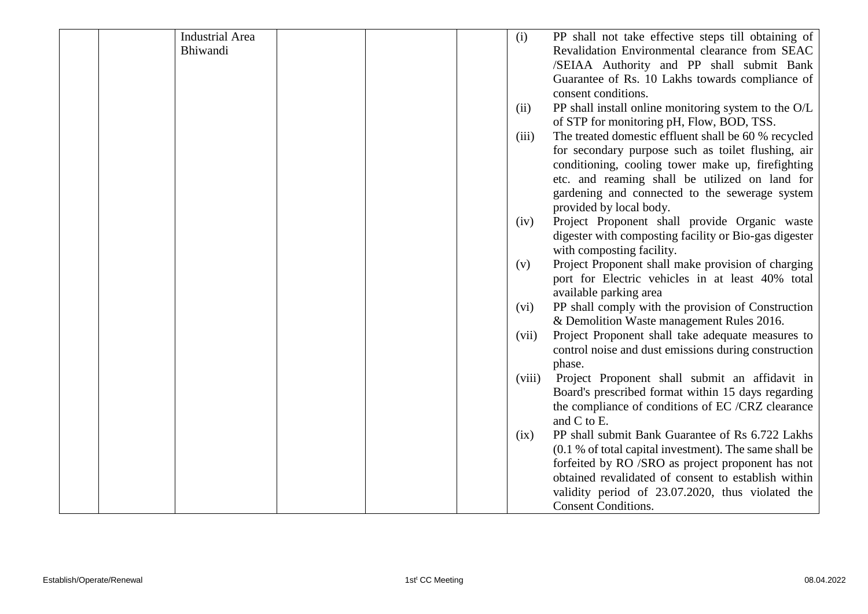| <b>Industrial Area</b> |  | (i)<br>PP shall not take effective steps till obtaining of                                                    |
|------------------------|--|---------------------------------------------------------------------------------------------------------------|
| Bhiwandi               |  | Revalidation Environmental clearance from SEAC                                                                |
|                        |  | /SEIAA Authority and PP shall submit Bank                                                                     |
|                        |  | Guarantee of Rs. 10 Lakhs towards compliance of                                                               |
|                        |  | consent conditions.                                                                                           |
|                        |  | PP shall install online monitoring system to the O/L<br>(ii)                                                  |
|                        |  | of STP for monitoring pH, Flow, BOD, TSS.                                                                     |
|                        |  | The treated domestic effluent shall be 60 % recycled<br>(iii)                                                 |
|                        |  | for secondary purpose such as toilet flushing, air                                                            |
|                        |  | conditioning, cooling tower make up, firefighting                                                             |
|                        |  | etc. and reaming shall be utilized on land for                                                                |
|                        |  | gardening and connected to the sewerage system                                                                |
|                        |  | provided by local body.                                                                                       |
|                        |  | Project Proponent shall provide Organic waste<br>(iv)                                                         |
|                        |  | digester with composting facility or Bio-gas digester                                                         |
|                        |  | with composting facility.                                                                                     |
|                        |  | Project Proponent shall make provision of charging<br>(v)<br>port for Electric vehicles in at least 40% total |
|                        |  | available parking area                                                                                        |
|                        |  | PP shall comply with the provision of Construction<br>(vi)                                                    |
|                        |  | & Demolition Waste management Rules 2016.                                                                     |
|                        |  | Project Proponent shall take adequate measures to<br>(vii)                                                    |
|                        |  | control noise and dust emissions during construction                                                          |
|                        |  | phase.                                                                                                        |
|                        |  | Project Proponent shall submit an affidavit in<br>(viii)                                                      |
|                        |  | Board's prescribed format within 15 days regarding                                                            |
|                        |  | the compliance of conditions of EC /CRZ clearance                                                             |
|                        |  | and C to E.                                                                                                   |
|                        |  | PP shall submit Bank Guarantee of Rs 6.722 Lakhs<br>(ix)                                                      |
|                        |  | (0.1 % of total capital investment). The same shall be                                                        |
|                        |  | forfeited by RO /SRO as project proponent has not                                                             |
|                        |  | obtained revalidated of consent to establish within                                                           |
|                        |  | validity period of 23.07.2020, thus violated the                                                              |
|                        |  | <b>Consent Conditions.</b>                                                                                    |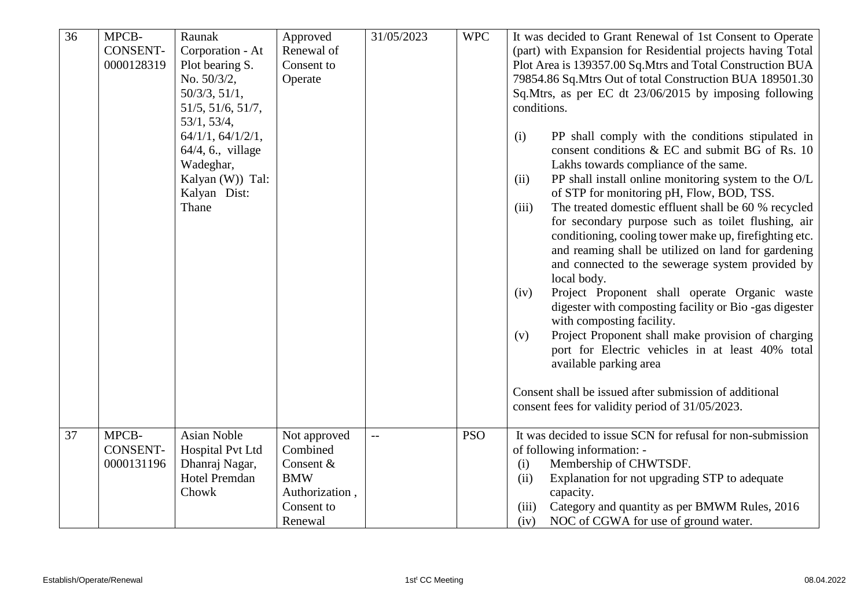| $\overline{36}$ | MPCB-<br><b>CONSENT-</b><br>0000128319 | Raunak<br>Corporation - At<br>Plot bearing S.<br>No. 50/3/2,<br>50/3/3, 51/1,<br>51/5, 51/6, 51/7,<br>53/1, 53/4,<br>64/1/1, 64/1/2/1,<br>64/4, 6., village<br>Wadeghar,<br>Kalyan (W)) Tal:<br>Kalyan Dist:<br>Thane | Approved<br>Renewal of<br>Consent to<br>Operate                                                | 31/05/2023 | <b>WPC</b> | It was decided to Grant Renewal of 1st Consent to Operate<br>(part) with Expansion for Residential projects having Total<br>Plot Area is 139357.00 Sq. Mtrs and Total Construction BUA<br>79854.86 Sq. Mtrs Out of total Construction BUA 189501.30<br>Sq.Mtrs, as per EC dt 23/06/2015 by imposing following<br>conditions.<br>PP shall comply with the conditions stipulated in<br>(i)<br>consent conditions & EC and submit BG of Rs. 10<br>Lakhs towards compliance of the same.<br>PP shall install online monitoring system to the O/L<br>(ii)<br>of STP for monitoring pH, Flow, BOD, TSS.<br>The treated domestic effluent shall be 60 % recycled<br>(iii)<br>for secondary purpose such as toilet flushing, air<br>conditioning, cooling tower make up, firefighting etc.<br>and reaming shall be utilized on land for gardening<br>and connected to the sewerage system provided by<br>local body.<br>Project Proponent shall operate Organic waste<br>(iv)<br>digester with composting facility or Bio-gas digester<br>with composting facility.<br>Project Proponent shall make provision of charging<br>(v)<br>port for Electric vehicles in at least 40% total<br>available parking area<br>Consent shall be issued after submission of additional<br>consent fees for validity period of 31/05/2023. |
|-----------------|----------------------------------------|-----------------------------------------------------------------------------------------------------------------------------------------------------------------------------------------------------------------------|------------------------------------------------------------------------------------------------|------------|------------|---------------------------------------------------------------------------------------------------------------------------------------------------------------------------------------------------------------------------------------------------------------------------------------------------------------------------------------------------------------------------------------------------------------------------------------------------------------------------------------------------------------------------------------------------------------------------------------------------------------------------------------------------------------------------------------------------------------------------------------------------------------------------------------------------------------------------------------------------------------------------------------------------------------------------------------------------------------------------------------------------------------------------------------------------------------------------------------------------------------------------------------------------------------------------------------------------------------------------------------------------------------------------------------------------------------------|
|                 |                                        |                                                                                                                                                                                                                       |                                                                                                |            |            |                                                                                                                                                                                                                                                                                                                                                                                                                                                                                                                                                                                                                                                                                                                                                                                                                                                                                                                                                                                                                                                                                                                                                                                                                                                                                                                     |
| 37              | MPCB-<br><b>CONSENT-</b><br>0000131196 | <b>Asian Noble</b><br>Hospital Pvt Ltd<br>Dhanraj Nagar,<br><b>Hotel Premdan</b><br>Chowk                                                                                                                             | Not approved<br>Combined<br>Consent &<br><b>BMW</b><br>Authorization,<br>Consent to<br>Renewal |            | <b>PSO</b> | It was decided to issue SCN for refusal for non-submission<br>of following information: -<br>Membership of CHWTSDF.<br>(i)<br>Explanation for not upgrading STP to adequate<br>(ii)<br>capacity.<br>Category and quantity as per BMWM Rules, 2016<br>(iii)<br>NOC of CGWA for use of ground water.<br>(iv)                                                                                                                                                                                                                                                                                                                                                                                                                                                                                                                                                                                                                                                                                                                                                                                                                                                                                                                                                                                                          |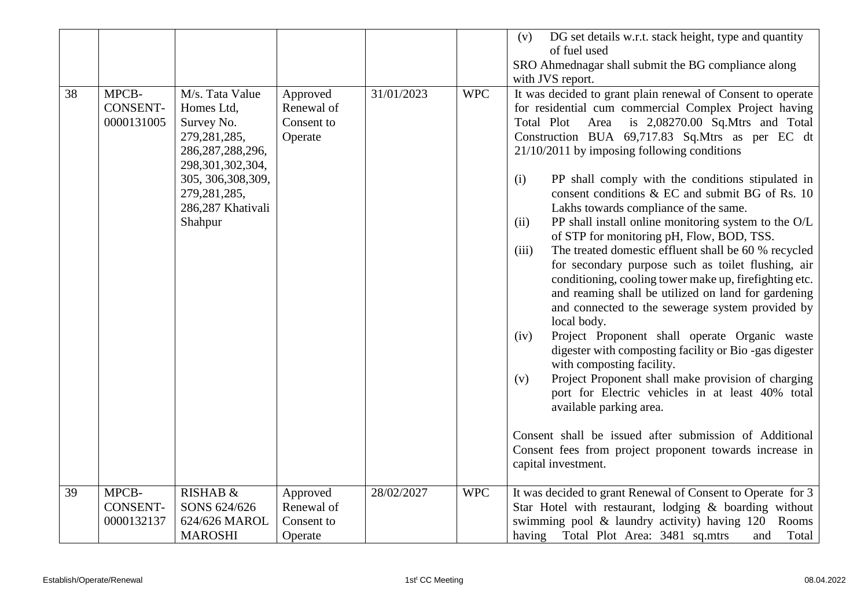|    |                                        |                                                                                                                                                                                      |                                                 |            |            | DG set details w.r.t. stack height, type and quantity<br>(v)                                                                                                                                                                                                                                                                                                                                                                                                                                                                                                                                                                                                                                                                                                                                                                                                                                                                                                                                                                                                                                                                                                                                                                                                                                             |
|----|----------------------------------------|--------------------------------------------------------------------------------------------------------------------------------------------------------------------------------------|-------------------------------------------------|------------|------------|----------------------------------------------------------------------------------------------------------------------------------------------------------------------------------------------------------------------------------------------------------------------------------------------------------------------------------------------------------------------------------------------------------------------------------------------------------------------------------------------------------------------------------------------------------------------------------------------------------------------------------------------------------------------------------------------------------------------------------------------------------------------------------------------------------------------------------------------------------------------------------------------------------------------------------------------------------------------------------------------------------------------------------------------------------------------------------------------------------------------------------------------------------------------------------------------------------------------------------------------------------------------------------------------------------|
|    |                                        |                                                                                                                                                                                      |                                                 |            |            | of fuel used                                                                                                                                                                                                                                                                                                                                                                                                                                                                                                                                                                                                                                                                                                                                                                                                                                                                                                                                                                                                                                                                                                                                                                                                                                                                                             |
|    |                                        |                                                                                                                                                                                      |                                                 |            |            | SRO Ahmednagar shall submit the BG compliance along                                                                                                                                                                                                                                                                                                                                                                                                                                                                                                                                                                                                                                                                                                                                                                                                                                                                                                                                                                                                                                                                                                                                                                                                                                                      |
|    |                                        |                                                                                                                                                                                      |                                                 |            |            | with JVS report.                                                                                                                                                                                                                                                                                                                                                                                                                                                                                                                                                                                                                                                                                                                                                                                                                                                                                                                                                                                                                                                                                                                                                                                                                                                                                         |
| 38 | MPCB-<br><b>CONSENT-</b><br>0000131005 | M/s. Tata Value<br>Homes Ltd,<br>Survey No.<br>279, 281, 285,<br>286, 287, 288, 296,<br>298, 301, 302, 304,<br>305, 306, 308, 309,<br>279, 281, 285,<br>286,287 Khativali<br>Shahpur | Approved<br>Renewal of<br>Consent to<br>Operate | 31/01/2023 | <b>WPC</b> | It was decided to grant plain renewal of Consent to operate<br>for residential cum commercial Complex Project having<br>is $2,08270.00$ Sq. Mtrs and Total<br>Total Plot Area<br>Construction BUA 69,717.83 Sq.Mtrs as per EC dt<br>$21/10/2011$ by imposing following conditions<br>PP shall comply with the conditions stipulated in<br>(i)<br>consent conditions & EC and submit BG of Rs. 10<br>Lakhs towards compliance of the same.<br>PP shall install online monitoring system to the O/L<br>(ii)<br>of STP for monitoring pH, Flow, BOD, TSS.<br>The treated domestic effluent shall be 60 % recycled<br>(iii)<br>for secondary purpose such as toilet flushing, air<br>conditioning, cooling tower make up, firefighting etc.<br>and reaming shall be utilized on land for gardening<br>and connected to the sewerage system provided by<br>local body.<br>Project Proponent shall operate Organic waste<br>(iv)<br>digester with composting facility or Bio-gas digester<br>with composting facility.<br>Project Proponent shall make provision of charging<br>(v)<br>port for Electric vehicles in at least 40% total<br>available parking area.<br>Consent shall be issued after submission of Additional<br>Consent fees from project proponent towards increase in<br>capital investment. |
| 39 | MPCB-<br><b>CONSENT-</b><br>0000132137 | RISHAB &<br>SONS 624/626<br>624/626 MAROL<br><b>MAROSHI</b>                                                                                                                          | Approved<br>Renewal of<br>Consent to<br>Operate | 28/02/2027 | <b>WPC</b> | It was decided to grant Renewal of Consent to Operate for 3<br>Star Hotel with restaurant, lodging & boarding without<br>swimming pool & laundry activity) having 120 Rooms<br>having Total Plot Area: 3481 sq.mtrs<br>Total<br>and                                                                                                                                                                                                                                                                                                                                                                                                                                                                                                                                                                                                                                                                                                                                                                                                                                                                                                                                                                                                                                                                      |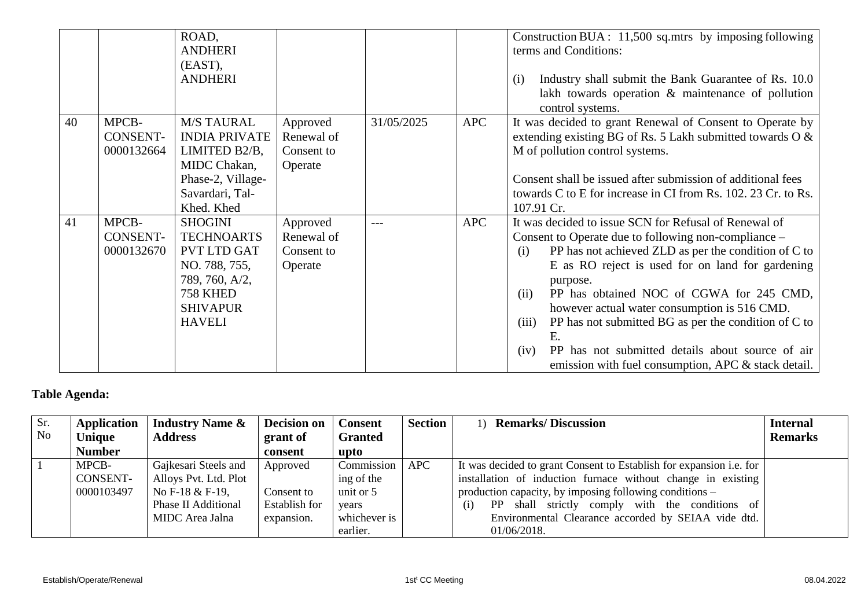|    |                                        | ROAD,<br><b>ANDHERI</b><br>(EAST),<br><b>ANDHERI</b>                                                                                                |                                                 |            |            | Construction BUA: 11,500 sq.mtrs by imposing following<br>terms and Conditions:<br>Industry shall submit the Bank Guarantee of Rs. 10.0<br>(i)<br>lakh towards operation & maintenance of pollution<br>control systems.                                                                                                                                                                                                                                                                                                                    |
|----|----------------------------------------|-----------------------------------------------------------------------------------------------------------------------------------------------------|-------------------------------------------------|------------|------------|--------------------------------------------------------------------------------------------------------------------------------------------------------------------------------------------------------------------------------------------------------------------------------------------------------------------------------------------------------------------------------------------------------------------------------------------------------------------------------------------------------------------------------------------|
| 40 | MPCB-<br><b>CONSENT-</b><br>0000132664 | <b>M/S TAURAL</b><br><b>INDIA PRIVATE</b><br>LIMITED B2/B,<br>MIDC Chakan,<br>Phase-2, Village-<br>Savardari, Tal-<br>Khed. Khed                    | Approved<br>Renewal of<br>Consent to<br>Operate | 31/05/2025 | <b>APC</b> | It was decided to grant Renewal of Consent to Operate by<br>extending existing BG of Rs. 5 Lakh submitted towards $\overline{O} \&$<br>M of pollution control systems.<br>Consent shall be issued after submission of additional fees<br>towards C to E for increase in CI from Rs. 102. 23 Cr. to Rs.<br>107.91 Cr.                                                                                                                                                                                                                       |
| 41 | MPCB-<br>CONSENT-<br>0000132670        | <b>SHOGINI</b><br><b>TECHNOARTS</b><br><b>PVT LTD GAT</b><br>NO. 788, 755,<br>789, 760, A/2,<br><b>758 KHED</b><br><b>SHIVAPUR</b><br><b>HAVELI</b> | Approved<br>Renewal of<br>Consent to<br>Operate | $---$      | <b>APC</b> | It was decided to issue SCN for Refusal of Renewal of<br>Consent to Operate due to following non-compliance –<br>PP has not achieved ZLD as per the condition of C to<br>(i)<br>E as RO reject is used for on land for gardening<br>purpose.<br>PP has obtained NOC of CGWA for 245 CMD,<br>(ii)<br>however actual water consumption is 516 CMD.<br>(iii)<br>PP has not submitted BG as per the condition of C to<br>E.<br>PP has not submitted details about source of air<br>(iv)<br>emission with fuel consumption, APC & stack detail. |

## **Table Agenda:**

| Sr.       | <b>Application</b> | <b>Industry Name &amp;</b> | <b>Decision on</b> | <b>Consent</b> | <b>Section</b> | <b>Remarks/Discussion</b><br>$\left(1\right)$                              | <b>Internal</b> |
|-----------|--------------------|----------------------------|--------------------|----------------|----------------|----------------------------------------------------------------------------|-----------------|
| <b>No</b> | Unique             | <b>Address</b>             | grant of           | <b>Granted</b> |                |                                                                            | <b>Remarks</b>  |
|           | <b>Number</b>      |                            | consent            | upto           |                |                                                                            |                 |
|           | MPCB-              | Gajkesari Steels and       | Approved           | Commission     | <b>APC</b>     | It was decided to grant Consent to Establish for expansion <i>i.e.</i> for |                 |
|           | CONSENT-           | Alloys Pvt. Ltd. Plot      |                    | ing of the     |                | installation of induction furnace without change in existing               |                 |
|           | 0000103497         | No F-18 $&$ F-19,          | Consent to         | unit or 5      |                | production capacity, by imposing following conditions $-$                  |                 |
|           |                    | Phase II Additional        | Establish for      | years          |                | PP shall strictly comply with the conditions of<br>(i)                     |                 |
|           |                    | MIDC Area Jalna            | expansion.         | whichever is   |                | Environmental Clearance accorded by SEIAA vide dtd.                        |                 |
|           |                    |                            |                    | earlier.       |                | 01/06/2018.                                                                |                 |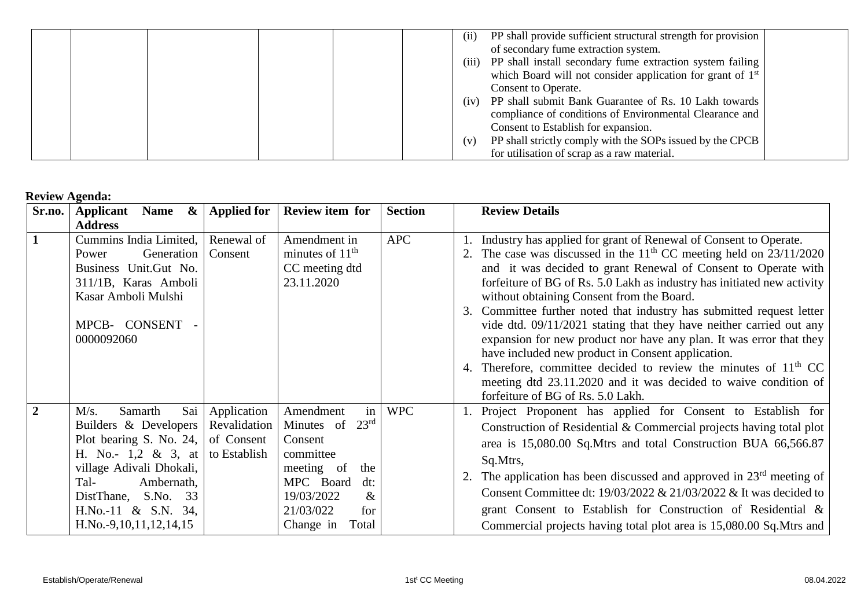|  | (i)   | PP shall provide sufficient structural strength for provision          |  |
|--|-------|------------------------------------------------------------------------|--|
|  |       | of secondary fume extraction system.                                   |  |
|  | (iii) | PP shall install secondary fume extraction system failing              |  |
|  |       | which Board will not consider application for grant of 1 <sup>st</sup> |  |
|  |       | Consent to Operate.                                                    |  |
|  | (iv)  | PP shall submit Bank Guarantee of Rs. 10 Lakh towards                  |  |
|  |       | compliance of conditions of Environmental Clearance and                |  |
|  |       | Consent to Establish for expansion.                                    |  |
|  | (v)   | PP shall strictly comply with the SOPs issued by the CPCB              |  |
|  |       | for utilisation of scrap as a raw material.                            |  |

## **Review Agenda:**

| Sr.no.         | WIWII ISLUUS<br>Applicant<br>$\boldsymbol{\alpha}$<br><b>Name</b>                                                                                                                                                                  | <b>Applied for</b>                                        | Review item for                                                                                                                                                                    | <b>Section</b> | <b>Review Details</b>                                                                                                                                                                                                                                                                                                                                                                                                                                                                                                                                                                                                                                                                                                                                                                              |
|----------------|------------------------------------------------------------------------------------------------------------------------------------------------------------------------------------------------------------------------------------|-----------------------------------------------------------|------------------------------------------------------------------------------------------------------------------------------------------------------------------------------------|----------------|----------------------------------------------------------------------------------------------------------------------------------------------------------------------------------------------------------------------------------------------------------------------------------------------------------------------------------------------------------------------------------------------------------------------------------------------------------------------------------------------------------------------------------------------------------------------------------------------------------------------------------------------------------------------------------------------------------------------------------------------------------------------------------------------------|
|                | <b>Address</b>                                                                                                                                                                                                                     |                                                           |                                                                                                                                                                                    |                |                                                                                                                                                                                                                                                                                                                                                                                                                                                                                                                                                                                                                                                                                                                                                                                                    |
| $\mathbf{1}$   | Cummins India Limited,<br>Generation<br>Power<br>Business Unit.Gut No.<br>311/1B, Karas Amboli<br>Kasar Amboli Mulshi<br>MPCB- CONSENT -<br>0000092060                                                                             | Renewal of<br>Consent                                     | Amendment in<br>minutes of $11th$<br>CC meeting dtd<br>23.11.2020                                                                                                                  | <b>APC</b>     | Industry has applied for grant of Renewal of Consent to Operate.<br>2. The case was discussed in the $11th$ CC meeting held on $23/11/2020$<br>and it was decided to grant Renewal of Consent to Operate with<br>forfeiture of BG of Rs. 5.0 Lakh as industry has initiated new activity<br>without obtaining Consent from the Board.<br>Committee further noted that industry has submitted request letter<br>3.<br>vide dtd. 09/11/2021 stating that they have neither carried out any<br>expansion for new product nor have any plan. It was error that they<br>have included new product in Consent application.<br>4. Therefore, committee decided to review the minutes of $11th CC$<br>meeting dtd 23.11.2020 and it was decided to waive condition of<br>forfeiture of BG of Rs. 5.0 Lakh. |
| $\overline{2}$ | Sai<br>M/s.<br>Samarth<br>Builders & Developers<br>Plot bearing S. No. 24,<br>H. No.- $1,2 \& 3$ , at<br>village Adivali Dhokali,<br>Tal-<br>Ambernath,<br>S.No. 33<br>DistThane,<br>H.No.-11 & S.N. 34,<br>H.No.-9,10,11,12,14,15 | Application<br>Revalidation<br>of Consent<br>to Establish | in<br>Amendment<br>$23^{\rm rd}$<br>Minutes of<br>Consent<br>committee<br>meeting of<br>the<br>MPC Board<br>$dt$ :<br>19/03/2022<br>$\&$<br>21/03/022<br>for<br>Change in<br>Total | <b>WPC</b>     | 1. Project Proponent has applied for Consent to Establish for<br>Construction of Residential & Commercial projects having total plot<br>area is 15,080.00 Sq.Mtrs and total Construction BUA 66,566.87<br>Sq.Mtrs,<br>2. The application has been discussed and approved in $23rd$ meeting of<br>Consent Committee dt: $19/03/2022 \& 21/03/2022 \&$ It was decided to<br>grant Consent to Establish for Construction of Residential &<br>Commercial projects having total plot area is 15,080.00 Sq. Mtrs and                                                                                                                                                                                                                                                                                     |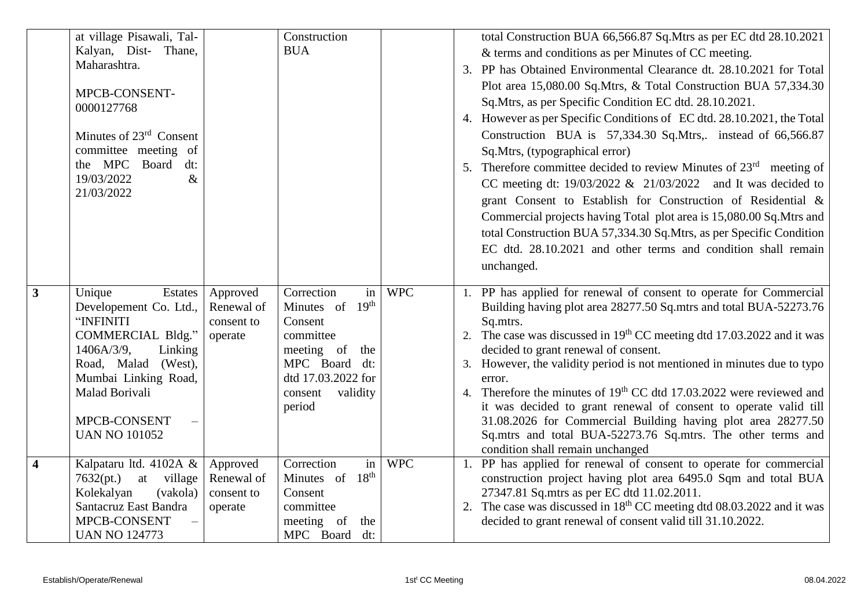|                | at village Pisawali, Tal-             |            | Construction                   |            | total Construction BUA 66,566.87 Sq. Mtrs as per EC dtd 28.10.2021                   |
|----------------|---------------------------------------|------------|--------------------------------|------------|--------------------------------------------------------------------------------------|
|                | Kalyan, Dist- Thane,                  |            | <b>BUA</b>                     |            | & terms and conditions as per Minutes of CC meeting.                                 |
|                | Maharashtra.                          |            |                                |            | 3. PP has Obtained Environmental Clearance dt. 28.10.2021 for Total                  |
|                |                                       |            |                                |            | Plot area 15,080.00 Sq.Mtrs, & Total Construction BUA 57,334.30                      |
|                | MPCB-CONSENT-                         |            |                                |            | Sq.Mtrs, as per Specific Condition EC dtd. 28.10.2021.                               |
|                | 0000127768                            |            |                                |            | 4. However as per Specific Conditions of EC dtd. 28.10.2021, the Total               |
|                | Minutes of 23 <sup>rd</sup> Consent   |            |                                |            | Construction BUA is 57,334.30 Sq.Mtrs,. instead of 66,566.87                         |
|                | committee meeting of                  |            |                                |            | Sq.Mtrs, (typographical error)                                                       |
|                | the MPC Board<br>dt:                  |            |                                |            | 5. Therefore committee decided to review Minutes of $23rd$ meeting of                |
|                | 19/03/2022<br>$\&$                    |            |                                |            |                                                                                      |
|                | 21/03/2022                            |            |                                |            | CC meeting dt: $19/03/2022 \& 21/03/2022$ and It was decided to                      |
|                |                                       |            |                                |            | grant Consent to Establish for Construction of Residential &                         |
|                |                                       |            |                                |            | Commercial projects having Total plot area is 15,080.00 Sq.Mtrs and                  |
|                |                                       |            |                                |            | total Construction BUA 57,334.30 Sq.Mtrs, as per Specific Condition                  |
|                |                                       |            |                                |            | EC dtd. 28.10.2021 and other terms and condition shall remain                        |
|                |                                       |            |                                |            | unchanged.                                                                           |
|                |                                       |            |                                |            |                                                                                      |
| $\overline{3}$ | Estates<br>Unique                     | Approved   | in<br>Correction               | <b>WPC</b> | PP has applied for renewal of consent to operate for Commercial                      |
|                | Developement Co. Ltd.,                | Renewal of | 19 <sup>th</sup><br>Minutes of |            | Building having plot area 28277.50 Sq.mtrs and total BUA-52273.76                    |
|                | "INFINITI<br><b>COMMERCIAL Bldg."</b> | consent to | Consent<br>committee           |            | Sq.mtrs.<br>2. The case was discussed in $19th$ CC meeting dtd 17.03.2022 and it was |
|                | $1406A/3/9$ ,<br>Linking              | operate    | meeting of<br>the              |            | decided to grant renewal of consent.                                                 |
|                | Road, Malad (West),                   |            | MPC Board dt:                  |            | 3. However, the validity period is not mentioned in minutes due to typo              |
|                | Mumbai Linking Road,                  |            | dtd 17.03.2022 for             |            | error.                                                                               |
|                | Malad Borivali                        |            | validity<br>consent            |            | 4. Therefore the minutes of 19 <sup>th</sup> CC dtd 17.03.2022 were reviewed and     |
|                |                                       |            | period                         |            | it was decided to grant renewal of consent to operate valid till                     |
|                | MPCB-CONSENT                          |            |                                |            | 31.08.2026 for Commercial Building having plot area 28277.50                         |
|                | <b>UAN NO 101052</b>                  |            |                                |            | Sq.mtrs and total BUA-52273.76 Sq.mtrs. The other terms and                          |
|                |                                       |            |                                |            | condition shall remain unchanged                                                     |
| $\overline{4}$ | Kalpataru ltd. 4102A $\&$             | Approved   | Correction<br>in               | <b>WPC</b> | 1. PP has applied for renewal of consent to operate for commercial                   |
|                | 7632(pt.)<br>at village               | Renewal of | 18 <sup>th</sup><br>Minutes of |            | construction project having plot area 6495.0 Sqm and total BUA                       |
|                | Kolekalyan<br>(vakola)                | consent to | Consent                        |            | 27347.81 Sq.mtrs as per EC dtd 11.02.2011.                                           |
|                | Santacruz East Bandra                 | operate    | committee                      |            | 2. The case was discussed in $18th$ CC meeting dtd 08.03.2022 and it was             |
|                | MPCB-CONSENT                          |            | meeting of<br>the              |            | decided to grant renewal of consent valid till 31.10.2022.                           |
|                | <b>UAN NO 124773</b>                  |            | MPC Board<br>dt:               |            |                                                                                      |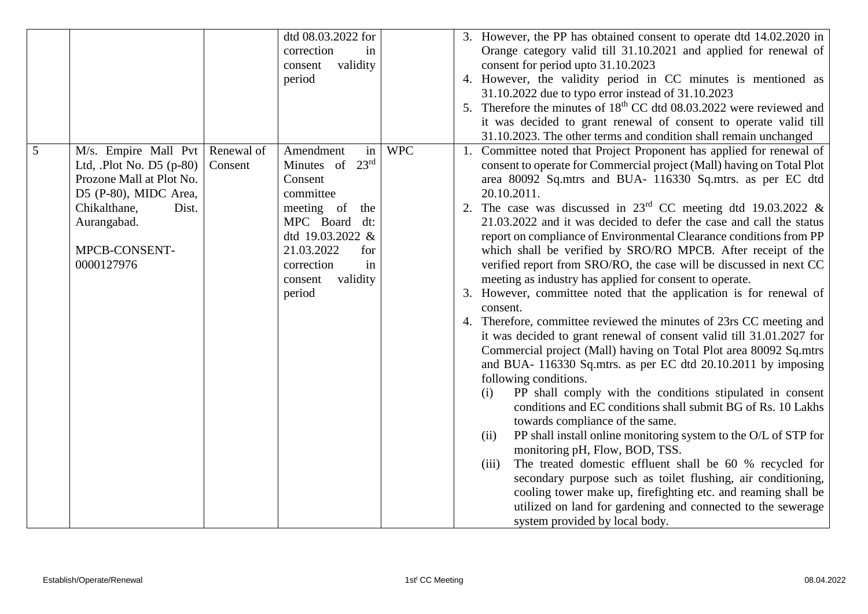|                |                           |            | dtd 08.03.2022 for  |            | 3. However, the PP has obtained consent to operate dtd 14.02.2020 in                                                             |
|----------------|---------------------------|------------|---------------------|------------|----------------------------------------------------------------------------------------------------------------------------------|
|                |                           |            | correction<br>in    |            | Orange category valid till 31.10.2021 and applied for renewal of                                                                 |
|                |                           |            | validity<br>consent |            | consent for period upto 31.10.2023                                                                                               |
|                |                           |            | period              |            | 4. However, the validity period in CC minutes is mentioned as                                                                    |
|                |                           |            |                     |            | 31.10.2022 due to typo error instead of 31.10.2023                                                                               |
|                |                           |            |                     |            | 5. Therefore the minutes of 18 <sup>th</sup> CC dtd 08.03.2022 were reviewed and                                                 |
|                |                           |            |                     |            | it was decided to grant renewal of consent to operate valid till                                                                 |
|                |                           |            |                     |            | 31.10.2023. The other terms and condition shall remain unchanged                                                                 |
| $\overline{5}$ | M/s. Empire Mall Pvt      | Renewal of | Amendment<br>in     | <b>WPC</b> | 1. Committee noted that Project Proponent has applied for renewal of                                                             |
|                | Ltd, $Plot No. D5 (p-80)$ | Consent    | Minutes of 23rd     |            | consent to operate for Commercial project (Mall) having on Total Plot                                                            |
|                | Prozone Mall at Plot No.  |            | Consent             |            | area 80092 Sq.mtrs and BUA- 116330 Sq.mtrs. as per EC dtd                                                                        |
|                | D5 (P-80), MIDC Area,     |            | committee           |            | 20.10.2011.                                                                                                                      |
|                | Chikalthane,<br>Dist.     |            | meeting of<br>the   |            | The case was discussed in $23rd$ CC meeting dtd 19.03.2022 &                                                                     |
|                | Aurangabad.               |            | MPC Board<br>dt:    |            | 21.03.2022 and it was decided to defer the case and call the status                                                              |
|                |                           |            | dtd 19.03.2022 &    |            | report on compliance of Environmental Clearance conditions from PP                                                               |
|                | MPCB-CONSENT-             |            | 21.03.2022<br>for   |            | which shall be verified by SRO/RO MPCB. After receipt of the                                                                     |
|                | 0000127976                |            | correction<br>in    |            | verified report from SRO/RO, the case will be discussed in next CC                                                               |
|                |                           |            | validity<br>consent |            | meeting as industry has applied for consent to operate.                                                                          |
|                |                           |            | period              |            | 3. However, committee noted that the application is for renewal of                                                               |
|                |                           |            |                     |            | consent.                                                                                                                         |
|                |                           |            |                     |            | 4. Therefore, committee reviewed the minutes of 23rs CC meeting and                                                              |
|                |                           |            |                     |            | it was decided to grant renewal of consent valid till 31.01.2027 for                                                             |
|                |                           |            |                     |            | Commercial project (Mall) having on Total Plot area 80092 Sq.mtrs                                                                |
|                |                           |            |                     |            | and BUA- 116330 Sq.mtrs. as per EC dtd 20.10.2011 by imposing                                                                    |
|                |                           |            |                     |            | following conditions.                                                                                                            |
|                |                           |            |                     |            | PP shall comply with the conditions stipulated in consent<br>(i)<br>conditions and EC conditions shall submit BG of Rs. 10 Lakhs |
|                |                           |            |                     |            | towards compliance of the same.                                                                                                  |
|                |                           |            |                     |            | PP shall install online monitoring system to the O/L of STP for<br>(ii)                                                          |
|                |                           |            |                     |            | monitoring pH, Flow, BOD, TSS.                                                                                                   |
|                |                           |            |                     |            | The treated domestic effluent shall be 60 % recycled for<br>(iii)                                                                |
|                |                           |            |                     |            | secondary purpose such as toilet flushing, air conditioning,                                                                     |
|                |                           |            |                     |            | cooling tower make up, firefighting etc. and reaming shall be                                                                    |
|                |                           |            |                     |            | utilized on land for gardening and connected to the sewerage                                                                     |
|                |                           |            |                     |            | system provided by local body.                                                                                                   |
|                |                           |            |                     |            |                                                                                                                                  |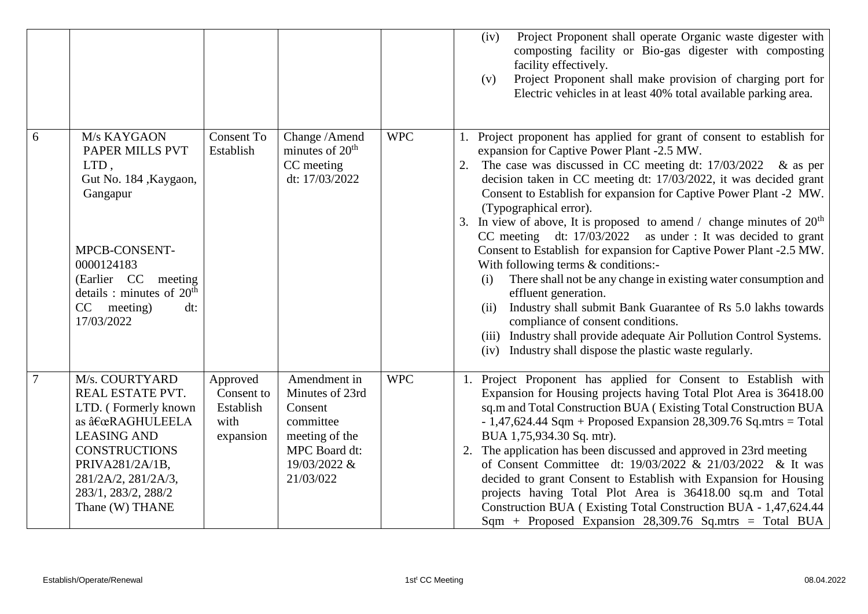|   |                                                                                                                                                                                                                |                                                          |                                                                                                                         |            | Project Proponent shall operate Organic waste digester with<br>(iv)<br>composting facility or Bio-gas digester with composting<br>facility effectively.<br>Project Proponent shall make provision of charging port for<br>(v)<br>Electric vehicles in at least 40% total available parking area.                                                                                                                                                                                                                                                                                                                                                                                                                                                                                                                                                                                                                                                                       |
|---|----------------------------------------------------------------------------------------------------------------------------------------------------------------------------------------------------------------|----------------------------------------------------------|-------------------------------------------------------------------------------------------------------------------------|------------|------------------------------------------------------------------------------------------------------------------------------------------------------------------------------------------------------------------------------------------------------------------------------------------------------------------------------------------------------------------------------------------------------------------------------------------------------------------------------------------------------------------------------------------------------------------------------------------------------------------------------------------------------------------------------------------------------------------------------------------------------------------------------------------------------------------------------------------------------------------------------------------------------------------------------------------------------------------------|
| 6 | M/s KAYGAON<br>PAPER MILLS PVT<br>LTD,<br>Gut No. 184, Kaygaon,<br>Gangapur<br>MPCB-CONSENT-<br>0000124183<br>(Earlier CC meeting<br>details : minutes of $20th$<br>CC meeting)<br>dt:<br>17/03/2022           | <b>Consent To</b><br>Establish                           | Change / Amend<br>minutes of $20th$<br>CC meeting<br>dt: 17/03/2022                                                     | <b>WPC</b> | Project proponent has applied for grant of consent to establish for<br>expansion for Captive Power Plant -2.5 MW.<br>The case was discussed in CC meeting dt: $17/03/2022$ & as per<br>decision taken in CC meeting dt: 17/03/2022, it was decided grant<br>Consent to Establish for expansion for Captive Power Plant -2 MW.<br>(Typographical error).<br>3. In view of above, It is proposed to amend / change minutes of $20th$<br>CC meeting dt: 17/03/2022 as under : It was decided to grant<br>Consent to Establish for expansion for Captive Power Plant -2.5 MW.<br>With following terms & conditions:-<br>There shall not be any change in existing water consumption and<br>(i)<br>effluent generation.<br>Industry shall submit Bank Guarantee of Rs 5.0 lakhs towards<br>(ii)<br>compliance of consent conditions.<br>(iii) Industry shall provide adequate Air Pollution Control Systems.<br>Industry shall dispose the plastic waste regularly.<br>(iv) |
| 7 | M/s. COURTYARD<br>REAL ESTATE PVT.<br>LTD. (Formerly known<br>as "RAGHULEELA<br><b>LEASING AND</b><br><b>CONSTRUCTIONS</b><br>PRIVA281/2A/1B,<br>281/2A/2, 281/2A/3,<br>283/1, 283/2, 288/2<br>Thane (W) THANE | Approved<br>Consent to<br>Establish<br>with<br>expansion | Amendment in<br>Minutes of 23rd<br>Consent<br>committee<br>meeting of the<br>MPC Board dt:<br>19/03/2022 &<br>21/03/022 | <b>WPC</b> | 1. Project Proponent has applied for Consent to Establish with<br>Expansion for Housing projects having Total Plot Area is 36418.00<br>sq.m and Total Construction BUA (Existing Total Construction BUA<br>$-1,47,624.44$ Sqm + Proposed Expansion 28,309.76 Sq.mtrs = Total<br>BUA 1,75,934.30 Sq. mtr).<br>2. The application has been discussed and approved in 23rd meeting<br>of Consent Committee dt: 19/03/2022 & 21/03/2022 & It was<br>decided to grant Consent to Establish with Expansion for Housing<br>projects having Total Plot Area is 36418.00 sq.m and Total<br>Construction BUA (Existing Total Construction BUA - 1,47,624.44<br>$Sqm + Proposed$ Expansion 28,309.76 Sq.mtrs = Total BUA                                                                                                                                                                                                                                                          |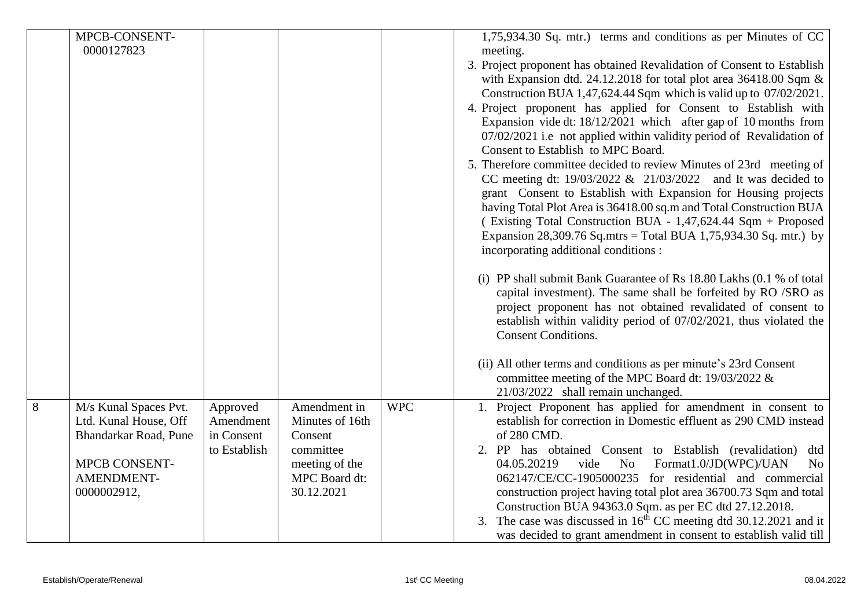|   | MPCB-CONSENT-         |              |                 |            | 1,75,934.30 Sq. mtr.) terms and conditions as per Minutes of CC        |
|---|-----------------------|--------------|-----------------|------------|------------------------------------------------------------------------|
|   |                       |              |                 |            |                                                                        |
|   | 0000127823            |              |                 |            | meeting.                                                               |
|   |                       |              |                 |            | 3. Project proponent has obtained Revalidation of Consent to Establish |
|   |                       |              |                 |            | with Expansion dtd. 24.12.2018 for total plot area 36418.00 Sqm $\&$   |
|   |                       |              |                 |            | Construction BUA 1,47,624.44 Sqm which is valid up to 07/02/2021.      |
|   |                       |              |                 |            | 4. Project proponent has applied for Consent to Establish with         |
|   |                       |              |                 |            | Expansion vide dt: 18/12/2021 which after gap of 10 months from        |
|   |                       |              |                 |            | 07/02/2021 i.e not applied within validity period of Revalidation of   |
|   |                       |              |                 |            | Consent to Establish to MPC Board.                                     |
|   |                       |              |                 |            | 5. Therefore committee decided to review Minutes of 23rd meeting of    |
|   |                       |              |                 |            | CC meeting dt: $19/03/2022 \& 21/03/2022$ and It was decided to        |
|   |                       |              |                 |            | grant Consent to Establish with Expansion for Housing projects         |
|   |                       |              |                 |            | having Total Plot Area is 36418.00 sq.m and Total Construction BUA     |
|   |                       |              |                 |            | (Existing Total Construction BUA - 1,47,624.44 Sqm + Proposed          |
|   |                       |              |                 |            | Expansion 28,309.76 Sq.mtrs = Total BUA 1,75,934.30 Sq. mtr.) by       |
|   |                       |              |                 |            |                                                                        |
|   |                       |              |                 |            | incorporating additional conditions :                                  |
|   |                       |              |                 |            | (i) PP shall submit Bank Guarantee of Rs 18.80 Lakhs (0.1 % of total   |
|   |                       |              |                 |            | capital investment). The same shall be forfeited by RO /SRO as         |
|   |                       |              |                 |            | project proponent has not obtained revalidated of consent to           |
|   |                       |              |                 |            | establish within validity period of 07/02/2021, thus violated the      |
|   |                       |              |                 |            | <b>Consent Conditions.</b>                                             |
|   |                       |              |                 |            |                                                                        |
|   |                       |              |                 |            | (ii) All other terms and conditions as per minute's 23rd Consent       |
|   |                       |              |                 |            | committee meeting of the MPC Board dt: 19/03/2022 &                    |
|   |                       |              |                 |            | 21/03/2022 shall remain unchanged.                                     |
| 8 | M/s Kunal Spaces Pvt. | Approved     | Amendment in    | <b>WPC</b> | 1. Project Proponent has applied for amendment in consent to           |
|   | Ltd. Kunal House, Off | Amendment    | Minutes of 16th |            | establish for correction in Domestic effluent as 290 CMD instead       |
|   | Bhandarkar Road, Pune | in Consent   | Consent         |            | of 280 CMD.                                                            |
|   |                       | to Establish | committee       |            | 2. PP has obtained Consent to Establish (revalidation)<br>dtd          |
|   | <b>MPCB CONSENT-</b>  |              | meeting of the  |            | 04.05.20219<br>vide<br>Format1.0/JD(WPC)/UAN<br>No<br>N <sub>o</sub>   |
|   | AMENDMENT-            |              | MPC Board dt:   |            | 062147/CE/CC-1905000235 for residential and commercial                 |
|   | 0000002912,           |              | 30.12.2021      |            | construction project having total plot area 36700.73 Sqm and total     |
|   |                       |              |                 |            | Construction BUA 94363.0 Sqm. as per EC dtd 27.12.2018.                |
|   |                       |              |                 |            |                                                                        |
|   |                       |              |                 |            | 3. The case was discussed in $16th$ CC meeting dtd 30.12.2021 and it   |
|   |                       |              |                 |            | was decided to grant amendment in consent to establish valid till      |